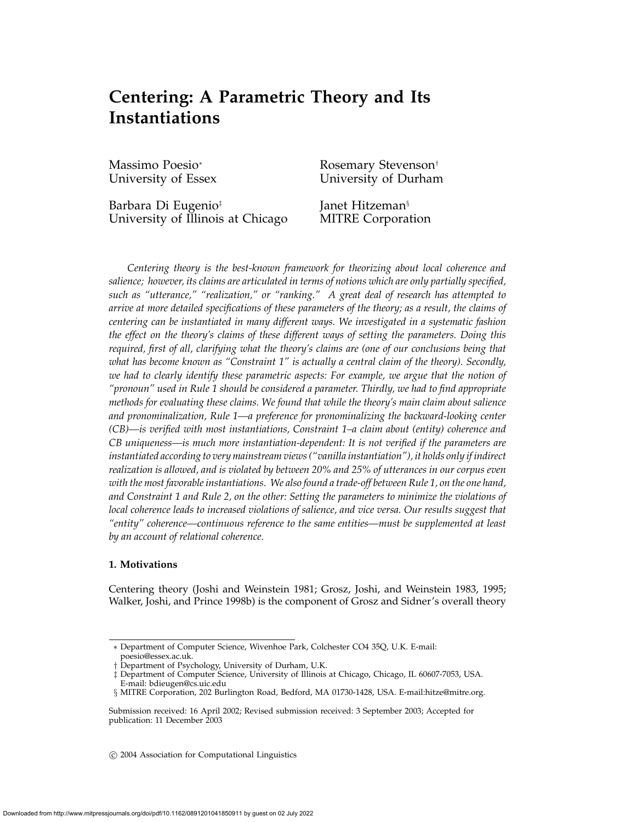# **Centering: A Parametric Theory and Its Instantiations**

Massimo Poesio<sup>∗</sup> Rosemary Stevenson<sup>†</sup> University of Essex University of Durham

Barbara Di Eugenio<sup>‡</sup> Janet Hitzeman<sup>§</sup> University of Illinois at Chicago MITRE Corporation

*Centering theory is the best-known framework for theorizing about local coherence and salience; however, its claims are articulated in terms of notions which are only partially specified, such as "utterance," "realization," or "ranking." A great deal of research has attempted to arrive at more detailed specifications of these parameters of the theory; as a result, the claims of centering can be instantiated in many different ways. We investigated in a systematic fashion the effect on the theory's claims of these different ways of setting the parameters. Doing this required, first of all, clarifying what the theory's claims are (one of our conclusions being that what has become known as "Constraint 1" is actually a central claim of the theory). Secondly, we had to clearly identify these parametric aspects: For example, we argue that the notion of "pronoun" used in Rule 1 should be considered a parameter. Thirdly, we had to find appropriate methods for evaluating these claims. We found that while the theory's main claim about salience and pronominalization, Rule 1—a preference for pronominalizing the backward-looking center (CB)—is verified with most instantiations, Constraint 1–a claim about (entity) coherence and CB uniqueness—is much more instantiation-dependent: It is not verified if the parameters are instantiated according to very mainstream views ("vanilla instantiation"), it holds only if indirect realization is allowed, and is violated by between 20% and 25% of utterances in our corpus even with the most favorable instantiations. We also found a trade-off between Rule 1, on the one hand, and Constraint 1 and Rule 2, on the other: Setting the parameters to minimize the violations of local coherence leads to increased violations of salience, and vice versa. Our results suggest that "entity" coherence—continuous reference to the same entities—must be supplemented at least by an account of relational coherence.*

# **1. Motivations**

Centering theory (Joshi and Weinstein 1981; Grosz, Joshi, and Weinstein 1983, 1995; Walker, Joshi, and Prince 1998b) is the component of Grosz and Sidner's overall theory

c 2004 Association for Computational Linguistics

<sup>∗</sup> Department of Computer Science, Wivenhoe Park, Colchester CO4 35Q, U.K. E-mail: poesio@essex.ac.uk.

<sup>†</sup> Department of Psychology, University of Durham, U.K.

<sup>‡</sup> Department of Computer Science, University of Illinois at Chicago, Chicago, IL 60607-7053, USA.

E-mail: bdieugen@cs.uic.edu

<sup>§</sup> MITRE Corporation, 202 Burlington Road, Bedford, MA 01730-1428, USA. E-mail:hitze@mitre.org.

Submission received: 16 April 2002; Revised submission received: 3 September 2003; Accepted for publication: 11 December 2003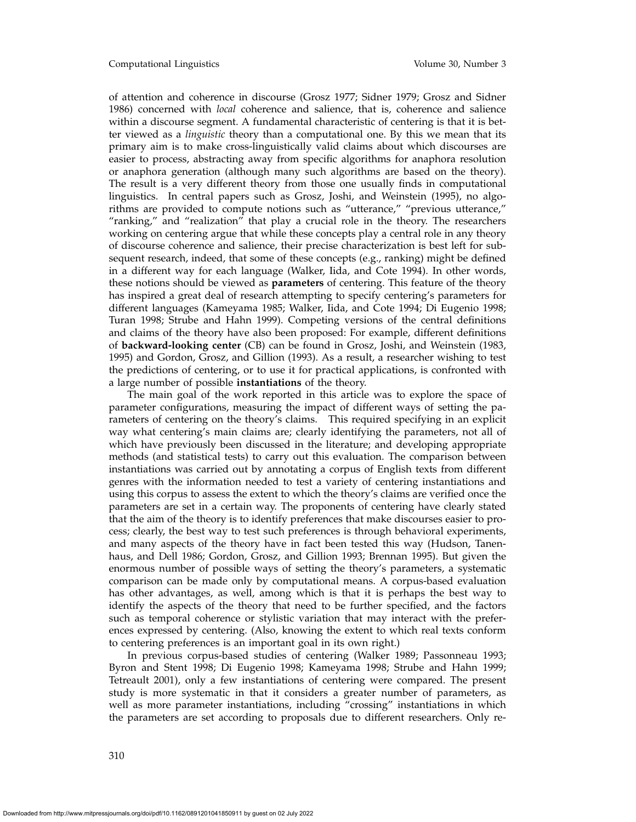of attention and coherence in discourse (Grosz 1977; Sidner 1979; Grosz and Sidner 1986) concerned with *local* coherence and salience, that is, coherence and salience within a discourse segment. A fundamental characteristic of centering is that it is better viewed as a *linguistic* theory than a computational one. By this we mean that its primary aim is to make cross-linguistically valid claims about which discourses are easier to process, abstracting away from specific algorithms for anaphora resolution or anaphora generation (although many such algorithms are based on the theory). The result is a very different theory from those one usually finds in computational linguistics. In central papers such as Grosz, Joshi, and Weinstein (1995), no algorithms are provided to compute notions such as "utterance," "previous utterance," "ranking," and "realization" that play a crucial role in the theory. The researchers working on centering argue that while these concepts play a central role in any theory of discourse coherence and salience, their precise characterization is best left for subsequent research, indeed, that some of these concepts (e.g., ranking) might be defined in a different way for each language (Walker, Iida, and Cote 1994). In other words, these notions should be viewed as **parameters** of centering. This feature of the theory has inspired a great deal of research attempting to specify centering's parameters for different languages (Kameyama 1985; Walker, Iida, and Cote 1994; Di Eugenio 1998; Turan 1998; Strube and Hahn 1999). Competing versions of the central definitions and claims of the theory have also been proposed: For example, different definitions of **backward-looking center** (CB) can be found in Grosz, Joshi, and Weinstein (1983, 1995) and Gordon, Grosz, and Gillion (1993). As a result, a researcher wishing to test the predictions of centering, or to use it for practical applications, is confronted with a large number of possible **instantiations** of the theory.

The main goal of the work reported in this article was to explore the space of parameter configurations, measuring the impact of different ways of setting the parameters of centering on the theory's claims. This required specifying in an explicit way what centering's main claims are; clearly identifying the parameters, not all of which have previously been discussed in the literature; and developing appropriate methods (and statistical tests) to carry out this evaluation. The comparison between instantiations was carried out by annotating a corpus of English texts from different genres with the information needed to test a variety of centering instantiations and using this corpus to assess the extent to which the theory's claims are verified once the parameters are set in a certain way. The proponents of centering have clearly stated that the aim of the theory is to identify preferences that make discourses easier to process; clearly, the best way to test such preferences is through behavioral experiments, and many aspects of the theory have in fact been tested this way (Hudson, Tanenhaus, and Dell 1986; Gordon, Grosz, and Gillion 1993; Brennan 1995). But given the enormous number of possible ways of setting the theory's parameters, a systematic comparison can be made only by computational means. A corpus-based evaluation has other advantages, as well, among which is that it is perhaps the best way to identify the aspects of the theory that need to be further specified, and the factors such as temporal coherence or stylistic variation that may interact with the preferences expressed by centering. (Also, knowing the extent to which real texts conform to centering preferences is an important goal in its own right.)

In previous corpus-based studies of centering (Walker 1989; Passonneau 1993; Byron and Stent 1998; Di Eugenio 1998; Kameyama 1998; Strube and Hahn 1999; Tetreault 2001), only a few instantiations of centering were compared. The present study is more systematic in that it considers a greater number of parameters, as well as more parameter instantiations, including "crossing" instantiations in which the parameters are set according to proposals due to different researchers. Only re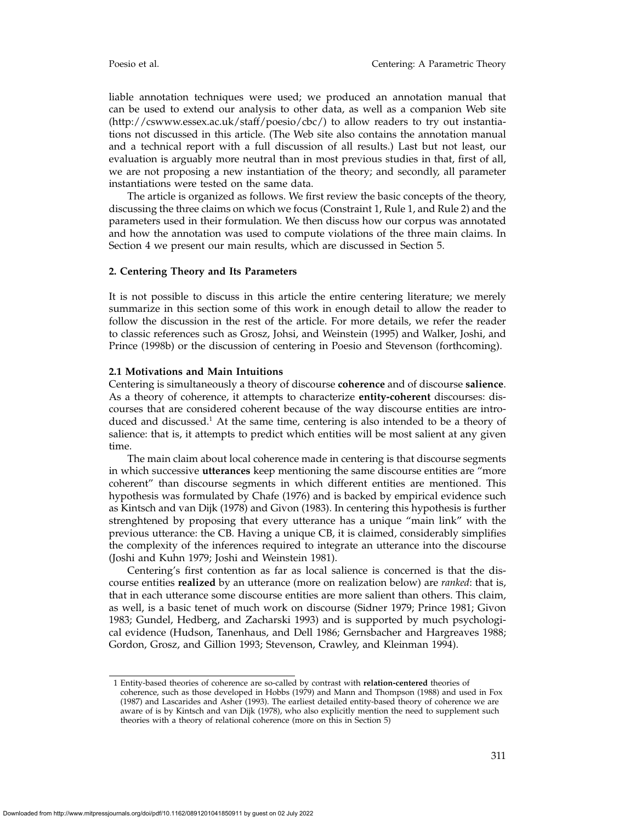liable annotation techniques were used; we produced an annotation manual that can be used to extend our analysis to other data, as well as a companion Web site (http://cswww.essex.ac.uk/staff/poesio/cbc/) to allow readers to try out instantiations not discussed in this article. (The Web site also contains the annotation manual and a technical report with a full discussion of all results.) Last but not least, our evaluation is arguably more neutral than in most previous studies in that, first of all, we are not proposing a new instantiation of the theory; and secondly, all parameter instantiations were tested on the same data.

The article is organized as follows. We first review the basic concepts of the theory, discussing the three claims on which we focus (Constraint 1, Rule 1, and Rule 2) and the parameters used in their formulation. We then discuss how our corpus was annotated and how the annotation was used to compute violations of the three main claims. In Section 4 we present our main results, which are discussed in Section 5.

## **2. Centering Theory and Its Parameters**

It is not possible to discuss in this article the entire centering literature; we merely summarize in this section some of this work in enough detail to allow the reader to follow the discussion in the rest of the article. For more details, we refer the reader to classic references such as Grosz, Johsi, and Weinstein (1995) and Walker, Joshi, and Prince (1998b) or the discussion of centering in Poesio and Stevenson (forthcoming).

## **2.1 Motivations and Main Intuitions**

Centering is simultaneously a theory of discourse **coherence** and of discourse **salience**. As a theory of coherence, it attempts to characterize **entity-coherent** discourses: discourses that are considered coherent because of the way discourse entities are introduced and discussed.<sup>1</sup> At the same time, centering is also intended to be a theory of salience: that is, it attempts to predict which entities will be most salient at any given time.

The main claim about local coherence made in centering is that discourse segments in which successive **utterances** keep mentioning the same discourse entities are "more coherent" than discourse segments in which different entities are mentioned. This hypothesis was formulated by Chafe (1976) and is backed by empirical evidence such as Kintsch and van Dijk (1978) and Givon (1983). In centering this hypothesis is further strenghtened by proposing that every utterance has a unique "main link" with the previous utterance: the CB. Having a unique CB, it is claimed, considerably simplifies the complexity of the inferences required to integrate an utterance into the discourse (Joshi and Kuhn 1979; Joshi and Weinstein 1981).

Centering's first contention as far as local salience is concerned is that the discourse entities **realized** by an utterance (more on realization below) are *ranked*: that is, that in each utterance some discourse entities are more salient than others. This claim, as well, is a basic tenet of much work on discourse (Sidner 1979; Prince 1981; Givon 1983; Gundel, Hedberg, and Zacharski 1993) and is supported by much psychological evidence (Hudson, Tanenhaus, and Dell 1986; Gernsbacher and Hargreaves 1988; Gordon, Grosz, and Gillion 1993; Stevenson, Crawley, and Kleinman 1994).

<sup>1</sup> Entity-based theories of coherence are so-called by contrast with **relation-centered** theories of coherence, such as those developed in Hobbs (1979) and Mann and Thompson (1988) and used in Fox (1987) and Lascarides and Asher (1993). The earliest detailed entity-based theory of coherence we are aware of is by Kintsch and van Dijk (1978), who also explicitly mention the need to supplement such theories with a theory of relational coherence (more on this in Section 5)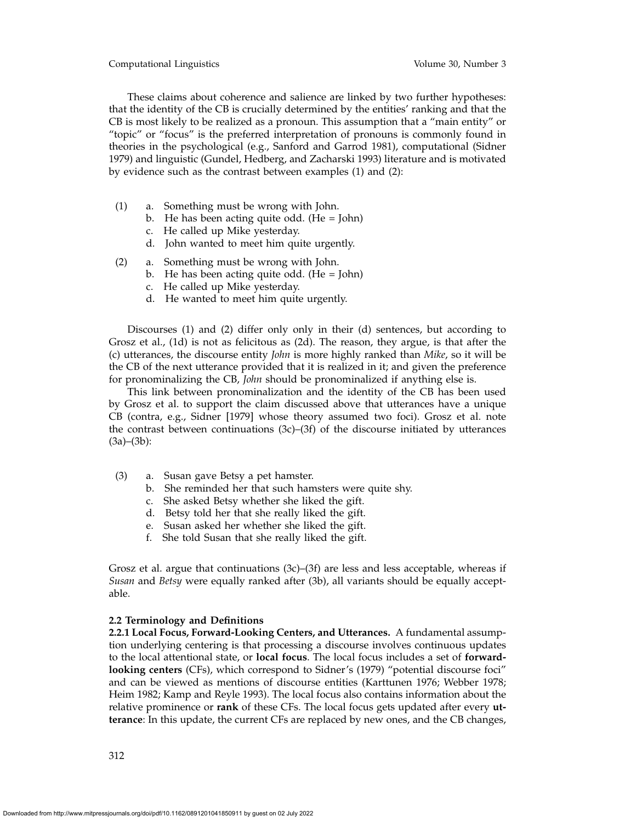Computational Linguistics Volume 30, Number 3

These claims about coherence and salience are linked by two further hypotheses: that the identity of the CB is crucially determined by the entities' ranking and that the CB is most likely to be realized as a pronoun. This assumption that a "main entity" or "topic" or "focus" is the preferred interpretation of pronouns is commonly found in theories in the psychological (e.g., Sanford and Garrod 1981), computational (Sidner 1979) and linguistic (Gundel, Hedberg, and Zacharski 1993) literature and is motivated by evidence such as the contrast between examples (1) and (2):

- (1) a. Something must be wrong with John.
	- b. He has been acting quite odd. (He  $=$  John)
	- c. He called up Mike yesterday.
	- d. John wanted to meet him quite urgently.
- (2) a. Something must be wrong with John.
	- b. He has been acting quite odd. (He = John)
	- c. He called up Mike yesterday.
	- d. He wanted to meet him quite urgently.

Discourses (1) and (2) differ only only in their (d) sentences, but according to Grosz et al., (1d) is not as felicitous as (2d). The reason, they argue, is that after the (c) utterances, the discourse entity *John* is more highly ranked than *Mike*, so it will be the CB of the next utterance provided that it is realized in it; and given the preference for pronominalizing the CB, *John* should be pronominalized if anything else is.

This link between pronominalization and the identity of the CB has been used by Grosz et al. to support the claim discussed above that utterances have a unique CB (contra, e.g., Sidner [1979] whose theory assumed two foci). Grosz et al. note the contrast between continuations (3c)–(3f) of the discourse initiated by utterances  $(3a)–(3b)$ :

- (3) a. Susan gave Betsy a pet hamster.
	- b. She reminded her that such hamsters were quite shy.
	- c. She asked Betsy whether she liked the gift.
	- d. Betsy told her that she really liked the gift.
	- e. Susan asked her whether she liked the gift.
	- f. She told Susan that she really liked the gift.

Grosz et al. argue that continuations  $(3c)$ – $(3f)$  are less and less acceptable, whereas if *Susan* and *Betsy* were equally ranked after (3b), all variants should be equally acceptable.

# **2.2 Terminology and Definitions**

**2.2.1 Local Focus, Forward-Looking Centers, and Utterances.** A fundamental assumption underlying centering is that processing a discourse involves continuous updates to the local attentional state, or **local focus**. The local focus includes a set of **forwardlooking centers** (CFs), which correspond to Sidner's (1979) "potential discourse foci" and can be viewed as mentions of discourse entities (Karttunen 1976; Webber 1978; Heim 1982; Kamp and Reyle 1993). The local focus also contains information about the relative prominence or **rank** of these CFs. The local focus gets updated after every **utterance**: In this update, the current CFs are replaced by new ones, and the CB changes,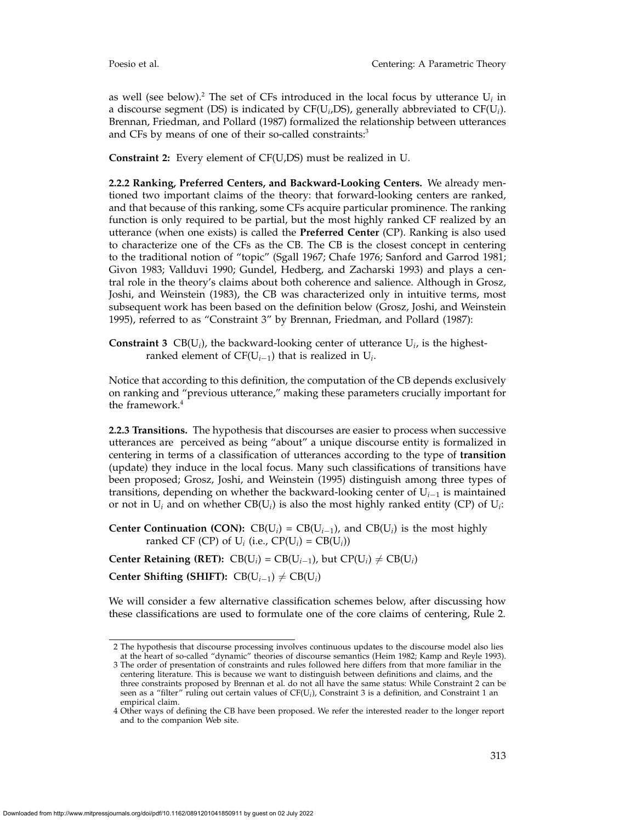as well (see below).<sup>2</sup> The set of CFs introduced in the local focus by utterance  $U_i$  in a discourse segment (DS) is indicated by CF(U*i*,DS), generally abbreviated to CF(U*i*). Brennan, Friedman, and Pollard (1987) formalized the relationship between utterances and CFs by means of one of their so-called constraints:<sup>3</sup>

**Constraint 2:** Every element of CF(U,DS) must be realized in U.

**2.2.2 Ranking, Preferred Centers, and Backward-Looking Centers.** We already mentioned two important claims of the theory: that forward-looking centers are ranked, and that because of this ranking, some CFs acquire particular prominence. The ranking function is only required to be partial, but the most highly ranked CF realized by an utterance (when one exists) is called the **Preferred Center** (CP). Ranking is also used to characterize one of the CFs as the CB. The CB is the closest concept in centering to the traditional notion of "topic" (Sgall 1967; Chafe 1976; Sanford and Garrod 1981; Givon 1983; Vallduvi 1990; Gundel, Hedberg, and Zacharski 1993) and plays a central role in the theory's claims about both coherence and salience. Although in Grosz, Joshi, and Weinstein (1983), the CB was characterized only in intuitive terms, most subsequent work has been based on the definition below (Grosz, Joshi, and Weinstein 1995), referred to as "Constraint 3" by Brennan, Friedman, and Pollard (1987):

**Constraint 3** CB( $U_i$ ), the backward-looking center of utterance  $U_i$ , is the highestranked element of CF(U*<sup>i</sup>*−1) that is realized in U*i*.

Notice that according to this definition, the computation of the CB depends exclusively on ranking and "previous utterance," making these parameters crucially important for the framework.<sup>4</sup>

**2.2.3 Transitions.** The hypothesis that discourses are easier to process when successive utterances are perceived as being "about" a unique discourse entity is formalized in centering in terms of a classification of utterances according to the type of **transition** (update) they induce in the local focus. Many such classifications of transitions have been proposed; Grosz, Joshi, and Weinstein (1995) distinguish among three types of transitions, depending on whether the backward-looking center of U*<sup>i</sup>*−<sup>1</sup> is maintained or not in  $U_i$  and on whether  $CB(U_i)$  is also the most highly ranked entity (CP) of  $U_i$ :

**Center Continuation (CON):** CB( $U_i$ ) = CB( $U_{i-1}$ ), and CB( $U_i$ ) is the most highly ranked CF (CP) of  $U_i$  (i.e., CP( $U_i$ ) = CB( $U_i$ ))

**Center Retaining (RET):** CB(U<sub>*i*</sub>) = CB(U<sub>*i*</sub>–1), but CP(U<sub>*i*</sub>)  $\neq$  CB(U<sub>*i*</sub>)

**Center Shifting (SHIFT):**  $CB(U_{i-1}) \neq CB(U_i)$ 

We will consider a few alternative classification schemes below, after discussing how these classifications are used to formulate one of the core claims of centering, Rule 2.

<sup>2</sup> The hypothesis that discourse processing involves continuous updates to the discourse model also lies at the heart of so-called "dynamic" theories of discourse semantics (Heim 1982; Kamp and Reyle 1993).

<sup>3</sup> The order of presentation of constraints and rules followed here differs from that more familiar in the centering literature. This is because we want to distinguish between definitions and claims, and the three constraints proposed by Brennan et al. do not all have the same status: While Constraint 2 can be seen as a "filter" ruling out certain values of CF(U*i*), Constraint 3 is a definition, and Constraint 1 an empirical claim.

<sup>4</sup> Other ways of defining the CB have been proposed. We refer the interested reader to the longer report and to the companion Web site.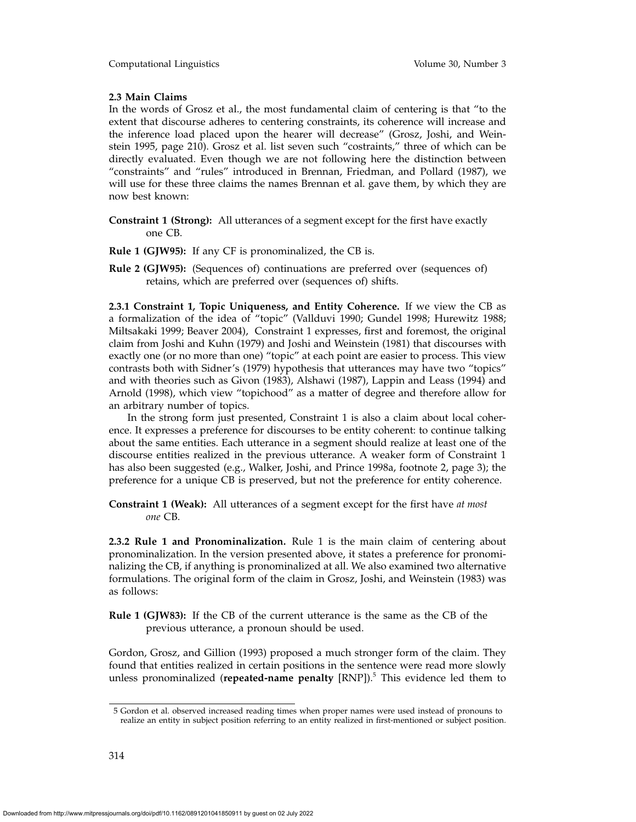# **2.3 Main Claims**

In the words of Grosz et al., the most fundamental claim of centering is that "to the extent that discourse adheres to centering constraints, its coherence will increase and the inference load placed upon the hearer will decrease" (Grosz, Joshi, and Weinstein 1995, page 210). Grosz et al. list seven such "costraints," three of which can be directly evaluated. Even though we are not following here the distinction between "constraints" and "rules" introduced in Brennan, Friedman, and Pollard (1987), we will use for these three claims the names Brennan et al. gave them, by which they are now best known:

- **Constraint 1 (Strong):** All utterances of a segment except for the first have exactly one CB.
- **Rule 1 (GJW95):** If any CF is pronominalized, the CB is.
- **Rule 2 (GJW95):** (Sequences of) continuations are preferred over (sequences of) retains, which are preferred over (sequences of) shifts.

**2.3.1 Constraint 1, Topic Uniqueness, and Entity Coherence.** If we view the CB as a formalization of the idea of "topic" (Vallduvi 1990; Gundel 1998; Hurewitz 1988; Miltsakaki 1999; Beaver 2004), Constraint 1 expresses, first and foremost, the original claim from Joshi and Kuhn (1979) and Joshi and Weinstein (1981) that discourses with exactly one (or no more than one) "topic" at each point are easier to process. This view contrasts both with Sidner's (1979) hypothesis that utterances may have two "topics" and with theories such as Givon (1983), Alshawi (1987), Lappin and Leass (1994) and Arnold (1998), which view "topichood" as a matter of degree and therefore allow for an arbitrary number of topics.

In the strong form just presented, Constraint 1 is also a claim about local coherence. It expresses a preference for discourses to be entity coherent: to continue talking about the same entities. Each utterance in a segment should realize at least one of the discourse entities realized in the previous utterance. A weaker form of Constraint 1 has also been suggested (e.g., Walker, Joshi, and Prince 1998a, footnote 2, page 3); the preference for a unique CB is preserved, but not the preference for entity coherence.

**Constraint 1 (Weak):** All utterances of a segment except for the first have *at most one* CB.

**2.3.2 Rule 1 and Pronominalization.** Rule 1 is the main claim of centering about pronominalization. In the version presented above, it states a preference for pronominalizing the CB, if anything is pronominalized at all. We also examined two alternative formulations. The original form of the claim in Grosz, Joshi, and Weinstein (1983) was as follows:

**Rule 1 (GJW83):** If the CB of the current utterance is the same as the CB of the previous utterance, a pronoun should be used.

Gordon, Grosz, and Gillion (1993) proposed a much stronger form of the claim. They found that entities realized in certain positions in the sentence were read more slowly unless pronominalized (**repeated-name penalty** [RNP]).5 This evidence led them to

<sup>5</sup> Gordon et al. observed increased reading times when proper names were used instead of pronouns to realize an entity in subject position referring to an entity realized in first-mentioned or subject position.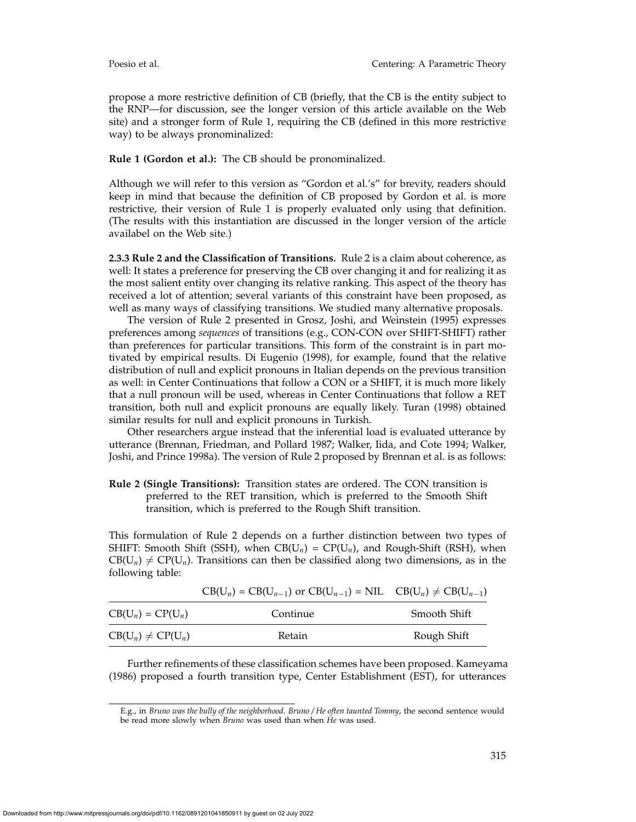propose a more restrictive definition of CB (briefly, that the CB is the entity subject to the RNP—for discussion, see the longer version of this article available on the Web site) and a stronger form of Rule 1, requiring the CB (defined in this more restrictive way) to be always pronominalized:

## **Rule 1 (Gordon et al.):** The CB should be pronominalized.

Although we will refer to this version as "Gordon et al.'s" for brevity, readers should keep in mind that because the definition of CB proposed by Gordon et al. is more restrictive, their version of Rule 1 is properly evaluated only using that definition. (The results with this instantiation are discussed in the longer version of the article availabel on the Web site.)

**2.3.3 Rule 2 and the Classification of Transitions.** Rule 2 is a claim about coherence, as well: It states a preference for preserving the CB over changing it and for realizing it as the most salient entity over changing its relative ranking. This aspect of the theory has received a lot of attention; several variants of this constraint have been proposed, as well as many ways of classifying transitions. We studied many alternative proposals.

The version of Rule 2 presented in Grosz, Joshi, and Weinstein (1995) expresses preferences among *sequences* of transitions (e.g., CON-CON over SHIFT-SHIFT) rather than preferences for particular transitions. This form of the constraint is in part motivated by empirical results. Di Eugenio (1998), for example, found that the relative distribution of null and explicit pronouns in Italian depends on the previous transition as well: in Center Continuations that follow a CON or a SHIFT, it is much more likely that a null pronoun will be used, whereas in Center Continuations that follow a RET transition, both null and explicit pronouns are equally likely. Turan (1998) obtained similar results for null and explicit pronouns in Turkish.

Other researchers argue instead that the inferential load is evaluated utterance by utterance (Brennan, Friedman, and Pollard 1987; Walker, Iida, and Cote 1994; Walker, Joshi, and Prince 1998a). The version of Rule 2 proposed by Brennan et al. is as follows:

**Rule 2 (Single Transitions):** Transition states are ordered. The CON transition is preferred to the RET transition, which is preferred to the Smooth Shift transition, which is preferred to the Rough Shift transition.

This formulation of Rule 2 depends on a further distinction between two types of SHIFT: Smooth Shift (SSH), when  $CB(U_n) = CP(U_n)$ , and Rough-Shift (RSH), when  $CB(U_n) \neq CP(U_n)$ . Transitions can then be classified along two dimensions, as in the following table:

|                        | $CB(U_n) = CB(U_{n-1})$ or $CB(U_{n-1}) = NIL \quad CB(U_n) \neq CB(U_{n-1})$ |              |
|------------------------|-------------------------------------------------------------------------------|--------------|
| $CB(U_n) = CP(U_n)$    | Continue                                                                      | Smooth Shift |
| $CB(U_n) \neq CP(U_n)$ | Retain                                                                        | Rough Shift  |

Further refinements of these classification schemes have been proposed. Kameyama (1986) proposed a fourth transition type, Center Establishment (EST), for utterances

E.g., in *Bruno was the bully of the neighborhood. Bruno / He often taunted Tommy*, the second sentence would be read more slowly when *Bruno* was used than when *He* was used.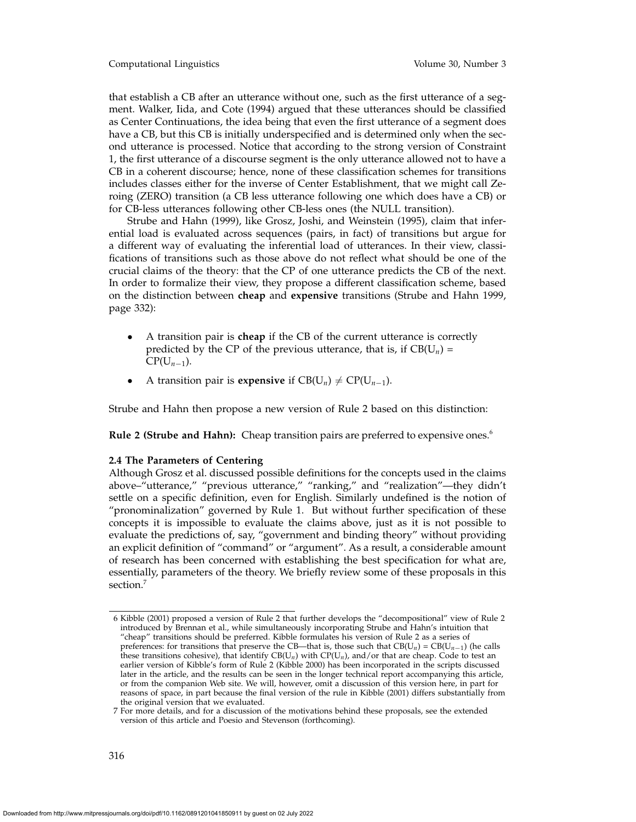Computational Linguistics Volume 30, Number 3

that establish a CB after an utterance without one, such as the first utterance of a segment. Walker, Iida, and Cote (1994) argued that these utterances should be classified as Center Continuations, the idea being that even the first utterance of a segment does have a CB, but this CB is initially underspecified and is determined only when the second utterance is processed. Notice that according to the strong version of Constraint 1, the first utterance of a discourse segment is the only utterance allowed not to have a CB in a coherent discourse; hence, none of these classification schemes for transitions includes classes either for the inverse of Center Establishment, that we might call Zeroing (ZERO) transition (a CB less utterance following one which does have a CB) or for CB-less utterances following other CB-less ones (the NULL transition).

Strube and Hahn (1999), like Grosz, Joshi, and Weinstein (1995), claim that inferential load is evaluated across sequences (pairs, in fact) of transitions but argue for a different way of evaluating the inferential load of utterances. In their view, classifications of transitions such as those above do not reflect what should be one of the crucial claims of the theory: that the CP of one utterance predicts the CB of the next. In order to formalize their view, they propose a different classification scheme, based on the distinction between **cheap** and **expensive** transitions (Strube and Hahn 1999, page 332):

- A transition pair is **cheap** if the CB of the current utterance is correctly predicted by the CP of the previous utterance, that is, if  $CB(U_n)$  =  $CP(U_{n-1})$ .
- A transition pair is **expensive** if  $CB(U_n) \neq CP(U_{n-1})$ .

Strube and Hahn then propose a new version of Rule 2 based on this distinction:

**Rule 2 (Strube and Hahn):** Cheap transition pairs are preferred to expensive ones.<sup>6</sup>

## **2.4 The Parameters of Centering**

Although Grosz et al. discussed possible definitions for the concepts used in the claims above–"utterance," "previous utterance," "ranking," and "realization"—they didn't settle on a specific definition, even for English. Similarly undefined is the notion of "pronominalization" governed by Rule 1. But without further specification of these concepts it is impossible to evaluate the claims above, just as it is not possible to evaluate the predictions of, say, "government and binding theory" without providing an explicit definition of "command" or "argument". As a result, a considerable amount of research has been concerned with establishing the best specification for what are, essentially, parameters of the theory. We briefly review some of these proposals in this section.<sup>7</sup>

<sup>6</sup> Kibble (2001) proposed a version of Rule 2 that further develops the "decompositional" view of Rule 2 introduced by Brennan et al., while simultaneously incorporating Strube and Hahn's intuition that "cheap" transitions should be preferred. Kibble formulates his version of Rule 2 as a series of preferences: for transitions that preserve the CB—that is, those such that  $CB(U_n) = CB(U_{n-1})$  (he calls these transitions cohesive), that identify  $CB(U_n)$  with  $CP(U_n)$ , and/or that are cheap. Code to test an earlier version of Kibble's form of Rule 2 (Kibble 2000) has been incorporated in the scripts discussed later in the article, and the results can be seen in the longer technical report accompanying this article, or from the companion Web site. We will, however, omit a discussion of this version here, in part for reasons of space, in part because the final version of the rule in Kibble (2001) differs substantially from the original version that we evaluated.

<sup>7</sup> For more details, and for a discussion of the motivations behind these proposals, see the extended version of this article and Poesio and Stevenson (forthcoming).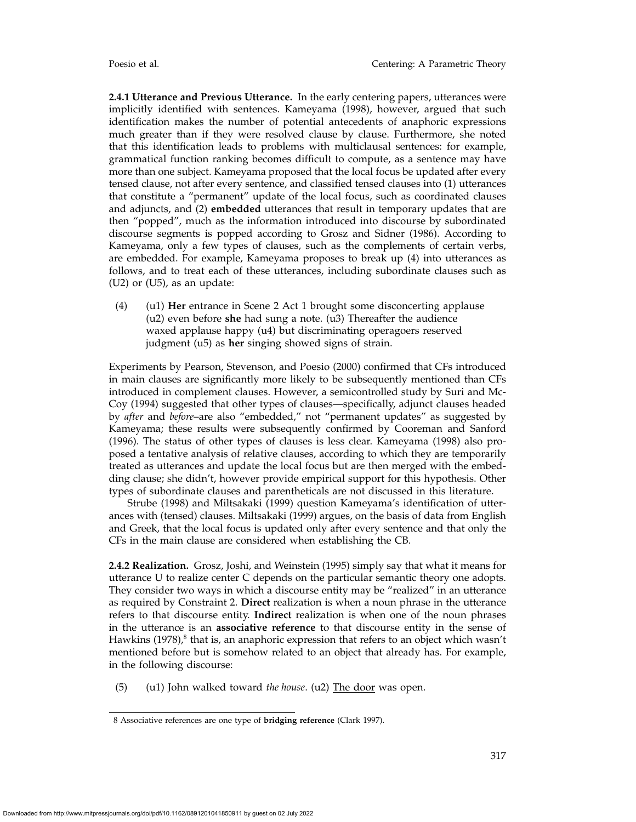**2.4.1 Utterance and Previous Utterance.** In the early centering papers, utterances were implicitly identified with sentences. Kameyama (1998), however, argued that such identification makes the number of potential antecedents of anaphoric expressions much greater than if they were resolved clause by clause. Furthermore, she noted that this identification leads to problems with multiclausal sentences: for example, grammatical function ranking becomes difficult to compute, as a sentence may have more than one subject. Kameyama proposed that the local focus be updated after every tensed clause, not after every sentence, and classified tensed clauses into (1) utterances that constitute a "permanent" update of the local focus, such as coordinated clauses and adjuncts, and (2) **embedded** utterances that result in temporary updates that are then "popped", much as the information introduced into discourse by subordinated discourse segments is popped according to Grosz and Sidner (1986). According to Kameyama, only a few types of clauses, such as the complements of certain verbs, are embedded. For example, Kameyama proposes to break up (4) into utterances as follows, and to treat each of these utterances, including subordinate clauses such as (U2) or (U5), as an update:

(4) (u1) **Her** entrance in Scene 2 Act 1 brought some disconcerting applause (u2) even before **she** had sung a note. (u3) Thereafter the audience waxed applause happy (u4) but discriminating operagoers reserved judgment (u5) as **her** singing showed signs of strain.

Experiments by Pearson, Stevenson, and Poesio (2000) confirmed that CFs introduced in main clauses are significantly more likely to be subsequently mentioned than CFs introduced in complement clauses. However, a semicontrolled study by Suri and Mc-Coy (1994) suggested that other types of clauses—specifically, adjunct clauses headed by *after* and *before*–are also "embedded," not "permanent updates" as suggested by Kameyama; these results were subsequently confirmed by Cooreman and Sanford (1996). The status of other types of clauses is less clear. Kameyama (1998) also proposed a tentative analysis of relative clauses, according to which they are temporarily treated as utterances and update the local focus but are then merged with the embedding clause; she didn't, however provide empirical support for this hypothesis. Other types of subordinate clauses and parentheticals are not discussed in this literature.

Strube (1998) and Miltsakaki (1999) question Kameyama's identification of utterances with (tensed) clauses. Miltsakaki (1999) argues, on the basis of data from English and Greek, that the local focus is updated only after every sentence and that only the CFs in the main clause are considered when establishing the CB.

**2.4.2 Realization.** Grosz, Joshi, and Weinstein (1995) simply say that what it means for utterance U to realize center C depends on the particular semantic theory one adopts. They consider two ways in which a discourse entity may be "realized" in an utterance as required by Constraint 2. **Direct** realization is when a noun phrase in the utterance refers to that discourse entity. **Indirect** realization is when one of the noun phrases in the utterance is an **associative reference** to that discourse entity in the sense of Hawkins  $(1978)$ ,<sup>8</sup> that is, an anaphoric expression that refers to an object which wasn't mentioned before but is somehow related to an object that already has. For example, in the following discourse:

(5) (u1) John walked toward *the house*. (u2) The door was open.

<sup>8</sup> Associative references are one type of **bridging reference** (Clark 1997).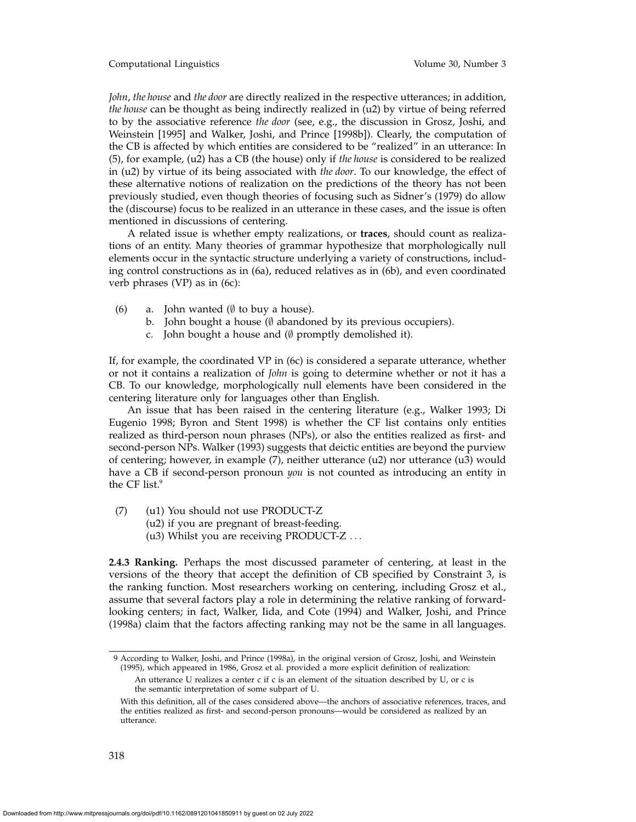Computational Linguistics Volume 30, Number 3

*John*, *the house* and *the door* are directly realized in the respective utterances; in addition, *the house* can be thought as being indirectly realized in (u2) by virtue of being referred to by the associative reference *the door* (see, e.g., the discussion in Grosz, Joshi, and Weinstein [1995] and Walker, Joshi, and Prince [1998b]). Clearly, the computation of the CB is affected by which entities are considered to be "realized" in an utterance: In (5), for example, (u2) has a CB (the house) only if *the house* is considered to be realized in (u2) by virtue of its being associated with *the door*. To our knowledge, the effect of these alternative notions of realization on the predictions of the theory has not been previously studied, even though theories of focusing such as Sidner's (1979) do allow the (discourse) focus to be realized in an utterance in these cases, and the issue is often mentioned in discussions of centering.

A related issue is whether empty realizations, or **traces**, should count as realizations of an entity. Many theories of grammar hypothesize that morphologically null elements occur in the syntactic structure underlying a variety of constructions, including control constructions as in (6a), reduced relatives as in (6b), and even coordinated verb phrases (VP) as in (6c):

- (6) a. John wanted ( $\emptyset$  to buy a house).
	- b. John bought a house (∅ abandoned by its previous occupiers).
	- c. John bought a house and (∅ promptly demolished it).

If, for example, the coordinated VP in (6c) is considered a separate utterance, whether or not it contains a realization of *John* is going to determine whether or not it has a CB. To our knowledge, morphologically null elements have been considered in the centering literature only for languages other than English.

An issue that has been raised in the centering literature (e.g., Walker 1993; Di Eugenio 1998; Byron and Stent 1998) is whether the CF list contains only entities realized as third-person noun phrases (NPs), or also the entities realized as first- and second-person NPs. Walker (1993) suggests that deictic entities are beyond the purview of centering; however, in example (7), neither utterance (u2) nor utterance (u3) would have a CB if second-person pronoun *you* is not counted as introducing an entity in the CF list.<sup>9</sup>

(7) (u1) You should not use PRODUCT-Z

- (u2) if you are pregnant of breast-feeding.
- (u3) Whilst you are receiving PRODUCT-Z ...

**2.4.3 Ranking.** Perhaps the most discussed parameter of centering, at least in the versions of the theory that accept the definition of CB specified by Constraint 3, is the ranking function. Most researchers working on centering, including Grosz et al., assume that several factors play a role in determining the relative ranking of forwardlooking centers; in fact, Walker, Iida, and Cote (1994) and Walker, Joshi, and Prince (1998a) claim that the factors affecting ranking may not be the same in all languages.

<sup>9</sup> According to Walker, Joshi, and Prince (1998a), in the original version of Grosz, Joshi, and Weinstein (1995), which appeared in 1986, Grosz et al. provided a more explicit definition of realization:

An utterance U realizes a center c if c is an element of the situation described by U, or c is the semantic interpretation of some subpart of U.

With this definition, all of the cases considered above—the anchors of associative references, traces, and the entities realized as first- and second-person pronouns—would be considered as realized by an utterance.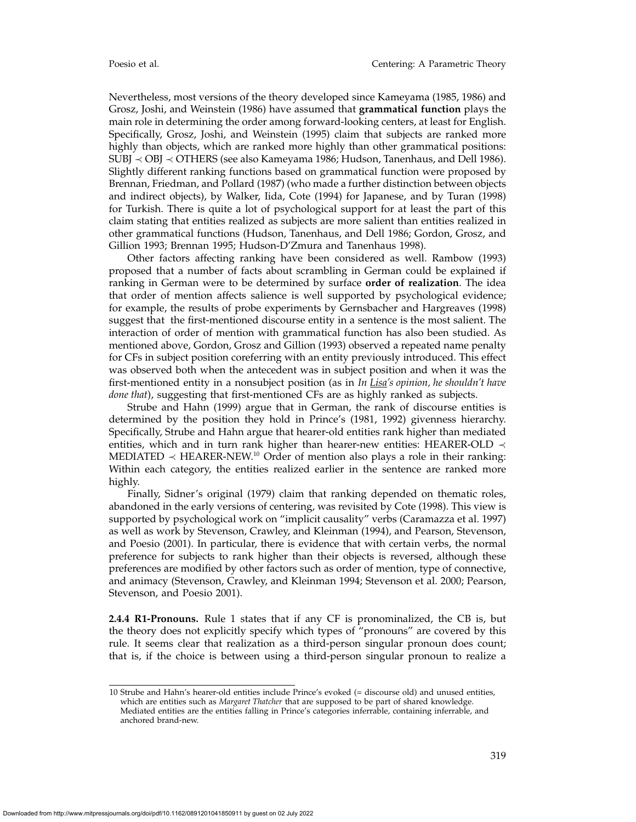Nevertheless, most versions of the theory developed since Kameyama (1985, 1986) and Grosz, Joshi, and Weinstein (1986) have assumed that **grammatical function** plays the main role in determining the order among forward-looking centers, at least for English. Specifically, Grosz, Joshi, and Weinstein (1995) claim that subjects are ranked more highly than objects, which are ranked more highly than other grammatical positions: SUBJ ≺ OBJ ≺ OTHERS (see also Kameyama 1986; Hudson, Tanenhaus, and Dell 1986). Slightly different ranking functions based on grammatical function were proposed by Brennan, Friedman, and Pollard (1987) (who made a further distinction between objects and indirect objects), by Walker, Iida, Cote (1994) for Japanese, and by Turan (1998) for Turkish. There is quite a lot of psychological support for at least the part of this claim stating that entities realized as subjects are more salient than entities realized in other grammatical functions (Hudson, Tanenhaus, and Dell 1986; Gordon, Grosz, and Gillion 1993; Brennan 1995; Hudson-D'Zmura and Tanenhaus 1998).

Other factors affecting ranking have been considered as well. Rambow (1993) proposed that a number of facts about scrambling in German could be explained if ranking in German were to be determined by surface **order of realization**. The idea that order of mention affects salience is well supported by psychological evidence; for example, the results of probe experiments by Gernsbacher and Hargreaves (1998) suggest that the first-mentioned discourse entity in a sentence is the most salient. The interaction of order of mention with grammatical function has also been studied. As mentioned above, Gordon, Grosz and Gillion (1993) observed a repeated name penalty for CFs in subject position coreferring with an entity previously introduced. This effect was observed both when the antecedent was in subject position and when it was the first-mentioned entity in a nonsubject position (as in *In Lisa's opinion, he shouldn't have done that*), suggesting that first-mentioned CFs are as highly ranked as subjects.

Strube and Hahn (1999) argue that in German, the rank of discourse entities is determined by the position they hold in Prince's (1981, 1992) givenness hierarchy. Specifically, Strube and Hahn argue that hearer-old entities rank higher than mediated entities, which and in turn rank higher than hearer-new entities: HEARER-OLD  $\prec$ MEDIATED  $\prec$  HEARER-NEW.<sup>10</sup> Order of mention also plays a role in their ranking: Within each category, the entities realized earlier in the sentence are ranked more highly.

Finally, Sidner's original (1979) claim that ranking depended on thematic roles, abandoned in the early versions of centering, was revisited by Cote (1998). This view is supported by psychological work on "implicit causality" verbs (Caramazza et al. 1997) as well as work by Stevenson, Crawley, and Kleinman (1994), and Pearson, Stevenson, and Poesio (2001). In particular, there is evidence that with certain verbs, the normal preference for subjects to rank higher than their objects is reversed, although these preferences are modified by other factors such as order of mention, type of connective, and animacy (Stevenson, Crawley, and Kleinman 1994; Stevenson et al. 2000; Pearson, Stevenson, and Poesio 2001).

**2.4.4 R1-Pronouns.** Rule 1 states that if any CF is pronominalized, the CB is, but the theory does not explicitly specify which types of "pronouns" are covered by this rule. It seems clear that realization as a third-person singular pronoun does count; that is, if the choice is between using a third-person singular pronoun to realize a

<sup>10</sup> Strube and Hahn's hearer-old entities include Prince's evoked (= discourse old) and unused entities, which are entities such as *Margaret Thatcher* that are supposed to be part of shared knowledge. Mediated entities are the entities falling in Prince's categories inferrable, containing inferrable, and anchored brand-new.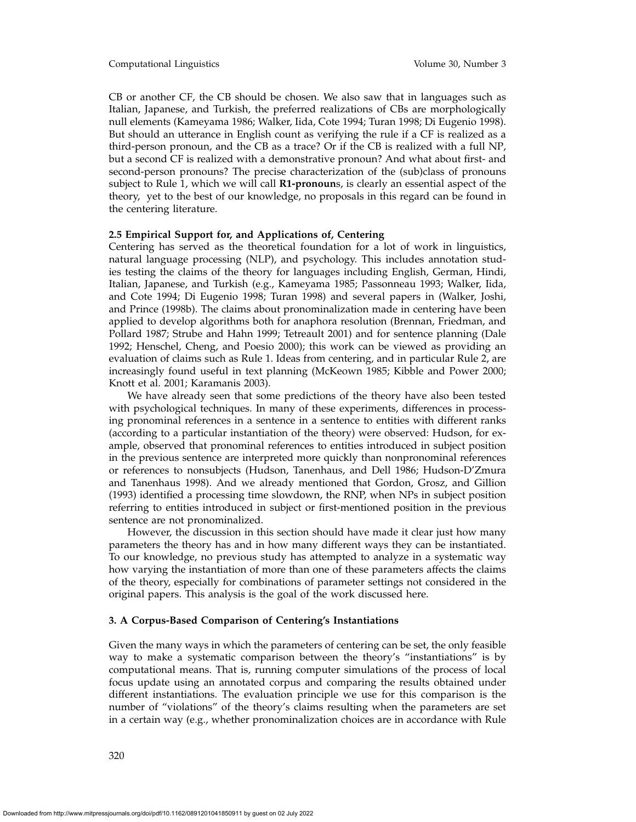CB or another CF, the CB should be chosen. We also saw that in languages such as Italian, Japanese, and Turkish, the preferred realizations of CBs are morphologically null elements (Kameyama 1986; Walker, Iida, Cote 1994; Turan 1998; Di Eugenio 1998). But should an utterance in English count as verifying the rule if a CF is realized as a third-person pronoun, and the CB as a trace? Or if the CB is realized with a full NP, but a second CF is realized with a demonstrative pronoun? And what about first- and second-person pronouns? The precise characterization of the (sub)class of pronouns subject to Rule 1, which we will call **R1-pronoun**s, is clearly an essential aspect of the theory, yet to the best of our knowledge, no proposals in this regard can be found in the centering literature.

## **2.5 Empirical Support for, and Applications of, Centering**

Centering has served as the theoretical foundation for a lot of work in linguistics, natural language processing (NLP), and psychology. This includes annotation studies testing the claims of the theory for languages including English, German, Hindi, Italian, Japanese, and Turkish (e.g., Kameyama 1985; Passonneau 1993; Walker, Iida, and Cote 1994; Di Eugenio 1998; Turan 1998) and several papers in (Walker, Joshi, and Prince (1998b). The claims about pronominalization made in centering have been applied to develop algorithms both for anaphora resolution (Brennan, Friedman, and Pollard 1987; Strube and Hahn 1999; Tetreault 2001) and for sentence planning (Dale 1992; Henschel, Cheng, and Poesio 2000); this work can be viewed as providing an evaluation of claims such as Rule 1. Ideas from centering, and in particular Rule 2, are increasingly found useful in text planning (McKeown 1985; Kibble and Power 2000; Knott et al. 2001; Karamanis 2003).

We have already seen that some predictions of the theory have also been tested with psychological techniques. In many of these experiments, differences in processing pronominal references in a sentence in a sentence to entities with different ranks (according to a particular instantiation of the theory) were observed: Hudson, for example, observed that pronominal references to entities introduced in subject position in the previous sentence are interpreted more quickly than nonpronominal references or references to nonsubjects (Hudson, Tanenhaus, and Dell 1986; Hudson-D'Zmura and Tanenhaus 1998). And we already mentioned that Gordon, Grosz, and Gillion (1993) identified a processing time slowdown, the RNP, when NPs in subject position referring to entities introduced in subject or first-mentioned position in the previous sentence are not pronominalized.

However, the discussion in this section should have made it clear just how many parameters the theory has and in how many different ways they can be instantiated. To our knowledge, no previous study has attempted to analyze in a systematic way how varying the instantiation of more than one of these parameters affects the claims of the theory, especially for combinations of parameter settings not considered in the original papers. This analysis is the goal of the work discussed here.

## **3. A Corpus-Based Comparison of Centering's Instantiations**

Given the many ways in which the parameters of centering can be set, the only feasible way to make a systematic comparison between the theory's "instantiations" is by computational means. That is, running computer simulations of the process of local focus update using an annotated corpus and comparing the results obtained under different instantiations. The evaluation principle we use for this comparison is the number of "violations" of the theory's claims resulting when the parameters are set in a certain way (e.g., whether pronominalization choices are in accordance with Rule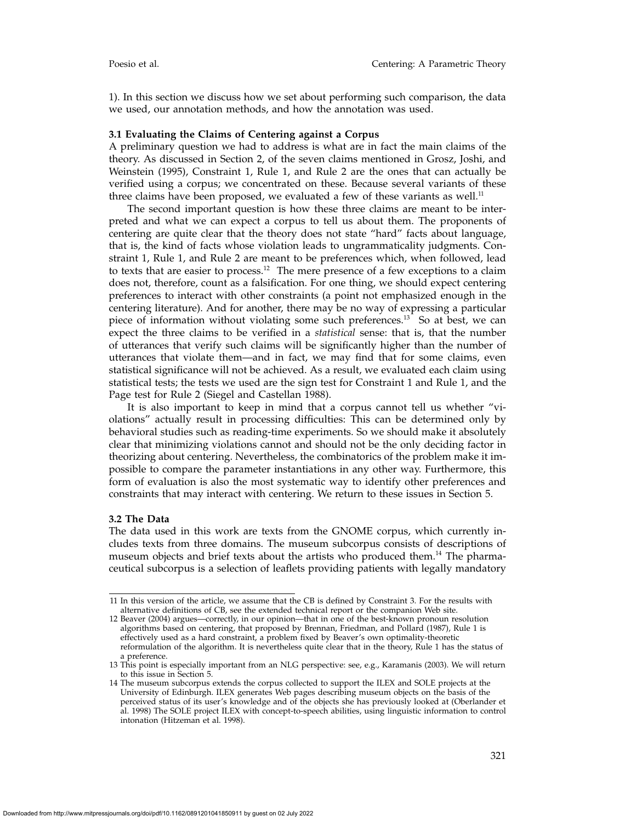1). In this section we discuss how we set about performing such comparison, the data we used, our annotation methods, and how the annotation was used.

## **3.1 Evaluating the Claims of Centering against a Corpus**

A preliminary question we had to address is what are in fact the main claims of the theory. As discussed in Section 2, of the seven claims mentioned in Grosz, Joshi, and Weinstein (1995), Constraint 1, Rule 1, and Rule 2 are the ones that can actually be verified using a corpus; we concentrated on these. Because several variants of these three claims have been proposed, we evaluated a few of these variants as well.<sup>11</sup>

The second important question is how these three claims are meant to be interpreted and what we can expect a corpus to tell us about them. The proponents of centering are quite clear that the theory does not state "hard" facts about language, that is, the kind of facts whose violation leads to ungrammaticality judgments. Constraint 1, Rule 1, and Rule 2 are meant to be preferences which, when followed, lead to texts that are easier to process.<sup>12</sup> The mere presence of a few exceptions to a claim does not, therefore, count as a falsification. For one thing, we should expect centering preferences to interact with other constraints (a point not emphasized enough in the centering literature). And for another, there may be no way of expressing a particular piece of information without violating some such preferences.13 So at best, we can expect the three claims to be verified in a *statistical* sense: that is, that the number of utterances that verify such claims will be significantly higher than the number of utterances that violate them—and in fact, we may find that for some claims, even statistical significance will not be achieved. As a result, we evaluated each claim using statistical tests; the tests we used are the sign test for Constraint 1 and Rule 1, and the Page test for Rule 2 (Siegel and Castellan 1988).

It is also important to keep in mind that a corpus cannot tell us whether "violations" actually result in processing difficulties: This can be determined only by behavioral studies such as reading-time experiments. So we should make it absolutely clear that minimizing violations cannot and should not be the only deciding factor in theorizing about centering. Nevertheless, the combinatorics of the problem make it impossible to compare the parameter instantiations in any other way. Furthermore, this form of evaluation is also the most systematic way to identify other preferences and constraints that may interact with centering. We return to these issues in Section 5.

## **3.2 The Data**

The data used in this work are texts from the GNOME corpus, which currently includes texts from three domains. The museum subcorpus consists of descriptions of museum objects and brief texts about the artists who produced them.<sup>14</sup> The pharmaceutical subcorpus is a selection of leaflets providing patients with legally mandatory

<sup>11</sup> In this version of the article, we assume that the CB is defined by Constraint 3. For the results with alternative definitions of CB, see the extended technical report or the companion Web site.

<sup>12</sup> Beaver (2004) argues—correctly, in our opinion—that in one of the best-known pronoun resolution algorithms based on centering, that proposed by Brennan, Friedman, and Pollard (1987), Rule 1 is effectively used as a hard constraint, a problem fixed by Beaver's own optimality-theoretic reformulation of the algorithm. It is nevertheless quite clear that in the theory, Rule 1 has the status of a preference.

<sup>13</sup> This point is especially important from an NLG perspective: see, e.g., Karamanis (2003). We will return to this issue in Section 5.

<sup>14</sup> The museum subcorpus extends the corpus collected to support the ILEX and SOLE projects at the University of Edinburgh. ILEX generates Web pages describing museum objects on the basis of the perceived status of its user's knowledge and of the objects she has previously looked at (Oberlander et al. 1998) The SOLE project ILEX with concept-to-speech abilities, using linguistic information to control intonation (Hitzeman et al. 1998).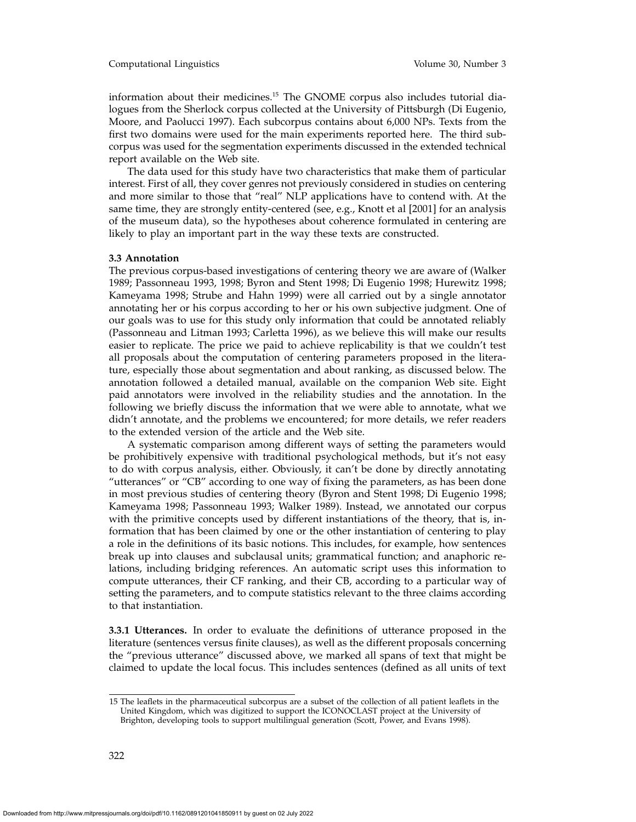#### Computational Linguistics Volume 30, Number 3

information about their medicines.15 The GNOME corpus also includes tutorial dialogues from the Sherlock corpus collected at the University of Pittsburgh (Di Eugenio, Moore, and Paolucci 1997). Each subcorpus contains about 6,000 NPs. Texts from the first two domains were used for the main experiments reported here. The third subcorpus was used for the segmentation experiments discussed in the extended technical report available on the Web site.

The data used for this study have two characteristics that make them of particular interest. First of all, they cover genres not previously considered in studies on centering and more similar to those that "real" NLP applications have to contend with. At the same time, they are strongly entity-centered (see, e.g., Knott et al [2001] for an analysis of the museum data), so the hypotheses about coherence formulated in centering are likely to play an important part in the way these texts are constructed.

#### **3.3 Annotation**

The previous corpus-based investigations of centering theory we are aware of (Walker 1989; Passonneau 1993, 1998; Byron and Stent 1998; Di Eugenio 1998; Hurewitz 1998; Kameyama 1998; Strube and Hahn 1999) were all carried out by a single annotator annotating her or his corpus according to her or his own subjective judgment. One of our goals was to use for this study only information that could be annotated reliably (Passonneau and Litman 1993; Carletta 1996), as we believe this will make our results easier to replicate. The price we paid to achieve replicability is that we couldn't test all proposals about the computation of centering parameters proposed in the literature, especially those about segmentation and about ranking, as discussed below. The annotation followed a detailed manual, available on the companion Web site. Eight paid annotators were involved in the reliability studies and the annotation. In the following we briefly discuss the information that we were able to annotate, what we didn't annotate, and the problems we encountered; for more details, we refer readers to the extended version of the article and the Web site.

A systematic comparison among different ways of setting the parameters would be prohibitively expensive with traditional psychological methods, but it's not easy to do with corpus analysis, either. Obviously, it can't be done by directly annotating "utterances" or "CB" according to one way of fixing the parameters, as has been done in most previous studies of centering theory (Byron and Stent 1998; Di Eugenio 1998; Kameyama 1998; Passonneau 1993; Walker 1989). Instead, we annotated our corpus with the primitive concepts used by different instantiations of the theory, that is, information that has been claimed by one or the other instantiation of centering to play a role in the definitions of its basic notions. This includes, for example, how sentences break up into clauses and subclausal units; grammatical function; and anaphoric relations, including bridging references. An automatic script uses this information to compute utterances, their CF ranking, and their CB, according to a particular way of setting the parameters, and to compute statistics relevant to the three claims according to that instantiation.

**3.3.1 Utterances.** In order to evaluate the definitions of utterance proposed in the literature (sentences versus finite clauses), as well as the different proposals concerning the "previous utterance" discussed above, we marked all spans of text that might be claimed to update the local focus. This includes sentences (defined as all units of text

<sup>15</sup> The leaflets in the pharmaceutical subcorpus are a subset of the collection of all patient leaflets in the United Kingdom, which was digitized to support the ICONOCLAST project at the University of Brighton, developing tools to support multilingual generation (Scott, Power, and Evans 1998).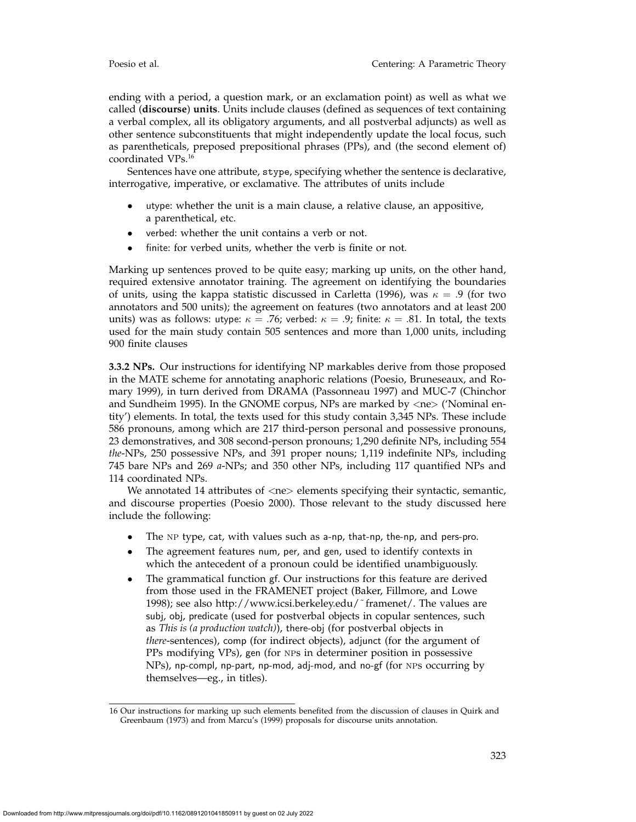ending with a period, a question mark, or an exclamation point) as well as what we called (**discourse**) **units**. Units include clauses (defined as sequences of text containing a verbal complex, all its obligatory arguments, and all postverbal adjuncts) as well as other sentence subconstituents that might independently update the local focus, such as parentheticals, preposed prepositional phrases (PPs), and (the second element of) coordinated VPs.16

Sentences have one attribute, stype, specifying whether the sentence is declarative, interrogative, imperative, or exclamative. The attributes of units include

- utype: whether the unit is a main clause, a relative clause, an appositive, a parenthetical, etc.
- verbed: whether the unit contains a verb or not.
- finite: for verbed units, whether the verb is finite or not.

Marking up sentences proved to be quite easy; marking up units, on the other hand, required extensive annotator training. The agreement on identifying the boundaries of units, using the kappa statistic discussed in Carletta (1996), was  $\kappa = .9$  (for two annotators and 500 units); the agreement on features (two annotators and at least 200 units) was as follows: utype:  $\kappa = .76$ ; verbed:  $\kappa = .9$ ; finite:  $\kappa = .81$ . In total, the texts used for the main study contain 505 sentences and more than 1,000 units, including 900 finite clauses

**3.3.2 NPs.** Our instructions for identifying NP markables derive from those proposed in the MATE scheme for annotating anaphoric relations (Poesio, Bruneseaux, and Romary 1999), in turn derived from DRAMA (Passonneau 1997) and MUC-7 (Chinchor and Sundheim 1995). In the GNOME corpus, NPs are marked by  $\langle$ ne $\rangle$  ('Nominal entity') elements. In total, the texts used for this study contain 3,345 NPs. These include 586 pronouns, among which are 217 third-person personal and possessive pronouns, 23 demonstratives, and 308 second-person pronouns; 1,290 definite NPs, including 554 *the*-NPs, 250 possessive NPs, and 391 proper nouns; 1,119 indefinite NPs, including 745 bare NPs and 269 *a*-NPs; and 350 other NPs, including 117 quantified NPs and 114 coordinated NPs.

We annotated 14 attributes of  $\langle$ ne $\rangle$  elements specifying their syntactic, semantic, and discourse properties (Poesio 2000). Those relevant to the study discussed here include the following:

- The np type, cat, with values such as a-np, that-np, the-np, and pers-pro.
- The agreement features num, per, and gen, used to identify contexts in which the antecedent of a pronoun could be identified unambiguously.
- The grammatical function gf. Our instructions for this feature are derived from those used in the FRAMENET project (Baker, Fillmore, and Lowe 1998); see also http://www.icsi.berkeley.edu/˜framenet/. The values are subj, obj, predicate (used for postverbal objects in copular sentences, such as *This is (a production watch)*), there-obj (for postverbal objects in *there*-sentences), comp (for indirect objects), adjunct (for the argument of PPs modifying VPs), gen (for NPs in determiner position in possessive  $NPs$ , np-compl, np-part, np-mod, adj-mod, and no-gf (for NPs occurring by themselves—eg., in titles).

<sup>16</sup> Our instructions for marking up such elements benefited from the discussion of clauses in Quirk and Greenbaum (1973) and from Marcu's (1999) proposals for discourse units annotation.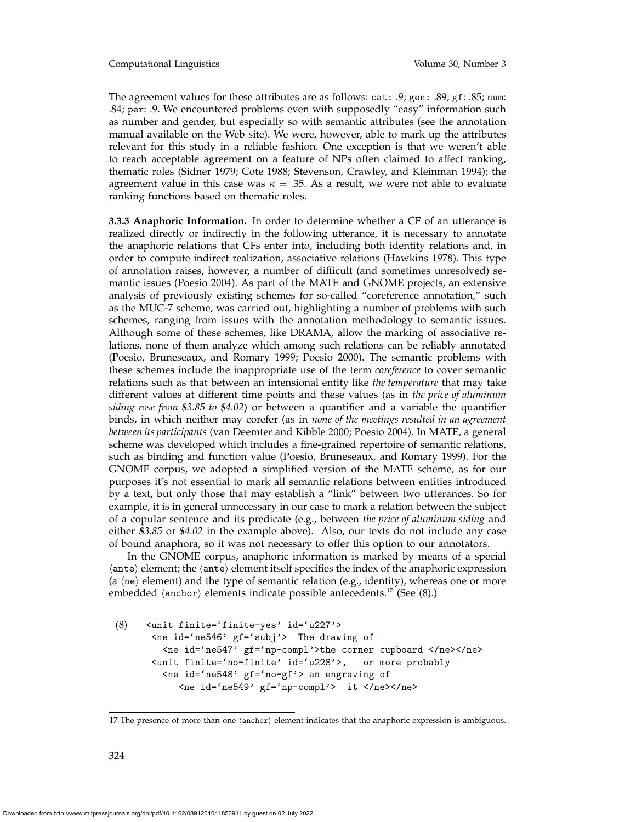Computational Linguistics Volume 30, Number 3

The agreement values for these attributes are as follows: cat: .9; gen: .89; gf: .85; num: .84; per: .9. We encountered problems even with supposedly "easy" information such as number and gender, but especially so with semantic attributes (see the annotation manual available on the Web site). We were, however, able to mark up the attributes relevant for this study in a reliable fashion. One exception is that we weren't able to reach acceptable agreement on a feature of NPs often claimed to affect ranking, thematic roles (Sidner 1979; Cote 1988; Stevenson, Crawley, and Kleinman 1994); the agreement value in this case was  $\kappa = 0.35$ . As a result, we were not able to evaluate ranking functions based on thematic roles.

**3.3.3 Anaphoric Information.** In order to determine whether a CF of an utterance is realized directly or indirectly in the following utterance, it is necessary to annotate the anaphoric relations that CFs enter into, including both identity relations and, in order to compute indirect realization, associative relations (Hawkins 1978). This type of annotation raises, however, a number of difficult (and sometimes unresolved) semantic issues (Poesio 2004). As part of the MATE and GNOME projects, an extensive analysis of previously existing schemes for so-called "coreference annotation," such as the MUC-7 scheme, was carried out, highlighting a number of problems with such schemes, ranging from issues with the annotation methodology to semantic issues. Although some of these schemes, like DRAMA, allow the marking of associative relations, none of them analyze which among such relations can be reliably annotated (Poesio, Bruneseaux, and Romary 1999; Poesio 2000). The semantic problems with these schemes include the inappropriate use of the term *coreference* to cover semantic relations such as that between an intensional entity like *the temperature* that may take different values at different time points and these values (as in *the price of aluminum siding rose from \$3.85 to \$4.02*) or between a quantifier and a variable the quantifier binds, in which neither may corefer (as in *none of the meetings resulted in an agreement between its participants* (van Deemter and Kibble 2000; Poesio 2004). In MATE, a general scheme was developed which includes a fine-grained repertoire of semantic relations, such as binding and function value (Poesio, Bruneseaux, and Romary 1999). For the GNOME corpus, we adopted a simplified version of the MATE scheme, as for our purposes it's not essential to mark all semantic relations between entities introduced by a text, but only those that may establish a "link" between two utterances. So for example, it is in general unnecessary in our case to mark a relation between the subject of a copular sentence and its predicate (e.g., between *the price of aluminum siding* and either *\$3.85* or *\$4.02* in the example above). Also, our texts do not include any case of bound anaphora, so it was not necessary to offer this option to our annotators.

In the GNOME corpus, anaphoric information is marked by means of a special  $\langle$  ante $\rangle$  element; the  $\langle$  ante $\rangle$  element itself specifies the index of the anaphoric expression (a  $\langle$ ne $\rangle$  element) and the type of semantic relation (e.g., identity), whereas one or more embedded  $\langle$ anchor $\rangle$  elements indicate possible antecedents.<sup>17</sup> (See (8).)

```
(8) <unit finite='finite-yes' id='u227'>
      <ne id='ne546' gf='subj'> The drawing of
        <ne id='ne547' gf='np-compl'>the corner cupboard </ne></ne>
      <unit finite='no-finite' id='u228'>, or more probably
        <ne id='ne548' gf='no-gf'> an engraving of
           <ne id='ne549' gf='np-compl'> it </ne></ne>
```
<sup>17</sup> The presence of more than one  $\langle$ anchor $\rangle$  element indicates that the anaphoric expression is ambiguous.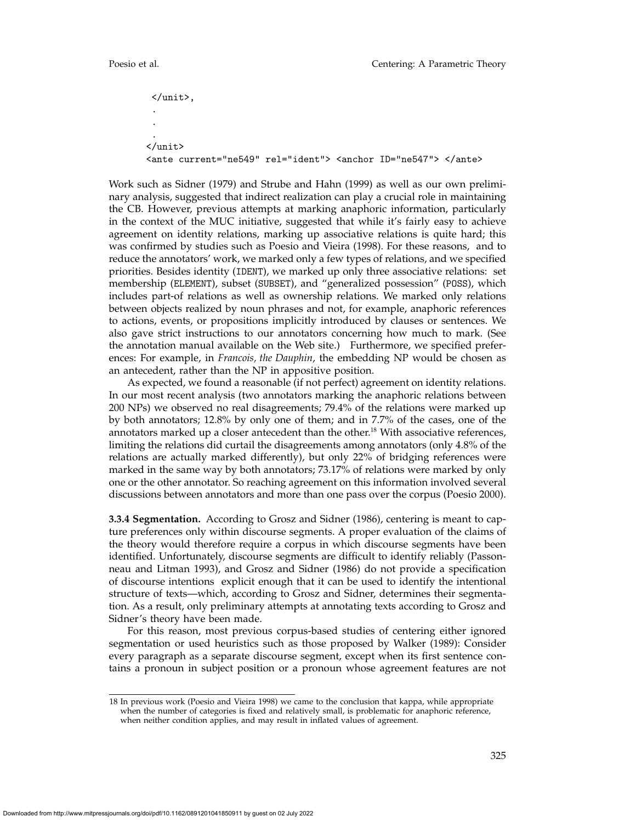```
</unit>,
 .
 .
 .
</unit>
<ante current="ne549" rel="ident"> <anchor ID="ne547"> </ante>
```
Work such as Sidner (1979) and Strube and Hahn (1999) as well as our own preliminary analysis, suggested that indirect realization can play a crucial role in maintaining the CB. However, previous attempts at marking anaphoric information, particularly in the context of the MUC initiative, suggested that while it's fairly easy to achieve agreement on identity relations, marking up associative relations is quite hard; this was confirmed by studies such as Poesio and Vieira (1998). For these reasons, and to reduce the annotators' work, we marked only a few types of relations, and we specified priorities. Besides identity (IDENT), we marked up only three associative relations: set membership (ELEMENT), subset (SUBSET), and "generalized possession" (POSS), which includes part-of relations as well as ownership relations. We marked only relations between objects realized by noun phrases and not, for example, anaphoric references to actions, events, or propositions implicitly introduced by clauses or sentences. We also gave strict instructions to our annotators concerning how much to mark. (See the annotation manual available on the Web site.) Furthermore, we specified preferences: For example, in *Francois, the Dauphin*, the embedding NP would be chosen as an antecedent, rather than the NP in appositive position.

As expected, we found a reasonable (if not perfect) agreement on identity relations. In our most recent analysis (two annotators marking the anaphoric relations between 200 NPs) we observed no real disagreements; 79.4% of the relations were marked up by both annotators; 12.8% by only one of them; and in 7.7% of the cases, one of the annotators marked up a closer antecedent than the other.<sup>18</sup> With associative references, limiting the relations did curtail the disagreements among annotators (only 4.8% of the relations are actually marked differently), but only 22% of bridging references were marked in the same way by both annotators; 73.17% of relations were marked by only one or the other annotator. So reaching agreement on this information involved several discussions between annotators and more than one pass over the corpus (Poesio 2000).

**3.3.4 Segmentation.** According to Grosz and Sidner (1986), centering is meant to capture preferences only within discourse segments. A proper evaluation of the claims of the theory would therefore require a corpus in which discourse segments have been identified. Unfortunately, discourse segments are difficult to identify reliably (Passonneau and Litman 1993), and Grosz and Sidner (1986) do not provide a specification of discourse intentions explicit enough that it can be used to identify the intentional structure of texts—which, according to Grosz and Sidner, determines their segmentation. As a result, only preliminary attempts at annotating texts according to Grosz and Sidner's theory have been made.

For this reason, most previous corpus-based studies of centering either ignored segmentation or used heuristics such as those proposed by Walker (1989): Consider every paragraph as a separate discourse segment, except when its first sentence contains a pronoun in subject position or a pronoun whose agreement features are not

<sup>18</sup> In previous work (Poesio and Vieira 1998) we came to the conclusion that kappa, while appropriate when the number of categories is fixed and relatively small, is problematic for anaphoric reference, when neither condition applies, and may result in inflated values of agreement.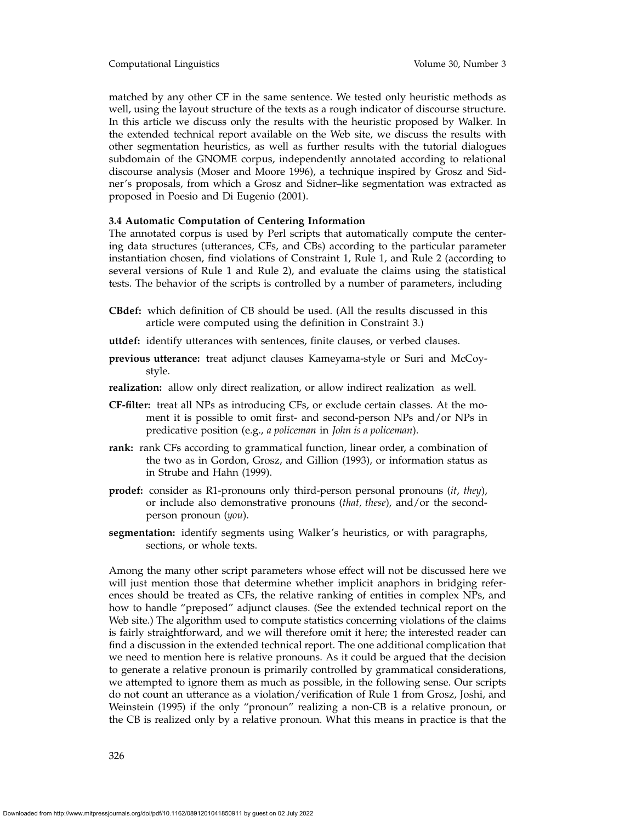matched by any other CF in the same sentence. We tested only heuristic methods as well, using the layout structure of the texts as a rough indicator of discourse structure. In this article we discuss only the results with the heuristic proposed by Walker. In the extended technical report available on the Web site, we discuss the results with other segmentation heuristics, as well as further results with the tutorial dialogues subdomain of the GNOME corpus, independently annotated according to relational discourse analysis (Moser and Moore 1996), a technique inspired by Grosz and Sidner's proposals, from which a Grosz and Sidner–like segmentation was extracted as proposed in Poesio and Di Eugenio (2001).

## **3.4 Automatic Computation of Centering Information**

The annotated corpus is used by Perl scripts that automatically compute the centering data structures (utterances, CFs, and CBs) according to the particular parameter instantiation chosen, find violations of Constraint 1, Rule 1, and Rule 2 (according to several versions of Rule 1 and Rule 2), and evaluate the claims using the statistical tests. The behavior of the scripts is controlled by a number of parameters, including

- **CBdef:** which definition of CB should be used. (All the results discussed in this article were computed using the definition in Constraint 3.)
- **uttdef:** identify utterances with sentences, finite clauses, or verbed clauses.
- **previous utterance:** treat adjunct clauses Kameyama-style or Suri and McCoystyle.
- **realization:** allow only direct realization, or allow indirect realization as well.
- **CF-filter:** treat all NPs as introducing CFs, or exclude certain classes. At the moment it is possible to omit first- and second-person NPs and/or NPs in predicative position (e.g., *a policeman* in *John is a policeman*).
- **rank:** rank CFs according to grammatical function, linear order, a combination of the two as in Gordon, Grosz, and Gillion (1993), or information status as in Strube and Hahn (1999).
- **prodef:** consider as R1-pronouns only third-person personal pronouns (*it*, *they*), or include also demonstrative pronouns (*that, these*), and/or the secondperson pronoun (*you*).
- **segmentation:** identify segments using Walker's heuristics, or with paragraphs, sections, or whole texts.

Among the many other script parameters whose effect will not be discussed here we will just mention those that determine whether implicit anaphors in bridging references should be treated as CFs, the relative ranking of entities in complex NPs, and how to handle "preposed" adjunct clauses. (See the extended technical report on the Web site.) The algorithm used to compute statistics concerning violations of the claims is fairly straightforward, and we will therefore omit it here; the interested reader can find a discussion in the extended technical report. The one additional complication that we need to mention here is relative pronouns. As it could be argued that the decision to generate a relative pronoun is primarily controlled by grammatical considerations, we attempted to ignore them as much as possible, in the following sense. Our scripts do not count an utterance as a violation/verification of Rule 1 from Grosz, Joshi, and Weinstein (1995) if the only "pronoun" realizing a non-CB is a relative pronoun, or the CB is realized only by a relative pronoun. What this means in practice is that the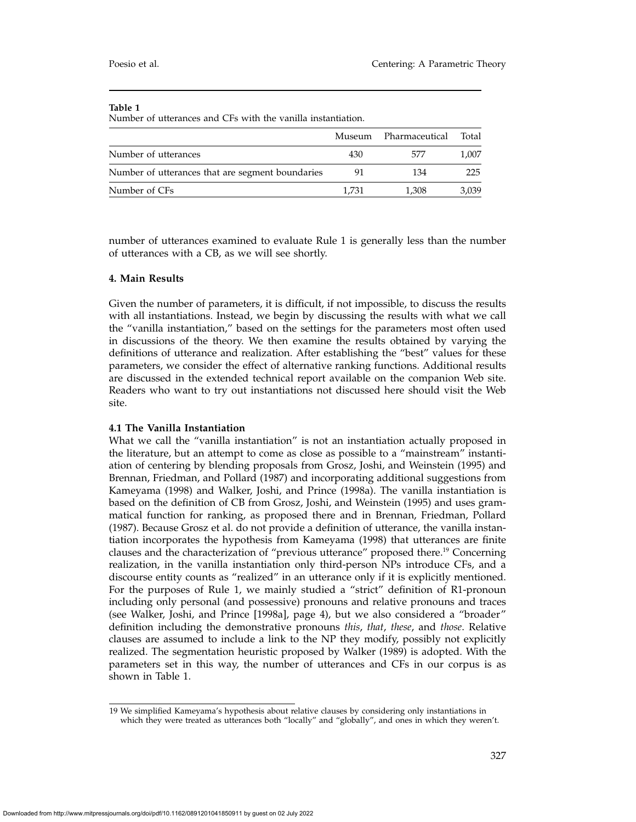Number of utterances and CFs with the vanilla instantiation.

|                                                  | Museum | Pharmaceutical | Total |
|--------------------------------------------------|--------|----------------|-------|
| Number of utterances                             | 430    | 577            | 1.007 |
| Number of utterances that are segment boundaries | 91     | 134            | 225   |
| Number of CFs                                    | 1.731  | 1,308          | 3,039 |

number of utterances examined to evaluate Rule 1 is generally less than the number of utterances with a CB, as we will see shortly.

## **4. Main Results**

Given the number of parameters, it is difficult, if not impossible, to discuss the results with all instantiations. Instead, we begin by discussing the results with what we call the "vanilla instantiation," based on the settings for the parameters most often used in discussions of the theory. We then examine the results obtained by varying the definitions of utterance and realization. After establishing the "best" values for these parameters, we consider the effect of alternative ranking functions. Additional results are discussed in the extended technical report available on the companion Web site. Readers who want to try out instantiations not discussed here should visit the Web site.

# **4.1 The Vanilla Instantiation**

What we call the "vanilla instantiation" is not an instantiation actually proposed in the literature, but an attempt to come as close as possible to a "mainstream" instantiation of centering by blending proposals from Grosz, Joshi, and Weinstein (1995) and Brennan, Friedman, and Pollard (1987) and incorporating additional suggestions from Kameyama (1998) and Walker, Joshi, and Prince (1998a). The vanilla instantiation is based on the definition of CB from Grosz, Joshi, and Weinstein (1995) and uses grammatical function for ranking, as proposed there and in Brennan, Friedman, Pollard (1987). Because Grosz et al. do not provide a definition of utterance, the vanilla instantiation incorporates the hypothesis from Kameyama (1998) that utterances are finite clauses and the characterization of "previous utterance" proposed there.<sup>19</sup> Concerning realization, in the vanilla instantiation only third-person NPs introduce CFs, and a discourse entity counts as "realized" in an utterance only if it is explicitly mentioned. For the purposes of Rule 1, we mainly studied a "strict" definition of R1-pronoun including only personal (and possessive) pronouns and relative pronouns and traces (see Walker, Joshi, and Prince [1998a], page 4), but we also considered a "broader" definition including the demonstrative pronouns *this*, *that*, *these*, and *those*. Relative clauses are assumed to include a link to the NP they modify, possibly not explicitly realized. The segmentation heuristic proposed by Walker (1989) is adopted. With the parameters set in this way, the number of utterances and CFs in our corpus is as shown in Table 1.

19 We simplified Kameyama's hypothesis about relative clauses by considering only instantiations in which they were treated as utterances both "locally" and "globally", and ones in which they weren't.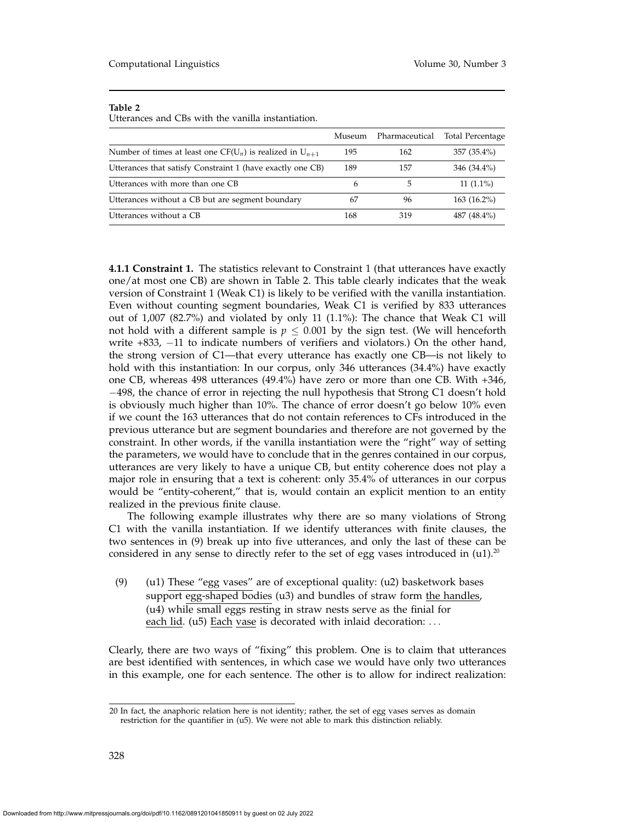Utterances and CBs with the vanilla instantiation.

|                                                                                  | Museum | Pharmaceutical | <b>Total Percentage</b> |
|----------------------------------------------------------------------------------|--------|----------------|-------------------------|
| Number of times at least one CF(U <sub>n</sub> ) is realized in U <sub>n+1</sub> | 195    | 162            | 357 (35.4%)             |
| Utterances that satisfy Constraint 1 (have exactly one CB)                       | 189    | 157            | 346 (34.4%)             |
| Utterances with more than one CB                                                 | h      | 5              | $11(1.1\%)$             |
| Utterances without a CB but are segment boundary                                 | 67     | 96             | $163(16.2\%)$           |
| Utterances without a CB                                                          | 168    | 319            | 487 (48.4%)             |

**4.1.1 Constraint 1.** The statistics relevant to Constraint 1 (that utterances have exactly one/at most one CB) are shown in Table 2. This table clearly indicates that the weak version of Constraint 1 (Weak C1) is likely to be verified with the vanilla instantiation. Even without counting segment boundaries, Weak C1 is verified by 833 utterances out of 1,007 (82.7%) and violated by only 11 (1.1%): The chance that Weak C1 will not hold with a different sample is  $p \leq 0.001$  by the sign test. (We will henceforth write +833, −11 to indicate numbers of verifiers and violators.) On the other hand, the strong version of C1—that every utterance has exactly one CB—is not likely to hold with this instantiation: In our corpus, only 346 utterances (34.4%) have exactly one CB, whereas 498 utterances (49.4%) have zero or more than one CB. With +346, −498, the chance of error in rejecting the null hypothesis that Strong C1 doesn't hold is obviously much higher than 10%. The chance of error doesn't go below 10% even if we count the 163 utterances that do not contain references to CFs introduced in the previous utterance but are segment boundaries and therefore are not governed by the constraint. In other words, if the vanilla instantiation were the "right" way of setting the parameters, we would have to conclude that in the genres contained in our corpus, utterances are very likely to have a unique CB, but entity coherence does not play a major role in ensuring that a text is coherent: only 35.4% of utterances in our corpus would be "entity-coherent," that is, would contain an explicit mention to an entity realized in the previous finite clause.

The following example illustrates why there are so many violations of Strong C1 with the vanilla instantiation. If we identify utterances with finite clauses, the two sentences in (9) break up into five utterances, and only the last of these can be considered in any sense to directly refer to the set of egg vases introduced in  $(u1).^{20}$ 

(9) (u1) These "egg vases" are of exceptional quality: (u2) basketwork bases support egg-shaped bodies (u3) and bundles of straw form the handles, (u4) while small eggs resting in straw nests serve as the finial for each lid. (u5) Each vase is decorated with inlaid decoration: ...

Clearly, there are two ways of "fixing" this problem. One is to claim that utterances are best identified with sentences, in which case we would have only two utterances in this example, one for each sentence. The other is to allow for indirect realization:

<sup>20</sup> In fact, the anaphoric relation here is not identity; rather, the set of egg vases serves as domain restriction for the quantifier in (u5). We were not able to mark this distinction reliably.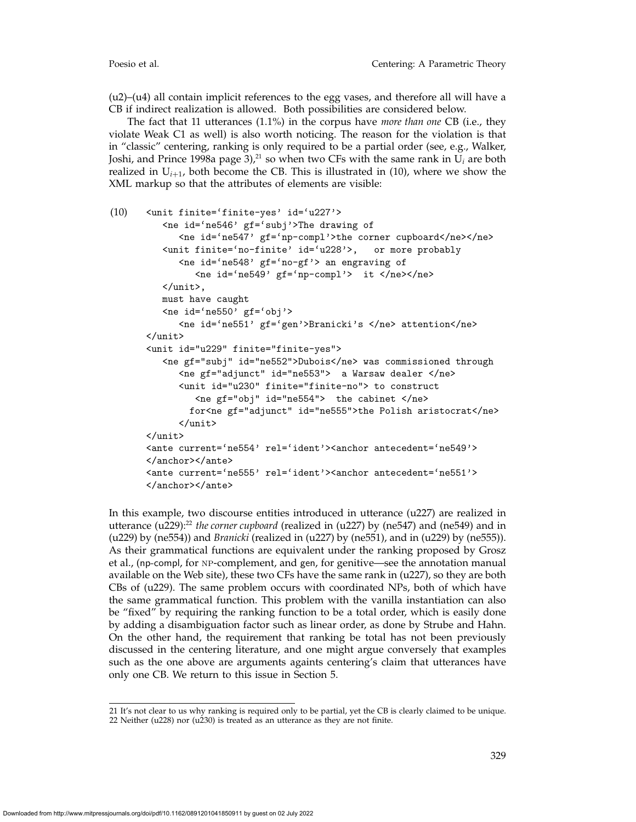(u2)–(u4) all contain implicit references to the egg vases, and therefore all will have a CB if indirect realization is allowed. Both possibilities are considered below.

The fact that 11 utterances (1.1%) in the corpus have *more than one* CB (i.e., they violate Weak C1 as well) is also worth noticing. The reason for the violation is that in "classic" centering, ranking is only required to be a partial order (see, e.g., Walker, Joshi, and Prince 1998a page 3), $21$  so when two CFs with the same rank in  $U_i$  are both realized in  $U_{i+1}$ , both become the CB. This is illustrated in (10), where we show the XML markup so that the attributes of elements are visible:

```
(10) <unit finite='finite-yes' id='u227'>
          <ne id='ne546' gf='subj'>The drawing of
             <ne id='ne547' gf='np-compl'>the corner cupboard</ne></ne>
          <unit finite='no-finite' id='u228'>, or more probably
             <ne id='ne548' gf='no-gf'> an engraving of
                <ne id='ne549' gf='np-compl'> it </ne></ne>
         </unit>,
         must have caught
          \text{the id} = \text{`ne}550' \text{ gf} = \text{`obj'}<ne id='ne551' gf='gen'>Branicki's </ne> attention</ne>
      </unit>
      <unit id="u229" finite="finite-yes">
          <ne gf="subj" id="ne552">Dubois</ne> was commissioned through
             <ne gf="adjunct" id="ne553"> a Warsaw dealer </ne>
             <unit id="u230" finite="finite-no"> to construct
                <ne gf="obj" id="ne554"> the cabinet </ne>
               for<ne gf="adjunct" id="ne555">the Polish aristocrat</ne>
             </unit>
       </unit>
       <ante current='ne554' rel='ident'><anchor antecedent='ne549'>
       </anchor></ante>
      <ante current='ne555' rel='ident'><anchor antecedent='ne551'>
       </anchor></ante>
```
In this example, two discourse entities introduced in utterance (u227) are realized in utterance (u229):<sup>22</sup> *the corner cupboard* (realized in (u227) by (ne547) and (ne549) and in (u229) by (ne554)) and *Branicki* (realized in (u227) by (ne551), and in (u229) by (ne555)). As their grammatical functions are equivalent under the ranking proposed by Grosz et al., (np-compl, for np-complement, and gen, for genitive—see the annotation manual available on the Web site), these two CFs have the same rank in (u227), so they are both CBs of (u229). The same problem occurs with coordinated NPs, both of which have the same grammatical function. This problem with the vanilla instantiation can also be "fixed" by requiring the ranking function to be a total order, which is easily done by adding a disambiguation factor such as linear order, as done by Strube and Hahn. On the other hand, the requirement that ranking be total has not been previously discussed in the centering literature, and one might argue conversely that examples such as the one above are arguments againts centering's claim that utterances have only one CB. We return to this issue in Section 5.

<sup>21</sup> It's not clear to us why ranking is required only to be partial, yet the CB is clearly claimed to be unique. 22 Neither (u228) nor (u230) is treated as an utterance as they are not finite.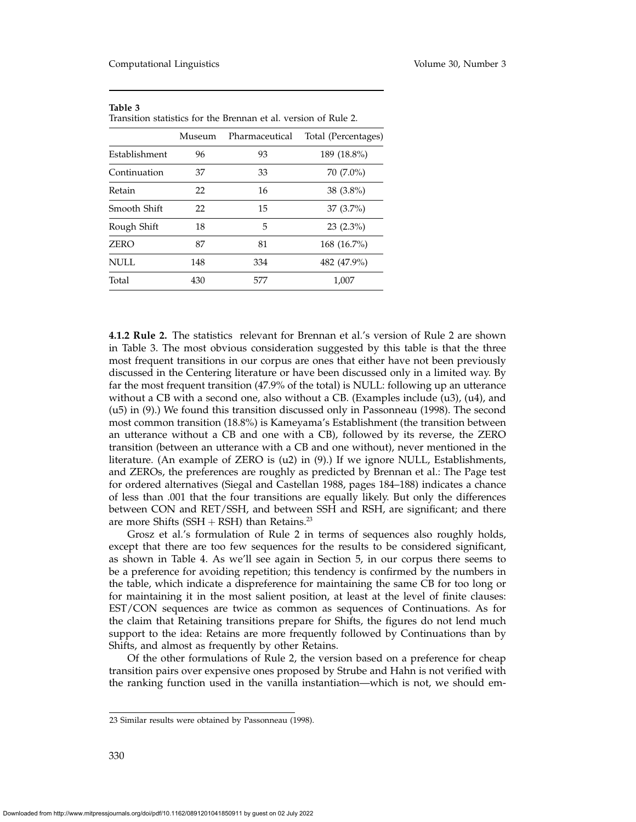| Transhion statistics for the Diemail et al. version of Kuie 2. |        |                |                     |  |  |
|----------------------------------------------------------------|--------|----------------|---------------------|--|--|
|                                                                | Museum | Pharmaceutical | Total (Percentages) |  |  |
| Establishment                                                  | 96     | 93             | 189 (18.8%)         |  |  |
| Continuation                                                   | 37     | 33             | 70 (7.0%)           |  |  |
| Retain                                                         | 22     | 16             | $38(3.8\%)$         |  |  |
| Smooth Shift                                                   | 22     | 15             | $37(3.7\%)$         |  |  |
| Rough Shift                                                    | 18     | 5              | $23(2.3\%)$         |  |  |
| <b>ZERO</b>                                                    | 87     | 81             | 168 (16.7%)         |  |  |
| NULL                                                           | 148    | 334            | 482 (47.9%)         |  |  |
| Total                                                          | 430    | 577            | 1,007               |  |  |

| - таріе э                                                       |  |  |  |  |  |
|-----------------------------------------------------------------|--|--|--|--|--|
| Transition statistics for the Brennan et al. version of Rule 2. |  |  |  |  |  |

**4.1.2 Rule 2.** The statistics relevant for Brennan et al.'s version of Rule 2 are shown in Table 3. The most obvious consideration suggested by this table is that the three most frequent transitions in our corpus are ones that either have not been previously discussed in the Centering literature or have been discussed only in a limited way. By far the most frequent transition (47.9% of the total) is NULL: following up an utterance without a CB with a second one, also without a CB. (Examples include (u3), (u4), and (u5) in (9).) We found this transition discussed only in Passonneau (1998). The second most common transition (18.8%) is Kameyama's Establishment (the transition between an utterance without a CB and one with a CB), followed by its reverse, the ZERO transition (between an utterance with a CB and one without), never mentioned in the literature. (An example of ZERO is (u2) in (9).) If we ignore NULL, Establishments, and ZEROs, the preferences are roughly as predicted by Brennan et al.: The Page test for ordered alternatives (Siegal and Castellan 1988, pages 184–188) indicates a chance of less than .001 that the four transitions are equally likely. But only the differences between CON and RET/SSH, and between SSH and RSH, are significant; and there are more Shifts (SSH  $+$  RSH) than Retains.<sup>23</sup>

Grosz et al.'s formulation of Rule 2 in terms of sequences also roughly holds, except that there are too few sequences for the results to be considered significant, as shown in Table 4. As we'll see again in Section 5, in our corpus there seems to be a preference for avoiding repetition; this tendency is confirmed by the numbers in the table, which indicate a dispreference for maintaining the same CB for too long or for maintaining it in the most salient position, at least at the level of finite clauses: EST/CON sequences are twice as common as sequences of Continuations. As for the claim that Retaining transitions prepare for Shifts, the figures do not lend much support to the idea: Retains are more frequently followed by Continuations than by Shifts, and almost as frequently by other Retains.

Of the other formulations of Rule 2, the version based on a preference for cheap transition pairs over expensive ones proposed by Strube and Hahn is not verified with the ranking function used in the vanilla instantiation—which is not, we should em-

<sup>23</sup> Similar results were obtained by Passonneau (1998).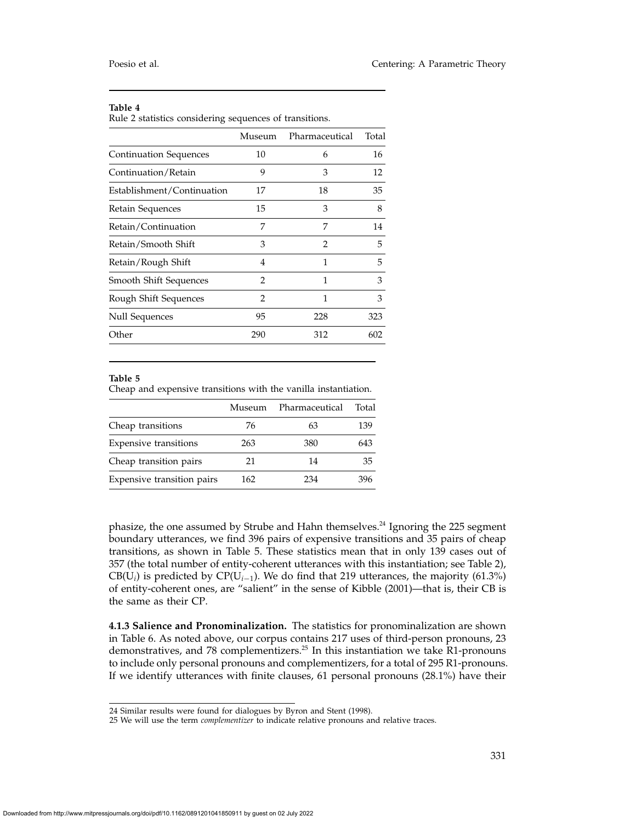Rule 2 statistics considering sequences of transitions.

|                               | Museum         | Pharmaceutical | Total |
|-------------------------------|----------------|----------------|-------|
| Continuation Sequences        | 10             | 6              | 16    |
| Continuation/Retain           | 9              | 3              | 12    |
| Establishment/Continuation    | 17             | 18             | 35    |
| Retain Sequences              | 15             | 3              | 8     |
| Retain/Continuation           | 7              | 7              | 14    |
| Retain/Smooth Shift           | 3              | 2              | 5     |
| Retain/Rough Shift            | 4              | 1              | 5     |
| <b>Smooth Shift Sequences</b> | $\overline{2}$ | 1              | 3     |
| Rough Shift Sequences         | $\mathfrak{D}$ | 1              | 3     |
| <b>Null Sequences</b>         | 95             | 228            | 323   |
| Other                         | 290            | 312            | 602   |

#### **Table 5**

Cheap and expensive transitions with the vanilla instantiation.

|                              | Museum | Pharmaceutical | Total |
|------------------------------|--------|----------------|-------|
| Cheap transitions            | 76     | 63             | 139   |
| <b>Expensive transitions</b> | 263    | 380            | 643   |
| Cheap transition pairs       | 21     | 14             | 35    |
| Expensive transition pairs   | 162    | 234            | 396   |

phasize, the one assumed by Strube and Hahn themselves.24 Ignoring the 225 segment boundary utterances, we find 396 pairs of expensive transitions and 35 pairs of cheap transitions, as shown in Table 5. These statistics mean that in only 139 cases out of 357 (the total number of entity-coherent utterances with this instantiation; see Table 2), CB(U*i*) is predicted by CP(U*<sup>i</sup>*−1). We do find that 219 utterances, the majority (61.3%) of entity-coherent ones, are "salient" in the sense of Kibble (2001)—that is, their CB is the same as their CP.

**4.1.3 Salience and Pronominalization.** The statistics for pronominalization are shown in Table 6. As noted above, our corpus contains 217 uses of third-person pronouns, 23 demonstratives, and 78 complementizers.<sup>25</sup> In this instantiation we take R1-pronouns to include only personal pronouns and complementizers, for a total of 295 R1-pronouns. If we identify utterances with finite clauses, 61 personal pronouns (28.1%) have their

<sup>24</sup> Similar results were found for dialogues by Byron and Stent (1998).

<sup>25</sup> We will use the term *complementizer* to indicate relative pronouns and relative traces.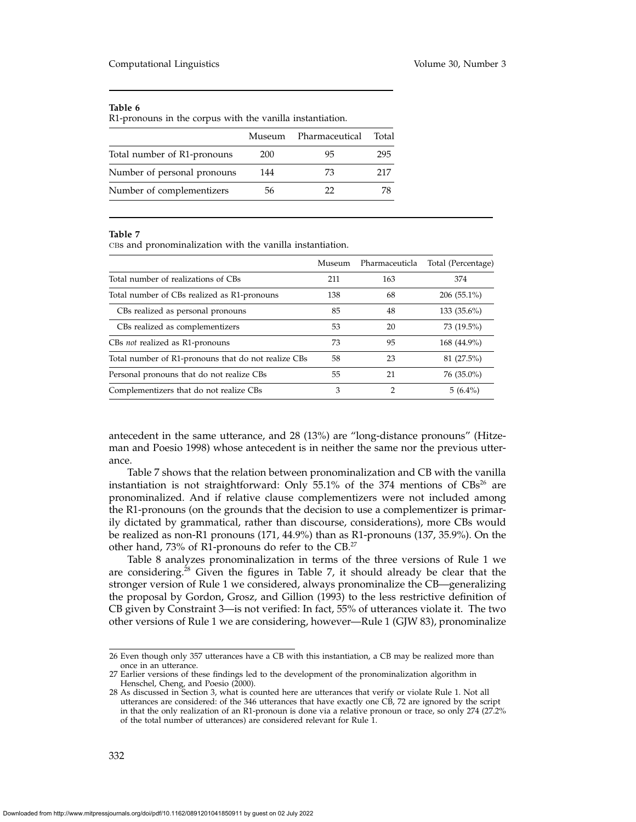R1-pronouns in the corpus with the vanilla instantiation.

|                             | Museum | Pharmaceutical | Total |
|-----------------------------|--------|----------------|-------|
| Total number of R1-pronouns | 200    | 95             | 295   |
| Number of personal pronouns | 144    | 73             | 217   |
| Number of complementizers   | 56     | 22             |       |
|                             |        |                |       |

#### **Table 7**

CBs and pronominalization with the vanilla instantiation.

|                                                     | Museum | Pharmaceuticla | Total (Percentage) |
|-----------------------------------------------------|--------|----------------|--------------------|
| Total number of realizations of CBs                 | 211    | 163            | 374                |
| Total number of CBs realized as R1-pronouns         | 138    | 68             | $206(55.1\%)$      |
| CBs realized as personal pronouns                   | 85     | 48             | 133 (35.6%)        |
| CBs realized as complementizers                     | 53     | 20             | 73 (19.5%)         |
| CBs not realized as R1-pronouns                     | 73     | 95             | 168 (44.9%)        |
| Total number of R1-pronouns that do not realize CBs | 58     | 23             | 81 (27.5%)         |
| Personal pronouns that do not realize CBs           | 55     | 21             | 76 (35.0%)         |
| Complementizers that do not realize CBs             | 3      | 2              | $5(6.4\%)$         |

antecedent in the same utterance, and 28 (13%) are "long-distance pronouns" (Hitzeman and Poesio 1998) whose antecedent is in neither the same nor the previous utterance.

Table 7 shows that the relation between pronominalization and CB with the vanilla instantiation is not straightforward: Only 55.1% of the 374 mentions of  $CBs^{26}$  are pronominalized. And if relative clause complementizers were not included among the R1-pronouns (on the grounds that the decision to use a complementizer is primarily dictated by grammatical, rather than discourse, considerations), more CBs would be realized as non-R1 pronouns (171, 44.9%) than as R1-pronouns (137, 35.9%). On the other hand, 73% of R1-pronouns do refer to the CB.27

Table 8 analyzes pronominalization in terms of the three versions of Rule 1 we are considering.<sup>28</sup> Given the figures in Table 7, it should already be clear that the stronger version of Rule 1 we considered, always pronominalize the CB—generalizing the proposal by Gordon, Grosz, and Gillion (1993) to the less restrictive definition of CB given by Constraint 3—is not verified: In fact, 55% of utterances violate it. The two other versions of Rule 1 we are considering, however—Rule 1 (GJW 83), pronominalize

<sup>26</sup> Even though only 357 utterances have a CB with this instantiation, a CB may be realized more than once in an utterance.

<sup>27</sup> Earlier versions of these findings led to the development of the pronominalization algorithm in Henschel, Cheng, and Poesio (2000).

<sup>28</sup> As discussed in Section 3, what is counted here are utterances that verify or violate Rule 1. Not all utterances are considered: of the 346 utterances that have exactly one CB, 72 are ignored by the script in that the only realization of an R1-pronoun is done via a relative pronoun or trace, so only 274 (27.2% of the total number of utterances) are considered relevant for Rule 1.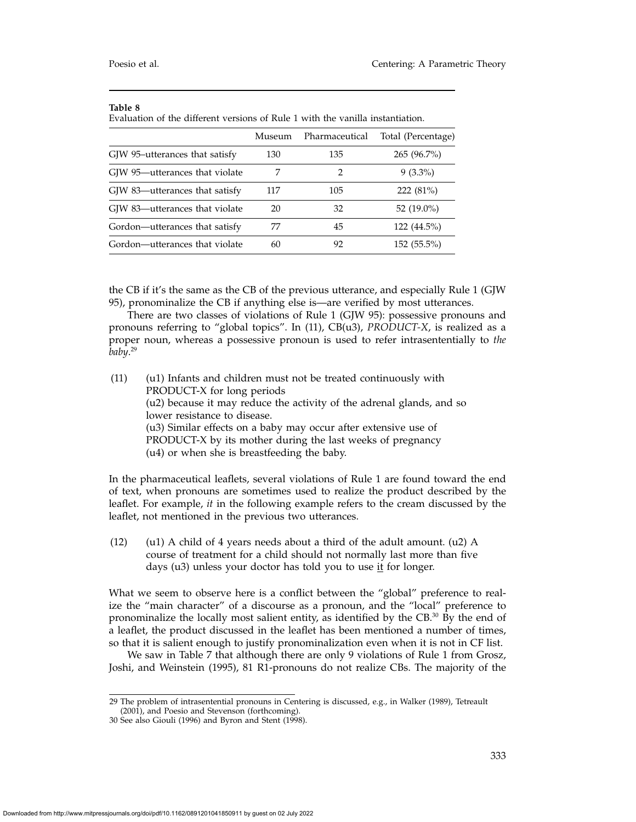|                                | Museum | Pharmaceutical | Total (Percentage) |  |
|--------------------------------|--------|----------------|--------------------|--|
| GJW 95-utterances that satisfy | 130    | 135            | 265 (96.7%)        |  |
| GJW 95—utterances that violate |        |                | $9(3.3\%)$         |  |
| GJW 83—utterances that satisfy | 117    | 105            | $222(81\%)$        |  |
| GJW 83—utterances that violate | 20     | 32             | 52 $(19.0\%)$      |  |
| Gordon—utterances that satisfy | 77     | 45             | 122 (44.5%)        |  |
| Gordon—utterances that violate | 60     | 92             | 152 (55.5%)        |  |

Evaluation of the different versions of Rule 1 with the vanilla instantiation.

the CB if it's the same as the CB of the previous utterance, and especially Rule 1 (GJW 95), pronominalize the CB if anything else is—are verified by most utterances.

There are two classes of violations of Rule 1 (GJW 95): possessive pronouns and pronouns referring to "global topics". In (11), CB(u3), *PRODUCT-X*, is realized as a proper noun, whereas a possessive pronoun is used to refer intrasententially to *the baby*. 29

(11) (u1) Infants and children must not be treated continuously with PRODUCT-X for long periods (u2) because it may reduce the activity of the adrenal glands, and so lower resistance to disease. (u3) Similar effects on a baby may occur after extensive use of PRODUCT-X by its mother during the last weeks of pregnancy (u4) or when she is breastfeeding the baby.

In the pharmaceutical leaflets, several violations of Rule 1 are found toward the end of text, when pronouns are sometimes used to realize the product described by the leaflet. For example, *it* in the following example refers to the cream discussed by the leaflet, not mentioned in the previous two utterances.

(12) (u1) A child of 4 years needs about a third of the adult amount.  $(u2)$  A course of treatment for a child should not normally last more than five days (u3) unless your doctor has told you to use it for longer.

What we seem to observe here is a conflict between the "global" preference to realize the "main character" of a discourse as a pronoun, and the "local" preference to pronominalize the locally most salient entity, as identified by the CB. $^{30}$  By the end of a leaflet, the product discussed in the leaflet has been mentioned a number of times, so that it is salient enough to justify pronominalization even when it is not in CF list.

We saw in Table 7 that although there are only 9 violations of Rule 1 from Grosz, Joshi, and Weinstein (1995), 81 R1-pronouns do not realize CBs. The majority of the

<sup>29</sup> The problem of intrasentential pronouns in Centering is discussed, e.g., in Walker (1989), Tetreault (2001), and Poesio and Stevenson (forthcoming).

<sup>30</sup> See also Giouli (1996) and Byron and Stent (1998).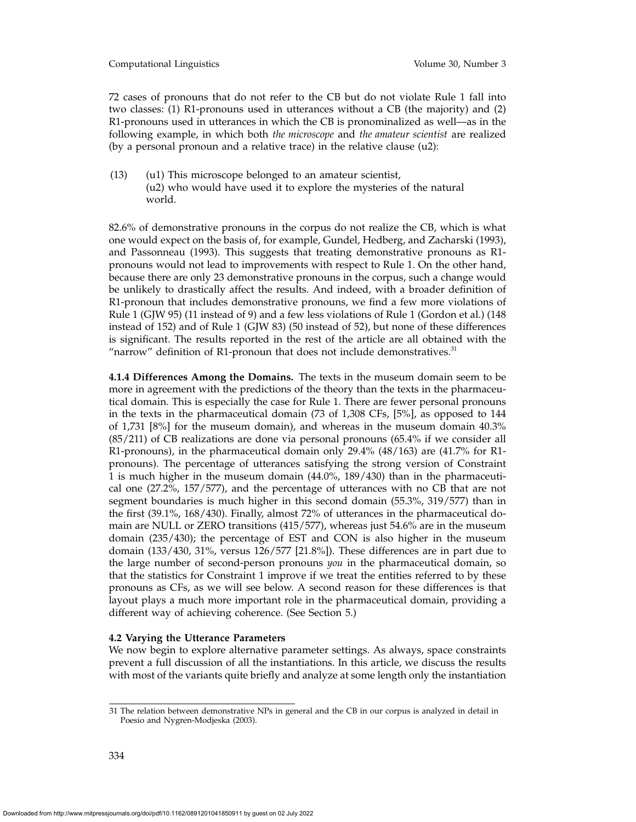Computational Linguistics Volume 30, Number 3

72 cases of pronouns that do not refer to the CB but do not violate Rule 1 fall into two classes: (1) R1-pronouns used in utterances without a CB (the majority) and (2) R1-pronouns used in utterances in which the CB is pronominalized as well—as in the following example, in which both *the microscope* and *the amateur scientist* are realized (by a personal pronoun and a relative trace) in the relative clause (u2):

(13) (u1) This microscope belonged to an amateur scientist, (u2) who would have used it to explore the mysteries of the natural world.

82.6% of demonstrative pronouns in the corpus do not realize the CB, which is what one would expect on the basis of, for example, Gundel, Hedberg, and Zacharski (1993), and Passonneau (1993). This suggests that treating demonstrative pronouns as R1 pronouns would not lead to improvements with respect to Rule 1. On the other hand, because there are only 23 demonstrative pronouns in the corpus, such a change would be unlikely to drastically affect the results. And indeed, with a broader definition of R1-pronoun that includes demonstrative pronouns, we find a few more violations of Rule 1 (GJW 95) (11 instead of 9) and a few less violations of Rule 1 (Gordon et al.) (148 instead of 152) and of Rule 1 (GJW 83) (50 instead of 52), but none of these differences is significant. The results reported in the rest of the article are all obtained with the "narrow" definition of R1-pronoun that does not include demonstratives. $31$ 

**4.1.4 Differences Among the Domains.** The texts in the museum domain seem to be more in agreement with the predictions of the theory than the texts in the pharmaceutical domain. This is especially the case for Rule 1. There are fewer personal pronouns in the texts in the pharmaceutical domain (73 of 1,308 CFs, [5%], as opposed to 144 of 1,731 [8%] for the museum domain), and whereas in the museum domain 40.3% (85/211) of CB realizations are done via personal pronouns (65.4% if we consider all R1-pronouns), in the pharmaceutical domain only 29.4% (48/163) are (41.7% for R1 pronouns). The percentage of utterances satisfying the strong version of Constraint 1 is much higher in the museum domain (44.0%, 189/430) than in the pharmaceutical one (27.2%, 157/577), and the percentage of utterances with no CB that are not segment boundaries is much higher in this second domain (55.3%, 319/577) than in the first (39.1%, 168/430). Finally, almost 72% of utterances in the pharmaceutical domain are NULL or ZERO transitions (415/577), whereas just 54.6% are in the museum domain (235/430); the percentage of EST and CON is also higher in the museum domain (133/430, 31%, versus 126/577 [21.8%]). These differences are in part due to the large number of second-person pronouns *you* in the pharmaceutical domain, so that the statistics for Constraint 1 improve if we treat the entities referred to by these pronouns as CFs, as we will see below. A second reason for these differences is that layout plays a much more important role in the pharmaceutical domain, providing a different way of achieving coherence. (See Section 5.)

## **4.2 Varying the Utterance Parameters**

We now begin to explore alternative parameter settings. As always, space constraints prevent a full discussion of all the instantiations. In this article, we discuss the results with most of the variants quite briefly and analyze at some length only the instantiation

<sup>31</sup> The relation between demonstrative NPs in general and the CB in our corpus is analyzed in detail in Poesio and Nygren-Modjeska (2003).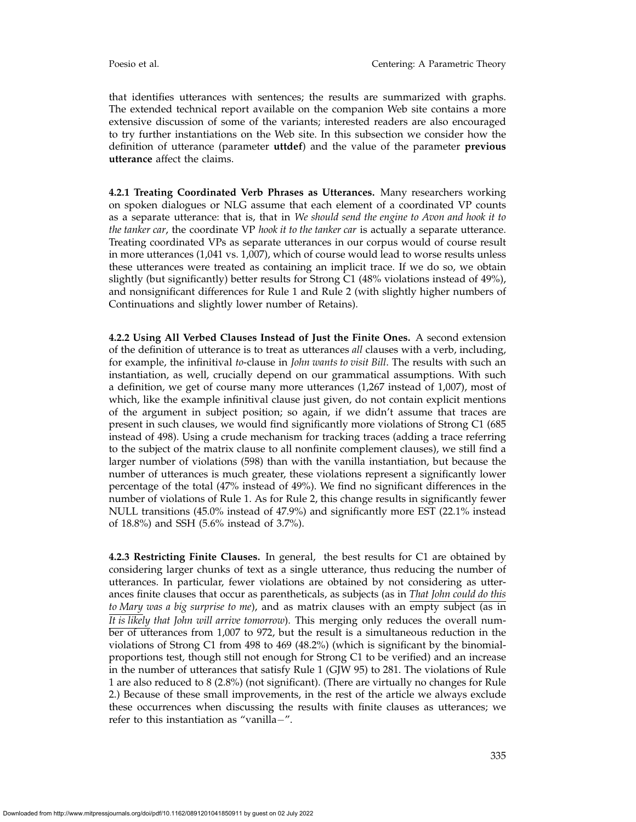that identifies utterances with sentences; the results are summarized with graphs. The extended technical report available on the companion Web site contains a more extensive discussion of some of the variants; interested readers are also encouraged to try further instantiations on the Web site. In this subsection we consider how the definition of utterance (parameter **uttdef**) and the value of the parameter **previous utterance** affect the claims.

**4.2.1 Treating Coordinated Verb Phrases as Utterances.** Many researchers working on spoken dialogues or NLG assume that each element of a coordinated VP counts as a separate utterance: that is, that in *We should send the engine to Avon and hook it to the tanker car*, the coordinate VP *hook it to the tanker car* is actually a separate utterance. Treating coordinated VPs as separate utterances in our corpus would of course result in more utterances (1,041 vs. 1,007), which of course would lead to worse results unless these utterances were treated as containing an implicit trace. If we do so, we obtain slightly (but significantly) better results for Strong C1 (48% violations instead of 49%), and nonsignificant differences for Rule 1 and Rule 2 (with slightly higher numbers of Continuations and slightly lower number of Retains).

**4.2.2 Using All Verbed Clauses Instead of Just the Finite Ones.** A second extension of the definition of utterance is to treat as utterances *all* clauses with a verb, including, for example, the infinitival *to*-clause in *John wants to visit Bill*. The results with such an instantiation, as well, crucially depend on our grammatical assumptions. With such a definition, we get of course many more utterances (1,267 instead of 1,007), most of which, like the example infinitival clause just given, do not contain explicit mentions of the argument in subject position; so again, if we didn't assume that traces are present in such clauses, we would find significantly more violations of Strong C1 (685 instead of 498). Using a crude mechanism for tracking traces (adding a trace referring to the subject of the matrix clause to all nonfinite complement clauses), we still find a larger number of violations (598) than with the vanilla instantiation, but because the number of utterances is much greater, these violations represent a significantly lower percentage of the total (47% instead of 49%). We find no significant differences in the number of violations of Rule 1. As for Rule 2, this change results in significantly fewer NULL transitions (45.0% instead of 47.9%) and significantly more EST (22.1% instead of 18.8%) and SSH (5.6% instead of 3.7%).

**4.2.3 Restricting Finite Clauses.** In general, the best results for C1 are obtained by considering larger chunks of text as a single utterance, thus reducing the number of utterances. In particular, fewer violations are obtained by not considering as utterances finite clauses that occur as parentheticals, as subjects (as in *That John could do this to Mary was a big surprise to me*), and as matrix clauses with an empty subject (as in *It is likely that John will arrive tomorrow*). This merging only reduces the overall number of utterances from 1,007 to 972, but the result is a simultaneous reduction in the violations of Strong C1 from 498 to 469 (48.2%) (which is significant by the binomialproportions test, though still not enough for Strong C1 to be verified) and an increase in the number of utterances that satisfy Rule 1 (GJW 95) to 281. The violations of Rule 1 are also reduced to 8 (2.8%) (not significant). (There are virtually no changes for Rule 2.) Because of these small improvements, in the rest of the article we always exclude these occurrences when discussing the results with finite clauses as utterances; we refer to this instantiation as "vanilla−".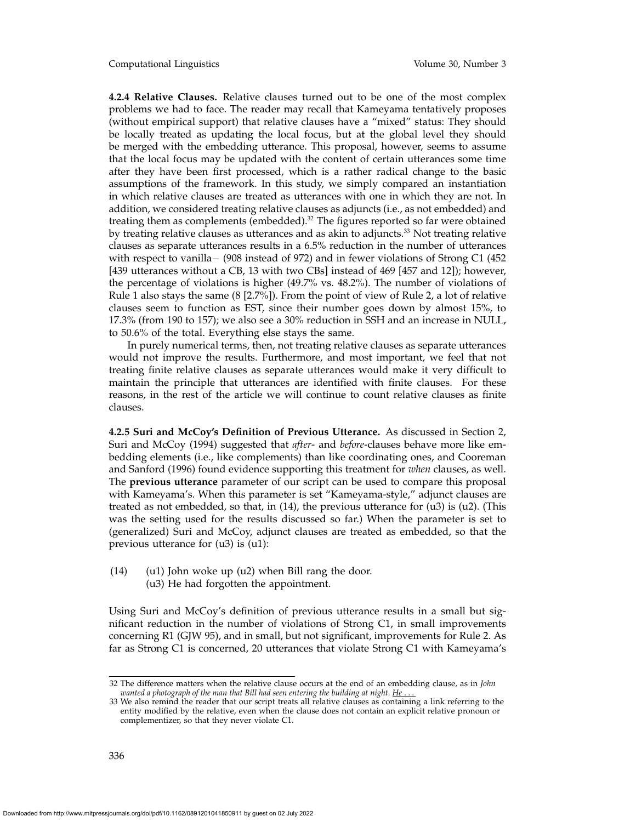Computational Linguistics Volume 30, Number 3

**4.2.4 Relative Clauses.** Relative clauses turned out to be one of the most complex problems we had to face. The reader may recall that Kameyama tentatively proposes (without empirical support) that relative clauses have a "mixed" status: They should be locally treated as updating the local focus, but at the global level they should be merged with the embedding utterance. This proposal, however, seems to assume that the local focus may be updated with the content of certain utterances some time after they have been first processed, which is a rather radical change to the basic assumptions of the framework. In this study, we simply compared an instantiation in which relative clauses are treated as utterances with one in which they are not. In addition, we considered treating relative clauses as adjuncts (i.e., as not embedded) and treating them as complements (embedded). $32$  The figures reported so far were obtained by treating relative clauses as utterances and as akin to adjuncts.<sup>33</sup> Not treating relative clauses as separate utterances results in a 6.5% reduction in the number of utterances with respect to vanilla− (908 instead of 972) and in fewer violations of Strong C1 (452 [439 utterances without a CB, 13 with two CBs] instead of 469 [457 and 12]); however, the percentage of violations is higher (49.7% vs. 48.2%). The number of violations of Rule 1 also stays the same (8 [2.7%]). From the point of view of Rule 2, a lot of relative clauses seem to function as EST, since their number goes down by almost 15%, to 17.3% (from 190 to 157); we also see a 30% reduction in SSH and an increase in NULL, to 50.6% of the total. Everything else stays the same.

In purely numerical terms, then, not treating relative clauses as separate utterances would not improve the results. Furthermore, and most important, we feel that not treating finite relative clauses as separate utterances would make it very difficult to maintain the principle that utterances are identified with finite clauses. For these reasons, in the rest of the article we will continue to count relative clauses as finite clauses.

**4.2.5 Suri and McCoy's Definition of Previous Utterance.** As discussed in Section 2, Suri and McCoy (1994) suggested that *after*- and *before*-clauses behave more like embedding elements (i.e., like complements) than like coordinating ones, and Cooreman and Sanford (1996) found evidence supporting this treatment for *when* clauses, as well. The **previous utterance** parameter of our script can be used to compare this proposal with Kameyama's. When this parameter is set "Kameyama-style," adjunct clauses are treated as not embedded, so that, in  $(14)$ , the previous utterance for  $(u3)$  is  $(u2)$ . (This was the setting used for the results discussed so far.) When the parameter is set to (generalized) Suri and McCoy, adjunct clauses are treated as embedded, so that the previous utterance for (u3) is (u1):

 $(14)$  (u1) John woke up (u2) when Bill rang the door. (u3) He had forgotten the appointment.

Using Suri and McCoy's definition of previous utterance results in a small but significant reduction in the number of violations of Strong C1, in small improvements concerning R1 (GJW 95), and in small, but not significant, improvements for Rule 2. As far as Strong C1 is concerned, 20 utterances that violate Strong C1 with Kameyama's

<sup>32</sup> The difference matters when the relative clause occurs at the end of an embedding clause, as in *John wanted a photograph of the man that Bill had seen entering the building at night.* He

<sup>33</sup> We also remind the reader that our script treats all relative clauses as containing a link referring to the entity modified by the relative, even when the clause does not contain an explicit relative pronoun or complementizer, so that they never violate C1.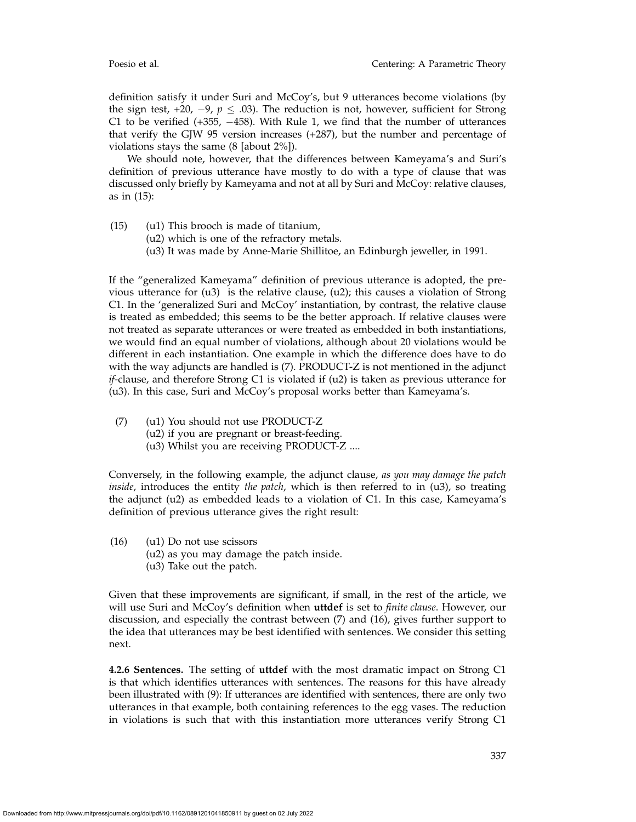definition satisfy it under Suri and McCoy's, but 9 utterances become violations (by the sign test,  $+20$ ,  $-9$ ,  $p < .03$ ). The reduction is not, however, sufficient for Strong C1 to be verified (+355, −458). With Rule 1, we find that the number of utterances that verify the GJW 95 version increases (+287), but the number and percentage of violations stays the same (8 [about 2%]).

We should note, however, that the differences between Kameyama's and Suri's definition of previous utterance have mostly to do with a type of clause that was discussed only briefly by Kameyama and not at all by Suri and McCoy: relative clauses, as in (15):

- (15) (u1) This brooch is made of titanium,
	- (u2) which is one of the refractory metals.
	- (u3) It was made by Anne-Marie Shillitoe, an Edinburgh jeweller, in 1991.

If the "generalized Kameyama" definition of previous utterance is adopted, the previous utterance for  $(u3)$  is the relative clause,  $(u2)$ ; this causes a violation of Strong C1. In the 'generalized Suri and McCoy' instantiation, by contrast, the relative clause is treated as embedded; this seems to be the better approach. If relative clauses were not treated as separate utterances or were treated as embedded in both instantiations, we would find an equal number of violations, although about 20 violations would be different in each instantiation. One example in which the difference does have to do with the way adjuncts are handled is (7). PRODUCT-Z is not mentioned in the adjunct *if*-clause, and therefore Strong C1 is violated if (u2) is taken as previous utterance for (u3). In this case, Suri and McCoy's proposal works better than Kameyama's.

- (7) (u1) You should not use PRODUCT-Z
	- (u2) if you are pregnant or breast-feeding.
	- (u3) Whilst you are receiving PRODUCT-Z ....

Conversely, in the following example, the adjunct clause, *as you may damage the patch inside*, introduces the entity *the patch*, which is then referred to in (u3), so treating the adjunct (u2) as embedded leads to a violation of C1. In this case, Kameyama's definition of previous utterance gives the right result:

- (16) (u1) Do not use scissors
	- (u2) as you may damage the patch inside.
	- (u3) Take out the patch.

Given that these improvements are significant, if small, in the rest of the article, we will use Suri and McCoy's definition when **uttdef** is set to *finite clause*. However, our discussion, and especially the contrast between (7) and (16), gives further support to the idea that utterances may be best identified with sentences. We consider this setting next.

**4.2.6 Sentences.** The setting of **uttdef** with the most dramatic impact on Strong C1 is that which identifies utterances with sentences. The reasons for this have already been illustrated with (9): If utterances are identified with sentences, there are only two utterances in that example, both containing references to the egg vases. The reduction in violations is such that with this instantiation more utterances verify Strong C1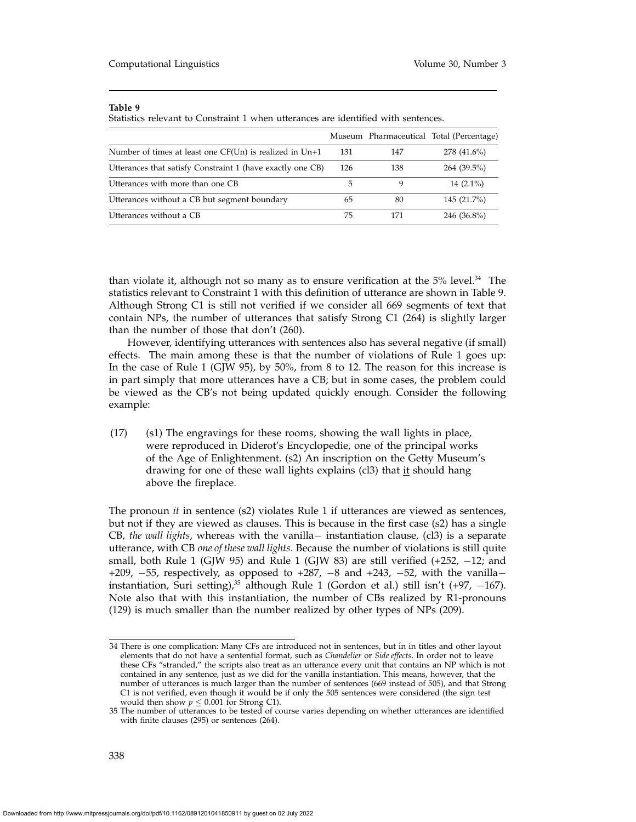Statistics relevant to Constraint 1 when utterances are identified with sentences.

|                                                             |     |     | Museum Pharmaceutical Total (Percentage) |
|-------------------------------------------------------------|-----|-----|------------------------------------------|
| Number of times at least one $CF(Un)$ is realized in $Un+1$ | 131 | 147 | 278 (41.6%)                              |
| Utterances that satisfy Constraint 1 (have exactly one CB)  | 126 | 138 | 264 (39.5%)                              |
| Utterances with more than one CB                            | 5   |     | $14(2.1\%)$                              |
| Utterances without a CB but segment boundary                | 65  | 80  | 145 (21.7%)                              |
| Utterances without a CB                                     | 75  | 171 | 246 (36.8%)                              |

than violate it, although not so many as to ensure verification at the  $5\%$  level.<sup>34</sup> The statistics relevant to Constraint 1 with this definition of utterance are shown in Table 9. Although Strong C1 is still not verified if we consider all 669 segments of text that contain NPs, the number of utterances that satisfy Strong C1 (264) is slightly larger than the number of those that don't (260).

However, identifying utterances with sentences also has several negative (if small) effects. The main among these is that the number of violations of Rule 1 goes up: In the case of Rule 1 (GJW 95), by 50%, from 8 to 12. The reason for this increase is in part simply that more utterances have a CB; but in some cases, the problem could be viewed as the CB's not being updated quickly enough. Consider the following example:

(17) (s1) The engravings for these rooms, showing the wall lights in place, were reproduced in Diderot's Encyclopedie, one of the principal works of the Age of Enlightenment. (s2) An inscription on the Getty Museum's drawing for one of these wall lights explains (cl3) that it should hang above the fireplace.

The pronoun *it* in sentence (s2) violates Rule 1 if utterances are viewed as sentences, but not if they are viewed as clauses. This is because in the first case (s2) has a single CB, *the wall lights*, whereas with the vanilla− instantiation clause, (cl3) is a separate utterance, with CB *one of these wall lights*. Because the number of violations is still quite small, both Rule 1 (GJW 95) and Rule 1 (GJW 83) are still verified  $(+252, -12)$ ; and +209,  $-55$ , respectively, as opposed to +287,  $-8$  and +243,  $-52$ , with the vanilla– instantiation, Suri setting),<sup>35</sup> although Rule 1 (Gordon et al.) still isn't (+97, -167). Note also that with this instantiation, the number of CBs realized by R1-pronouns (129) is much smaller than the number realized by other types of NPs (209).

<sup>34</sup> There is one complication: Many CFs are introduced not in sentences, but in in titles and other layout elements that do not have a sentential format, such as *Chandelier* or *Side effects*. In order not to leave these CFs "stranded," the scripts also treat as an utterance every unit that contains an NP which is not contained in any sentence, just as we did for the vanilla instantiation. This means, however, that the number of utterances is much larger than the number of sentences (669 instead of 505), and that Strong C1 is not verified, even though it would be if only the 505 sentences were considered (the sign test would then show  $p \leq 0.001$  for Strong C1).

<sup>35</sup> The number of utterances to be tested of course varies depending on whether utterances are identified with finite clauses (295) or sentences (264).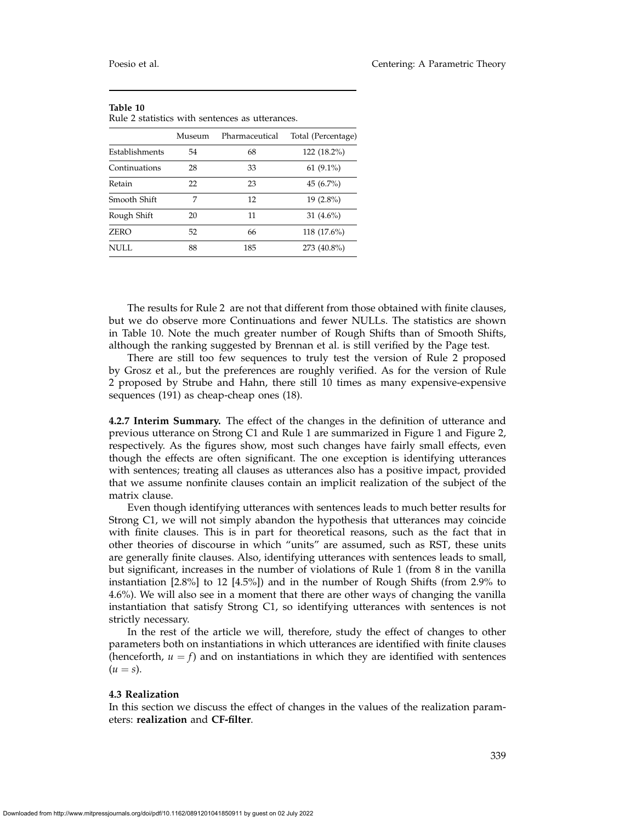| $\kappa$ ule $\angle$ statistics with sentences as utterances. |        |                |                    |  |  |  |
|----------------------------------------------------------------|--------|----------------|--------------------|--|--|--|
|                                                                | Museum | Pharmaceutical | Total (Percentage) |  |  |  |
| Establishments                                                 | 54     | 68             | 122 (18.2%)        |  |  |  |
| Continuations                                                  | 28     | 33             | 61 $(9.1\%)$       |  |  |  |
| Retain                                                         | 22     | 23             | 45 $(6.7\%)$       |  |  |  |
| Smooth Shift                                                   | 7      | 12             | $19(2.8\%)$        |  |  |  |
| Rough Shift                                                    | 20     | 11             | 31 $(4.6\%)$       |  |  |  |
| <b>ZERO</b>                                                    | 52     | 66             | 118 (17.6%)        |  |  |  |
| <b>NULL</b>                                                    | 88     | 185            | 273 (40.8%)        |  |  |  |

**Table 10** Rule 2 statistics with sentences as utterances.

The results for Rule 2 are not that different from those obtained with finite clauses, but we do observe more Continuations and fewer NULLs. The statistics are shown in Table 10. Note the much greater number of Rough Shifts than of Smooth Shifts, although the ranking suggested by Brennan et al. is still verified by the Page test.

There are still too few sequences to truly test the version of Rule 2 proposed by Grosz et al., but the preferences are roughly verified. As for the version of Rule 2 proposed by Strube and Hahn, there still 10 times as many expensive-expensive sequences (191) as cheap-cheap ones (18).

**4.2.7 Interim Summary.** The effect of the changes in the definition of utterance and previous utterance on Strong C1 and Rule 1 are summarized in Figure 1 and Figure 2, respectively. As the figures show, most such changes have fairly small effects, even though the effects are often significant. The one exception is identifying utterances with sentences; treating all clauses as utterances also has a positive impact, provided that we assume nonfinite clauses contain an implicit realization of the subject of the matrix clause.

Even though identifying utterances with sentences leads to much better results for Strong C1, we will not simply abandon the hypothesis that utterances may coincide with finite clauses. This is in part for theoretical reasons, such as the fact that in other theories of discourse in which "units" are assumed, such as RST, these units are generally finite clauses. Also, identifying utterances with sentences leads to small, but significant, increases in the number of violations of Rule 1 (from 8 in the vanilla instantiation [2.8%] to 12 [4.5%]) and in the number of Rough Shifts (from 2.9% to 4.6%). We will also see in a moment that there are other ways of changing the vanilla instantiation that satisfy Strong C1, so identifying utterances with sentences is not strictly necessary.

In the rest of the article we will, therefore, study the effect of changes to other parameters both on instantiations in which utterances are identified with finite clauses (henceforth,  $u = f$ ) and on instantiations in which they are identified with sentences  $(u = s)$ .

### **4.3 Realization**

In this section we discuss the effect of changes in the values of the realization parameters: **realization** and **CF-filter**.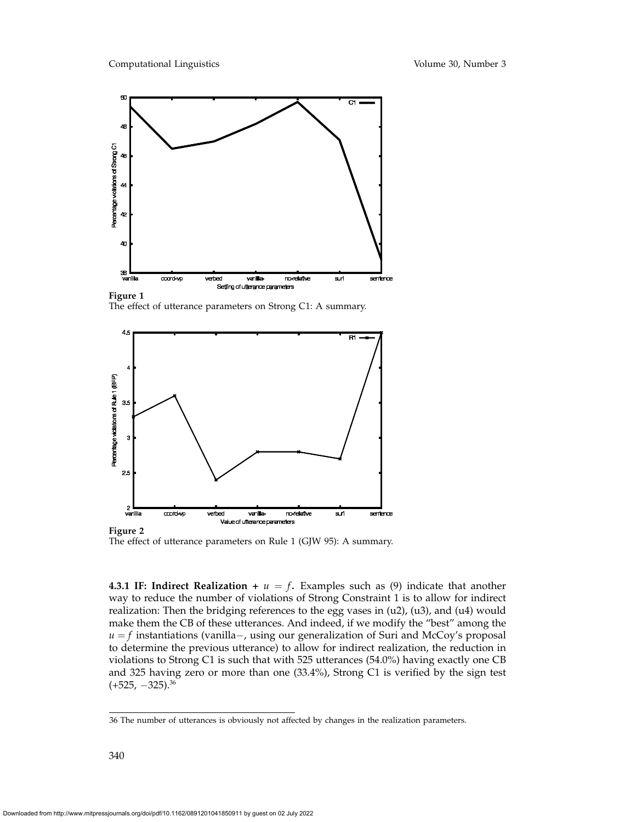

The effect of utterance parameters on Strong C1: A summary.



The effect of utterance parameters on Rule 1 (GJW 95): A summary.

**4.3.1 IF: Indirect Realization +**  $u = f$ . Examples such as (9) indicate that another way to reduce the number of violations of Strong Constraint 1 is to allow for indirect realization: Then the bridging references to the egg vases in (u2), (u3), and (u4) would make them the CB of these utterances. And indeed, if we modify the "best" among the *u* = *f* instantiations (vanilla−, using our generalization of Suri and McCoy's proposal to determine the previous utterance) to allow for indirect realization, the reduction in violations to Strong C1 is such that with 525 utterances (54.0%) having exactly one CB and 325 having zero or more than one (33.4%), Strong C1 is verified by the sign test  $(+525, -325).$ <sup>36</sup>

<sup>36</sup> The number of utterances is obviously not affected by changes in the realization parameters.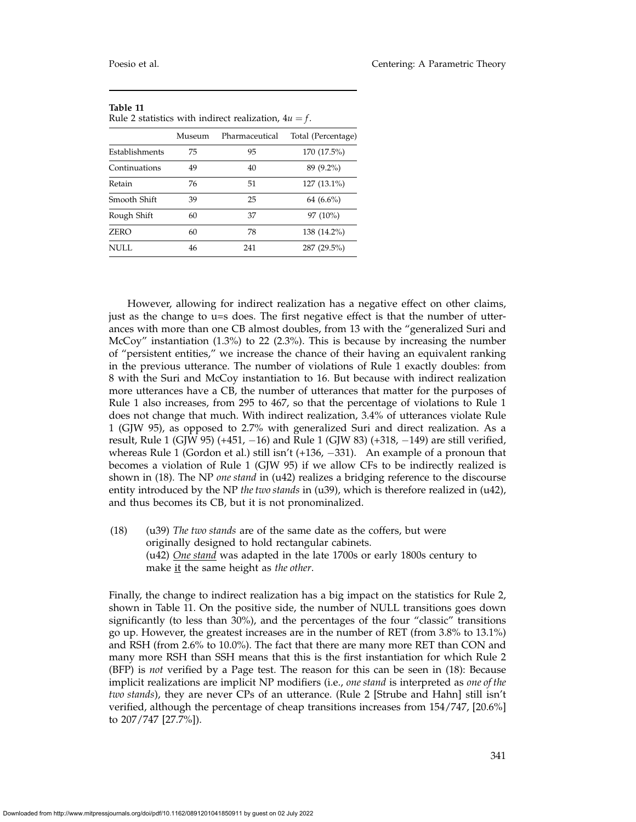| Ruic $\angle$ statistics with financel realization, $\pm u = \sqrt{2}$ . |        |                |                    |
|--------------------------------------------------------------------------|--------|----------------|--------------------|
|                                                                          | Museum | Pharmaceutical | Total (Percentage) |
| Establishments                                                           | 75     | 95             | 170 (17.5%)        |
| Continuations                                                            | 49     | 40             | 89 (9.2%)          |
| Retain                                                                   | 76     | 51             | 127 (13.1%)        |
| Smooth Shift                                                             | 39     | 25             | 64 (6.6%)          |
| Rough Shift                                                              | 60     | 37             | 97 (10%)           |
| <b>ZERO</b>                                                              | 60     | 78             | 138 (14.2%)        |
| NULL                                                                     | 46     | 241            | 287 (29.5%)        |

| TADIE 11                                                |  |  |
|---------------------------------------------------------|--|--|
| Rule 2 statistics with indirect realization, $4u = f$ . |  |  |

However, allowing for indirect realization has a negative effect on other claims, just as the change to u=s does. The first negative effect is that the number of utterances with more than one CB almost doubles, from 13 with the "generalized Suri and McCoy" instantiation (1.3%) to 22 (2.3%). This is because by increasing the number of "persistent entities," we increase the chance of their having an equivalent ranking in the previous utterance. The number of violations of Rule 1 exactly doubles: from 8 with the Suri and McCoy instantiation to 16. But because with indirect realization more utterances have a CB, the number of utterances that matter for the purposes of Rule 1 also increases, from 295 to 467, so that the percentage of violations to Rule 1 does not change that much. With indirect realization, 3.4% of utterances violate Rule 1 (GJW 95), as opposed to 2.7% with generalized Suri and direct realization. As a result, Rule 1 (GJW 95) (+451, −16) and Rule 1 (GJW 83) (+318, −149) are still verified, whereas Rule 1 (Gordon et al.) still isn't (+136, −331). An example of a pronoun that becomes a violation of Rule 1 (GJW 95) if we allow CFs to be indirectly realized is shown in (18). The NP *one stand* in (u42) realizes a bridging reference to the discourse entity introduced by the NP *the two stands* in (u39), which is therefore realized in (u42), and thus becomes its CB, but it is not pronominalized.

(18) (u39) *The two stands* are of the same date as the coffers, but were originally designed to hold rectangular cabinets. (u42) *One stand* was adapted in the late 1700s or early 1800s century to make it the same height as *the other*.

Finally, the change to indirect realization has a big impact on the statistics for Rule 2, shown in Table 11. On the positive side, the number of NULL transitions goes down significantly (to less than 30%), and the percentages of the four "classic" transitions go up. However, the greatest increases are in the number of RET (from 3.8% to 13.1%) and RSH (from 2.6% to 10.0%). The fact that there are many more RET than CON and many more RSH than SSH means that this is the first instantiation for which Rule 2 (BFP) is *not* verified by a Page test. The reason for this can be seen in (18): Because implicit realizations are implicit NP modifiers (i.e., *one stand* is interpreted as *one of the two stands*), they are never CPs of an utterance. (Rule 2 [Strube and Hahn] still isn't verified, although the percentage of cheap transitions increases from 154/747, [20.6%] to 207/747 [27.7%]).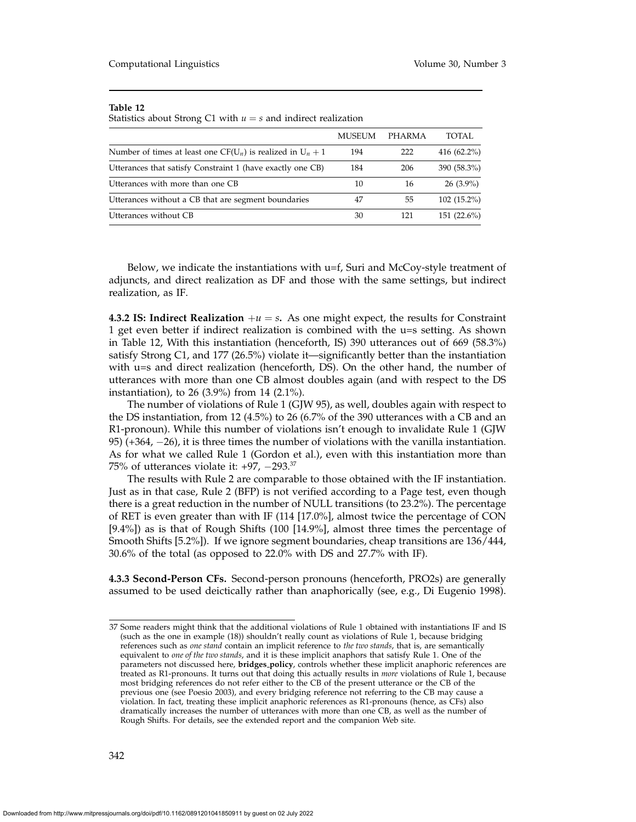Statistics about Strong C1 with  $u = s$  and indirect realization

|                                                                   | <b>MUSEUM</b> | PHARMA | TOTAL         |
|-------------------------------------------------------------------|---------------|--------|---------------|
| Number of times at least one CF( $U_n$ ) is realized in $U_n + 1$ | 194           | 222    | 416 (62.2%)   |
| Utterances that satisfy Constraint 1 (have exactly one CB)        | 184           | 206    | 390 (58.3%)   |
| Utterances with more than one CB                                  | 10            | 16     | $26(3.9\%)$   |
| Utterances without a CB that are segment boundaries               | 47            | 55     | $102(15.2\%)$ |
| Utterances without CB                                             | 30            | 121    | $151(22.6\%)$ |

Below, we indicate the instantiations with  $u=f$ , Suri and McCoy-style treatment of adjuncts, and direct realization as DF and those with the same settings, but indirect realization, as IF.

**4.3.2 IS: Indirect Realization**  $+u = s$ . As one might expect, the results for Constraint 1 get even better if indirect realization is combined with the u=s setting. As shown in Table 12, With this instantiation (henceforth, IS) 390 utterances out of 669 (58.3%) satisfy Strong C1, and 177 (26.5%) violate it—significantly better than the instantiation with u=s and direct realization (henceforth, DS). On the other hand, the number of utterances with more than one CB almost doubles again (and with respect to the DS instantiation), to 26 (3.9%) from 14 (2.1%).

The number of violations of Rule 1 (GJW 95), as well, doubles again with respect to the DS instantiation, from 12 (4.5%) to 26 (6.7% of the 390 utterances with a CB and an R1-pronoun). While this number of violations isn't enough to invalidate Rule 1 (GJW 95) (+364, −26), it is three times the number of violations with the vanilla instantiation. As for what we called Rule 1 (Gordon et al.), even with this instantiation more than 75% of utterances violate it: +97, −293.<sup>37</sup>

The results with Rule 2 are comparable to those obtained with the IF instantiation. Just as in that case, Rule 2 (BFP) is not verified according to a Page test, even though there is a great reduction in the number of NULL transitions (to 23.2%). The percentage of RET is even greater than with IF (114 [17.0%], almost twice the percentage of CON [9.4%]) as is that of Rough Shifts (100 [14.9%], almost three times the percentage of Smooth Shifts [5.2%]). If we ignore segment boundaries, cheap transitions are 136/444, 30.6% of the total (as opposed to 22.0% with DS and 27.7% with IF).

**4.3.3 Second-Person CFs.** Second-person pronouns (henceforth, PRO2s) are generally assumed to be used deictically rather than anaphorically (see, e.g., Di Eugenio 1998).

<sup>37</sup> Some readers might think that the additional violations of Rule 1 obtained with instantiations IF and IS (such as the one in example (18)) shouldn't really count as violations of Rule 1, because bridging references such as *one stand* contain an implicit reference to *the two stands*, that is, are semantically equivalent to *one of the two stands*, and it is these implicit anaphors that satisfy Rule 1. One of the parameters not discussed here, **bridges policy**, controls whether these implicit anaphoric references are treated as R1-pronouns. It turns out that doing this actually results in *more* violations of Rule 1, because most bridging references do not refer either to the CB of the present utterance or the CB of the previous one (see Poesio 2003), and every bridging reference not referring to the CB may cause a violation. In fact, treating these implicit anaphoric references as R1-pronouns (hence, as CFs) also dramatically increases the number of utterances with more than one CB, as well as the number of Rough Shifts. For details, see the extended report and the companion Web site.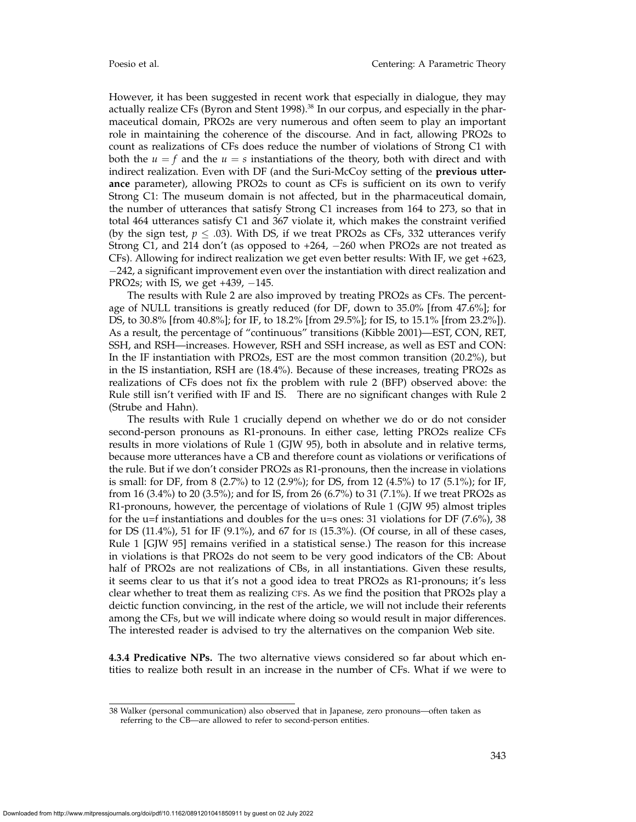However, it has been suggested in recent work that especially in dialogue, they may actually realize CFs (Byron and Stent 1998).<sup>38</sup> In our corpus, and especially in the pharmaceutical domain, PRO2s are very numerous and often seem to play an important role in maintaining the coherence of the discourse. And in fact, allowing PRO2s to count as realizations of CFs does reduce the number of violations of Strong C1 with both the  $u = f$  and the  $u = s$  instantiations of the theory, both with direct and with indirect realization. Even with DF (and the Suri-McCoy setting of the **previous utterance** parameter), allowing PRO2s to count as CFs is sufficient on its own to verify Strong C1: The museum domain is not affected, but in the pharmaceutical domain, the number of utterances that satisfy Strong C1 increases from 164 to 273, so that in total 464 utterances satisfy C1 and 367 violate it, which makes the constraint verified (by the sign test,  $p \leq .03$ ). With DS, if we treat PRO2s as CFs, 332 utterances verify Strong C1, and 214 don't (as opposed to  $+264$ ,  $-260$  when PRO2s are not treated as CFs). Allowing for indirect realization we get even better results: With IF, we get +623, −242, a significant improvement even over the instantiation with direct realization and PRO2s; with IS, we get  $+439$ ,  $-145$ .

The results with Rule 2 are also improved by treating PRO2s as CFs. The percentage of NULL transitions is greatly reduced (for DF, down to 35.0% [from 47.6%]; for DS, to 30.8% [from 40.8%]; for IF, to 18.2% [from 29.5%]; for IS, to 15.1% [from 23.2%]). As a result, the percentage of "continuous" transitions (Kibble 2001)—EST, CON, RET, SSH, and RSH—increases. However, RSH and SSH increase, as well as EST and CON: In the IF instantiation with PRO2s, EST are the most common transition (20.2%), but in the IS instantiation, RSH are (18.4%). Because of these increases, treating PRO2s as realizations of CFs does not fix the problem with rule 2 (BFP) observed above: the Rule still isn't verified with IF and IS. There are no significant changes with Rule 2 (Strube and Hahn).

The results with Rule 1 crucially depend on whether we do or do not consider second-person pronouns as R1-pronouns. In either case, letting PRO2s realize CFs results in more violations of Rule 1 (GJW 95), both in absolute and in relative terms, because more utterances have a CB and therefore count as violations or verifications of the rule. But if we don't consider PRO2s as R1-pronouns, then the increase in violations is small: for DF, from 8 (2.7%) to 12 (2.9%); for DS, from 12 (4.5%) to 17 (5.1%); for IF, from 16 (3.4%) to 20 (3.5%); and for IS, from 26 (6.7%) to 31 (7.1%). If we treat PRO2s as R1-pronouns, however, the percentage of violations of Rule 1 (GJW 95) almost triples for the u=f instantiations and doubles for the u=s ones: 31 violations for DF  $(7.6\%)$ , 38 for DS (11.4%), 51 for IF (9.1%), and 67 for is (15.3%). (Of course, in all of these cases, Rule 1 [GJW 95] remains verified in a statistical sense.) The reason for this increase in violations is that PRO2s do not seem to be very good indicators of the CB: About half of PRO2s are not realizations of CBs, in all instantiations. Given these results, it seems clear to us that it's not a good idea to treat PRO2s as R1-pronouns; it's less clear whether to treat them as realizing CFS. As we find the position that PRO2s play a deictic function convincing, in the rest of the article, we will not include their referents among the CFs, but we will indicate where doing so would result in major differences. The interested reader is advised to try the alternatives on the companion Web site.

**4.3.4 Predicative NPs.** The two alternative views considered so far about which entities to realize both result in an increase in the number of CFs. What if we were to

<sup>38</sup> Walker (personal communication) also observed that in Japanese, zero pronouns—often taken as referring to the CB—are allowed to refer to second-person entities.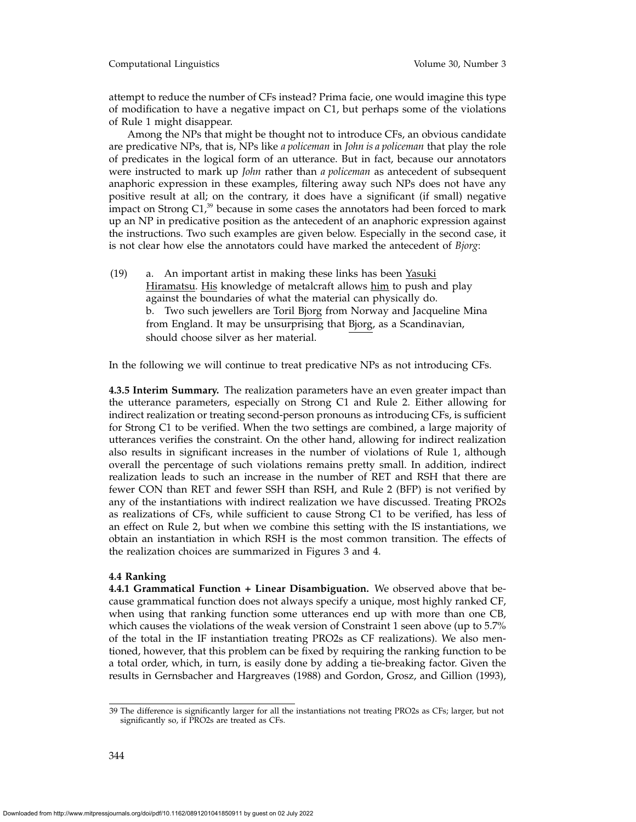Computational Linguistics Volume 30, Number 3

attempt to reduce the number of CFs instead? Prima facie, one would imagine this type of modification to have a negative impact on C1, but perhaps some of the violations of Rule 1 might disappear.

Among the NPs that might be thought not to introduce CFs, an obvious candidate are predicative NPs, that is, NPs like *a policeman* in *John is a policeman* that play the role of predicates in the logical form of an utterance. But in fact, because our annotators were instructed to mark up *John* rather than *a policeman* as antecedent of subsequent anaphoric expression in these examples, filtering away such NPs does not have any positive result at all; on the contrary, it does have a significant (if small) negative impact on Strong  $C1$ , $^{39}$  because in some cases the annotators had been forced to mark up an NP in predicative position as the antecedent of an anaphoric expression against the instructions. Two such examples are given below. Especially in the second case, it is not clear how else the annotators could have marked the antecedent of *Bjorg*:

 $(19)$  a. An important artist in making these links has been Yasuki Hiramatsu. His knowledge of metalcraft allows him to push and play against the boundaries of what the material can physically do. b. Two such jewellers are Toril Bjorg from Norway and Jacqueline Mina from England. It may be unsurprising that Bjorg, as a Scandinavian, should choose silver as her material.

In the following we will continue to treat predicative NPs as not introducing CFs.

**4.3.5 Interim Summary.** The realization parameters have an even greater impact than the utterance parameters, especially on Strong C1 and Rule 2. Either allowing for indirect realization or treating second-person pronouns as introducing CFs, is sufficient for Strong C1 to be verified. When the two settings are combined, a large majority of utterances verifies the constraint. On the other hand, allowing for indirect realization also results in significant increases in the number of violations of Rule 1, although overall the percentage of such violations remains pretty small. In addition, indirect realization leads to such an increase in the number of RET and RSH that there are fewer CON than RET and fewer SSH than RSH, and Rule 2 (BFP) is not verified by any of the instantiations with indirect realization we have discussed. Treating PRO2s as realizations of CFs, while sufficient to cause Strong C1 to be verified, has less of an effect on Rule 2, but when we combine this setting with the IS instantiations, we obtain an instantiation in which RSH is the most common transition. The effects of the realization choices are summarized in Figures 3 and 4.

## **4.4 Ranking**

**4.4.1 Grammatical Function + Linear Disambiguation.** We observed above that because grammatical function does not always specify a unique, most highly ranked CF, when using that ranking function some utterances end up with more than one CB, which causes the violations of the weak version of Constraint 1 seen above (up to 5.7% of the total in the IF instantiation treating PRO2s as CF realizations). We also mentioned, however, that this problem can be fixed by requiring the ranking function to be a total order, which, in turn, is easily done by adding a tie-breaking factor. Given the results in Gernsbacher and Hargreaves (1988) and Gordon, Grosz, and Gillion (1993),

<sup>39</sup> The difference is significantly larger for all the instantiations not treating PRO2s as CFs; larger, but not significantly so, if PRO2s are treated as CFs.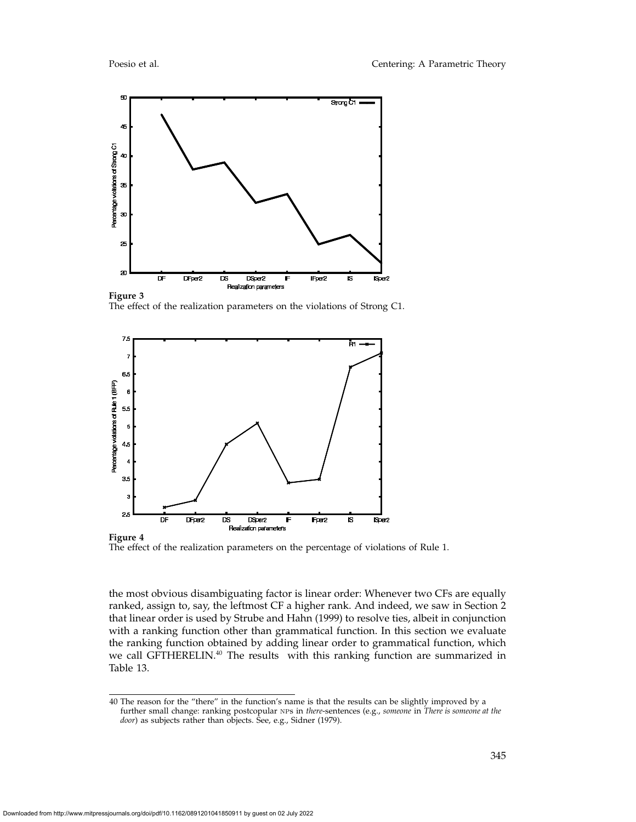

The effect of the realization parameters on the violations of Strong C1.



The effect of the realization parameters on the percentage of violations of Rule 1.

the most obvious disambiguating factor is linear order: Whenever two CFs are equally ranked, assign to, say, the leftmost CF a higher rank. And indeed, we saw in Section 2 that linear order is used by Strube and Hahn (1999) to resolve ties, albeit in conjunction with a ranking function other than grammatical function. In this section we evaluate the ranking function obtained by adding linear order to grammatical function, which we call GFTHERELIN.<sup>40</sup> The results with this ranking function are summarized in Table 13.

<sup>40</sup> The reason for the "there" in the function's name is that the results can be slightly improved by a further small change: ranking postcopular nps in *there*-sentences (e.g., *someone* in *There is someone at the door*) as subjects rather than objects. See, e.g., Sidner (1979).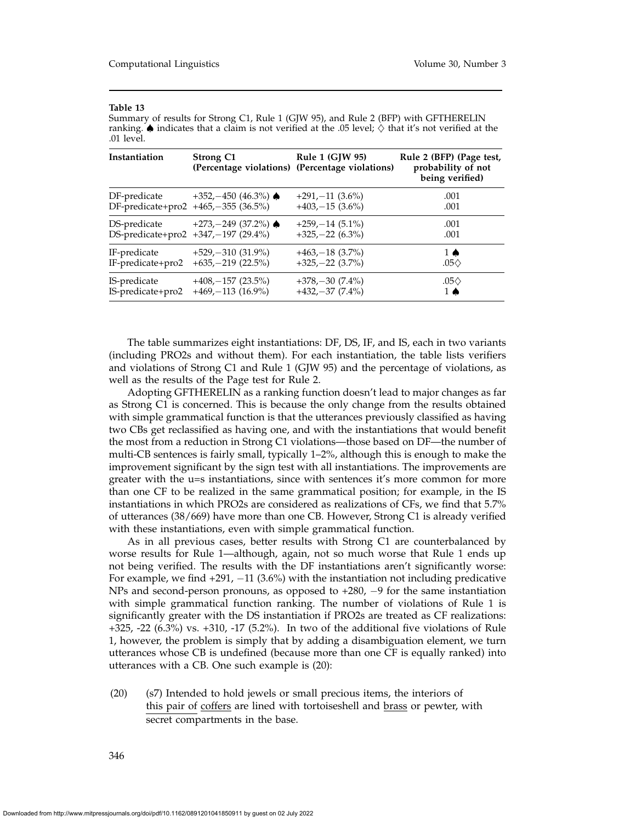| Instantiation     | <b>Strong C1</b>                    | Rule 1 $(GIW 95)$<br>(Percentage violations) (Percentage violations) | Rule 2 (BFP) (Page test,<br>probability of not<br>being verified) |
|-------------------|-------------------------------------|----------------------------------------------------------------------|-------------------------------------------------------------------|
| DF-predicate      | $+352,-450$ (46.3%)                 | $+291,-11(3.6\%)$                                                    | .001                                                              |
|                   | DF-predicate+pro2 +465,-355 (36.5%) | $+403,-15$ (3.6%)                                                    | .001                                                              |
| DS-predicate      | $+273,-249$ (37.2%)                 | $+259,-14(5.1\%)$                                                    | .001                                                              |
|                   | DS-predicate+pro2 +347,-197 (29.4%) | $+325,-22$ (6.3%)                                                    | .001                                                              |
| IF-predicate      | $+529, -310$ (31.9%)                | $+463,-18$ (3.7%)                                                    | $1 \spadesuit$                                                    |
| IF-predicate+pro2 | $+635, -219$ (22.5%)                | $+325,-22$ (3.7%)                                                    | .05 $\diamond$                                                    |
| IS-predicate      | $+408, -157$ (23.5%)                | $+378,-30(7.4\%)$                                                    | $.05\Diamond$                                                     |
| IS-predicate+pro2 | $+469,-113$ (16.9%)                 | $+432,-37(7.4\%)$                                                    | 1 ♠                                                               |

Summary of results for Strong C1, Rule 1 (GJW 95), and Rule 2 (BFP) with GFTHERELIN ranking.  $\spadesuit$  indicates that a claim is not verified at the .05 level;  $\diamondsuit$  that it's not verified at the .01 level.

The table summarizes eight instantiations: DF, DS, IF, and IS, each in two variants (including PRO2s and without them). For each instantiation, the table lists verifiers and violations of Strong C1 and Rule 1 (GJW 95) and the percentage of violations, as well as the results of the Page test for Rule 2.

Adopting GFTHERELIN as a ranking function doesn't lead to major changes as far as Strong C1 is concerned. This is because the only change from the results obtained with simple grammatical function is that the utterances previously classified as having two CBs get reclassified as having one, and with the instantiations that would benefit the most from a reduction in Strong C1 violations—those based on DF—the number of multi-CB sentences is fairly small, typically 1–2%, although this is enough to make the improvement significant by the sign test with all instantiations. The improvements are greater with the u=s instantiations, since with sentences it's more common for more than one CF to be realized in the same grammatical position; for example, in the IS instantiations in which PRO2s are considered as realizations of CFs, we find that 5.7% of utterances (38/669) have more than one CB. However, Strong C1 is already verified with these instantiations, even with simple grammatical function.

As in all previous cases, better results with Strong C1 are counterbalanced by worse results for Rule 1—although, again, not so much worse that Rule 1 ends up not being verified. The results with the DF instantiations aren't significantly worse: For example, we find +291, −11 (3.6%) with the instantiation not including predicative NPs and second-person pronouns, as opposed to +280, −9 for the same instantiation with simple grammatical function ranking. The number of violations of Rule 1 is significantly greater with the DS instantiation if PRO2s are treated as CF realizations: +325, -22 (6.3%) vs. +310, -17 (5.2%). In two of the additional five violations of Rule 1, however, the problem is simply that by adding a disambiguation element, we turn utterances whose CB is undefined (because more than one CF is equally ranked) into utterances with a CB. One such example is (20):

(20) (s7) Intended to hold jewels or small precious items, the interiors of this pair of coffers are lined with tortoiseshell and brass or pewter, with secret compartments in the base.

346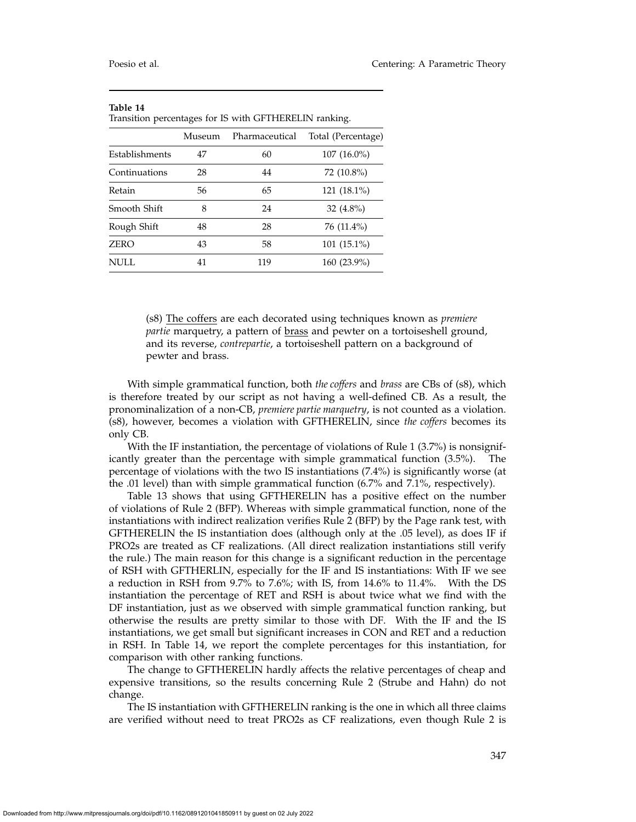| Transition percentages for IS with GFTHERELIN ranking. |        |                |                    |
|--------------------------------------------------------|--------|----------------|--------------------|
|                                                        | Museum | Pharmaceutical | Total (Percentage) |
| Establishments                                         | 47     | 60             | $107(16.0\%)$      |
| Continuations                                          | 28     | 44             | 72 (10.8%)         |
| Retain                                                 | 56     | 65             | $121(18.1\%)$      |
| Smooth Shift                                           | 8      | 24             | 32 $(4.8\%)$       |
| Rough Shift                                            | 48     | 28             | 76 (11.4%)         |
| <b>ZERO</b>                                            | 43     | 58             | 101 (15.1%)        |
| <b>NULL</b>                                            | 41     | 119            | 160 (23.9%)        |

(s8) The coffers are each decorated using techniques known as *premiere partie* marquetry, a pattern of **brass** and pewter on a tortoiseshell ground, and its reverse, *contrepartie*, a tortoiseshell pattern on a background of pewter and brass.

With simple grammatical function, both *the coffers* and *brass* are CBs of (s8), which is therefore treated by our script as not having a well-defined CB. As a result, the pronominalization of a non-CB, *premiere partie marquetry*, is not counted as a violation. (s8), however, becomes a violation with GFTHERELIN, since *the coffers* becomes its only CB.

With the IF instantiation, the percentage of violations of Rule 1 (3.7%) is nonsignificantly greater than the percentage with simple grammatical function (3.5%). The percentage of violations with the two IS instantiations (7.4%) is significantly worse (at the .01 level) than with simple grammatical function (6.7% and 7.1%, respectively).

Table 13 shows that using GFTHERELIN has a positive effect on the number of violations of Rule 2 (BFP). Whereas with simple grammatical function, none of the instantiations with indirect realization verifies Rule 2 (BFP) by the Page rank test, with GFTHERELIN the IS instantiation does (although only at the .05 level), as does IF if PRO2s are treated as CF realizations. (All direct realization instantiations still verify the rule.) The main reason for this change is a significant reduction in the percentage of RSH with GFTHERLIN, especially for the IF and IS instantiations: With IF we see a reduction in RSH from 9.7% to 7.6%; with IS, from 14.6% to 11.4%. With the DS instantiation the percentage of RET and RSH is about twice what we find with the DF instantiation, just as we observed with simple grammatical function ranking, but otherwise the results are pretty similar to those with DF. With the IF and the IS instantiations, we get small but significant increases in CON and RET and a reduction in RSH. In Table 14, we report the complete percentages for this instantiation, for comparison with other ranking functions.

The change to GFTHERELIN hardly affects the relative percentages of cheap and expensive transitions, so the results concerning Rule 2 (Strube and Hahn) do not change.

The IS instantiation with GFTHERELIN ranking is the one in which all three claims are verified without need to treat PRO2s as CF realizations, even though Rule 2 is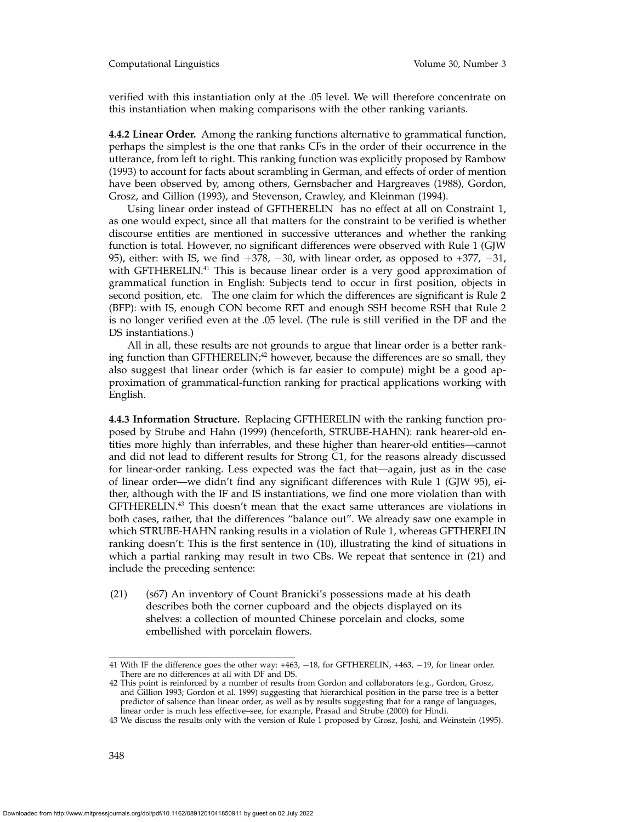verified with this instantiation only at the .05 level. We will therefore concentrate on this instantiation when making comparisons with the other ranking variants.

**4.4.2 Linear Order.** Among the ranking functions alternative to grammatical function, perhaps the simplest is the one that ranks CFs in the order of their occurrence in the utterance, from left to right. This ranking function was explicitly proposed by Rambow (1993) to account for facts about scrambling in German, and effects of order of mention have been observed by, among others, Gernsbacher and Hargreaves (1988), Gordon, Grosz, and Gillion (1993), and Stevenson, Crawley, and Kleinman (1994).

Using linear order instead of GFTHERELIN has no effect at all on Constraint 1, as one would expect, since all that matters for the constraint to be verified is whether discourse entities are mentioned in successive utterances and whether the ranking function is total. However, no significant differences were observed with Rule 1 (GJW 95), either: with IS, we find  $+378$ ,  $-30$ , with linear order, as opposed to  $+377$ ,  $-31$ , with GFTHERELIN. $41$  This is because linear order is a very good approximation of grammatical function in English: Subjects tend to occur in first position, objects in second position, etc. The one claim for which the differences are significant is Rule 2 (BFP): with IS, enough CON become RET and enough SSH become RSH that Rule 2 is no longer verified even at the .05 level. (The rule is still verified in the DF and the DS instantiations.)

All in all, these results are not grounds to argue that linear order is a better ranking function than GFTHERELIN; $^{42}$  however, because the differences are so small, they also suggest that linear order (which is far easier to compute) might be a good approximation of grammatical-function ranking for practical applications working with English.

**4.4.3 Information Structure.** Replacing GFTHERELIN with the ranking function proposed by Strube and Hahn (1999) (henceforth, STRUBE-HAHN): rank hearer-old entities more highly than inferrables, and these higher than hearer-old entities—cannot and did not lead to different results for Strong C1, for the reasons already discussed for linear-order ranking. Less expected was the fact that—again, just as in the case of linear order—we didn't find any significant differences with Rule 1 (GJW 95), either, although with the IF and IS instantiations, we find one more violation than with GFTHERELIN.43 This doesn't mean that the exact same utterances are violations in both cases, rather, that the differences "balance out". We already saw one example in which STRUBE-HAHN ranking results in a violation of Rule 1, whereas GFTHERELIN ranking doesn't: This is the first sentence in (10), illustrating the kind of situations in which a partial ranking may result in two CBs. We repeat that sentence in (21) and include the preceding sentence:

(21) (s67) An inventory of Count Branicki's possessions made at his death describes both the corner cupboard and the objects displayed on its shelves: a collection of mounted Chinese porcelain and clocks, some embellished with porcelain flowers.

<sup>41</sup> With IF the difference goes the other way: +463, −18, for GFTHERELIN, +463, −19, for linear order. There are no differences at all with DF and DS.

<sup>42</sup> This point is reinforced by a number of results from Gordon and collaborators (e.g., Gordon, Grosz, and Gillion 1993; Gordon et al. 1999) suggesting that hierarchical position in the parse tree is a better predictor of salience than linear order, as well as by results suggesting that for a range of languages, linear order is much less effective–see, for example, Prasad and Strube (2000) for Hindi.

<sup>43</sup> We discuss the results only with the version of Rule 1 proposed by Grosz, Joshi, and Weinstein (1995).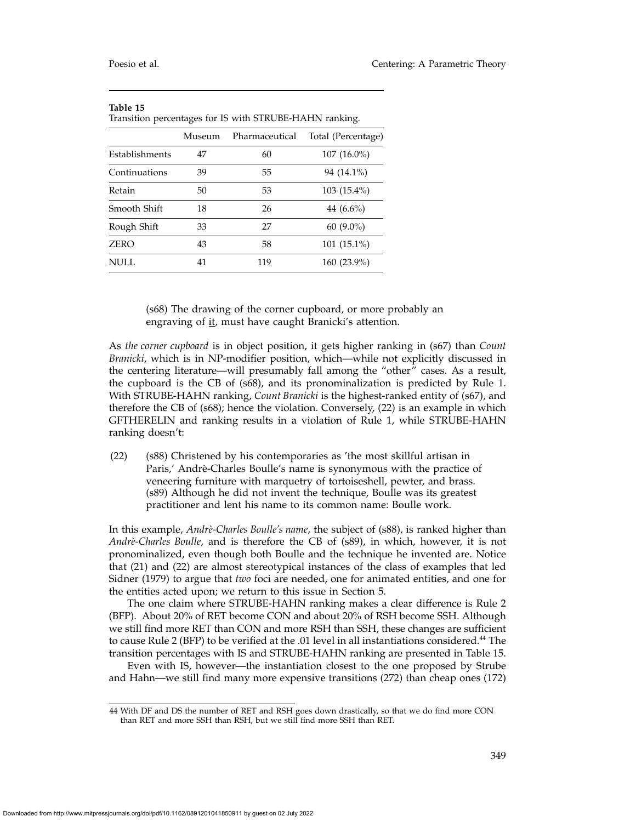| Transition percentages for IS with STRUBE-HAHN ranking. |        |                |                    |
|---------------------------------------------------------|--------|----------------|--------------------|
|                                                         | Museum | Pharmaceutical | Total (Percentage) |
| <b>Establishments</b>                                   | 47     | 60             | $107(16.0\%)$      |
| Continuations                                           | 39     | 55             | 94 (14.1%)         |
| Retain                                                  | 50     | 53             | 103 (15.4%)        |
| Smooth Shift                                            | 18     | 26             | 44 $(6.6\%)$       |
| Rough Shift                                             | 33     | 27             | $60(9.0\%)$        |
| <b>ZERO</b>                                             | 43     | 58             | $101(15.1\%)$      |
| NULL.                                                   | 41     | 119            | 160 (23.9%)        |

(s68) The drawing of the corner cupboard, or more probably an engraving of it, must have caught Branicki's attention.

As *the corner cupboard* is in object position, it gets higher ranking in (s67) than *Count Branicki*, which is in NP-modifier position, which—while not explicitly discussed in the centering literature—will presumably fall among the "other" cases. As a result, the cupboard is the CB of (s68), and its pronominalization is predicted by Rule 1. With STRUBE-HAHN ranking, *Count Branicki* is the highest-ranked entity of (s67), and therefore the CB of (s68); hence the violation. Conversely, (22) is an example in which GFTHERELIN and ranking results in a violation of Rule 1, while STRUBE-HAHN ranking doesn't:

(22) (s88) Christened by his contemporaries as 'the most skillful artisan in Paris,' Andrè-Charles Boulle's name is synonymous with the practice of veneering furniture with marquetry of tortoiseshell, pewter, and brass. (s89) Although he did not invent the technique, Boulle was its greatest practitioner and lent his name to its common name: Boulle work.

In this example, *Andrè-Charles Boulle's name*, the subject of (s88), is ranked higher than *Andr`e-Charles Boulle*, and is therefore the CB of (s89), in which, however, it is not pronominalized, even though both Boulle and the technique he invented are. Notice that (21) and (22) are almost stereotypical instances of the class of examples that led Sidner (1979) to argue that *two* foci are needed, one for animated entities, and one for the entities acted upon; we return to this issue in Section 5.

The one claim where STRUBE-HAHN ranking makes a clear difference is Rule 2 (BFP). About 20% of RET become CON and about 20% of RSH become SSH. Although we still find more RET than CON and more RSH than SSH, these changes are sufficient to cause Rule 2 (BFP) to be verified at the .01 level in all instantiations considered.<sup>44</sup> The transition percentages with IS and STRUBE-HAHN ranking are presented in Table 15.

Even with IS, however—the instantiation closest to the one proposed by Strube and Hahn—we still find many more expensive transitions (272) than cheap ones (172)

<sup>44</sup> With DF and DS the number of RET and RSH goes down drastically, so that we do find more CON than RET and more SSH than RSH, but we still find more SSH than RET.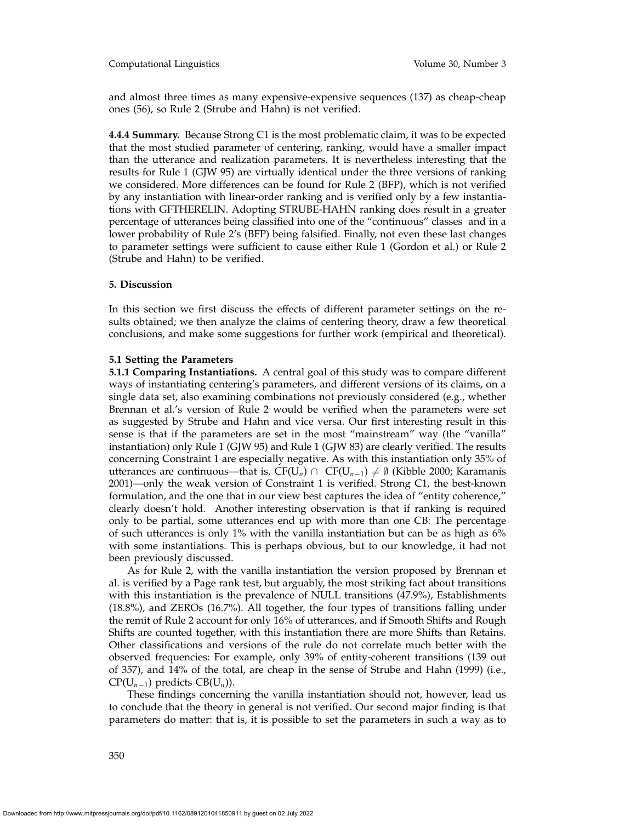and almost three times as many expensive-expensive sequences (137) as cheap-cheap ones (56), so Rule 2 (Strube and Hahn) is not verified.

**4.4.4 Summary.** Because Strong C1 is the most problematic claim, it was to be expected that the most studied parameter of centering, ranking, would have a smaller impact than the utterance and realization parameters. It is nevertheless interesting that the results for Rule 1 (GJW 95) are virtually identical under the three versions of ranking we considered. More differences can be found for Rule 2 (BFP), which is not verified by any instantiation with linear-order ranking and is verified only by a few instantiations with GFTHERELIN. Adopting STRUBE-HAHN ranking does result in a greater percentage of utterances being classified into one of the "continuous" classes and in a lower probability of Rule 2's (BFP) being falsified. Finally, not even these last changes to parameter settings were sufficient to cause either Rule 1 (Gordon et al.) or Rule 2 (Strube and Hahn) to be verified.

## **5. Discussion**

In this section we first discuss the effects of different parameter settings on the results obtained; we then analyze the claims of centering theory, draw a few theoretical conclusions, and make some suggestions for further work (empirical and theoretical).

## **5.1 Setting the Parameters**

**5.1.1 Comparing Instantiations.** A central goal of this study was to compare different ways of instantiating centering's parameters, and different versions of its claims, on a single data set, also examining combinations not previously considered (e.g., whether Brennan et al.'s version of Rule 2 would be verified when the parameters were set as suggested by Strube and Hahn and vice versa. Our first interesting result in this sense is that if the parameters are set in the most "mainstream" way (the "vanilla" instantiation) only Rule 1 (GJW 95) and Rule 1 (GJW 83) are clearly verified. The results concerning Constraint 1 are especially negative. As with this instantiation only 35% of utterances are continuous—that is,  $CF(U_n) ∩ CF(U_{n-1}) \neq \emptyset$  (Kibble 2000; Karamanis 2001)—only the weak version of Constraint 1 is verified. Strong C1, the best-known formulation, and the one that in our view best captures the idea of "entity coherence," clearly doesn't hold. Another interesting observation is that if ranking is required only to be partial, some utterances end up with more than one CB: The percentage of such utterances is only 1% with the vanilla instantiation but can be as high as 6% with some instantiations. This is perhaps obvious, but to our knowledge, it had not been previously discussed.

As for Rule 2, with the vanilla instantiation the version proposed by Brennan et al. is verified by a Page rank test, but arguably, the most striking fact about transitions with this instantiation is the prevalence of NULL transitions (47.9%), Establishments (18.8%), and ZEROs (16.7%). All together, the four types of transitions falling under the remit of Rule 2 account for only 16% of utterances, and if Smooth Shifts and Rough Shifts are counted together, with this instantiation there are more Shifts than Retains. Other classifications and versions of the rule do not correlate much better with the observed frequencies: For example, only 39% of entity-coherent transitions (139 out of 357), and 14% of the total, are cheap in the sense of Strube and Hahn (1999) (i.e., CP(U*<sup>n</sup>*−1) predicts CB(U*n*)).

These findings concerning the vanilla instantiation should not, however, lead us to conclude that the theory in general is not verified. Our second major finding is that parameters do matter: that is, it is possible to set the parameters in such a way as to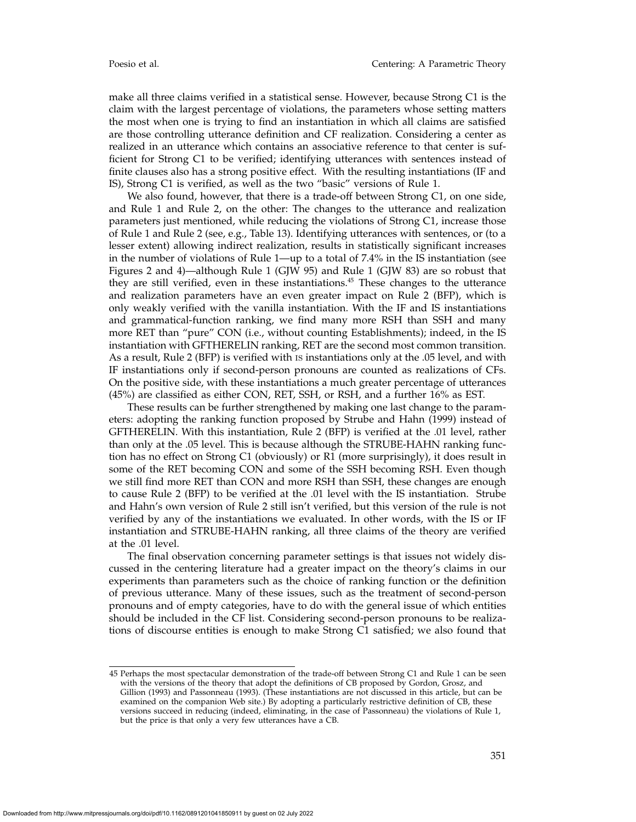make all three claims verified in a statistical sense. However, because Strong C1 is the claim with the largest percentage of violations, the parameters whose setting matters the most when one is trying to find an instantiation in which all claims are satisfied are those controlling utterance definition and CF realization. Considering a center as realized in an utterance which contains an associative reference to that center is sufficient for Strong C1 to be verified; identifying utterances with sentences instead of finite clauses also has a strong positive effect. With the resulting instantiations (IF and IS), Strong C1 is verified, as well as the two "basic" versions of Rule 1.

We also found, however, that there is a trade-off between Strong C1, on one side, and Rule 1 and Rule 2, on the other: The changes to the utterance and realization parameters just mentioned, while reducing the violations of Strong C1, increase those of Rule 1 and Rule 2 (see, e.g., Table 13). Identifying utterances with sentences, or (to a lesser extent) allowing indirect realization, results in statistically significant increases in the number of violations of Rule 1—up to a total of 7.4% in the IS instantiation (see Figures 2 and 4)—although Rule 1 (GJW 95) and Rule 1 (GJW 83) are so robust that they are still verified, even in these instantiations.<sup>45</sup> These changes to the utterance and realization parameters have an even greater impact on Rule 2 (BFP), which is only weakly verified with the vanilla instantiation. With the IF and IS instantiations and grammatical-function ranking, we find many more RSH than SSH and many more RET than "pure" CON (i.e., without counting Establishments); indeed, in the IS instantiation with GFTHERELIN ranking, RET are the second most common transition. As a result, Rule 2 (BFP) is verified with is instantiations only at the .05 level, and with IF instantiations only if second-person pronouns are counted as realizations of CFs. On the positive side, with these instantiations a much greater percentage of utterances (45%) are classified as either CON, RET, SSH, or RSH, and a further 16% as EST.

These results can be further strengthened by making one last change to the parameters: adopting the ranking function proposed by Strube and Hahn (1999) instead of GFTHERELIN. With this instantiation, Rule 2 (BFP) is verified at the .01 level, rather than only at the .05 level. This is because although the STRUBE-HAHN ranking function has no effect on Strong C1 (obviously) or R1 (more surprisingly), it does result in some of the RET becoming CON and some of the SSH becoming RSH. Even though we still find more RET than CON and more RSH than SSH, these changes are enough to cause Rule 2 (BFP) to be verified at the .01 level with the IS instantiation. Strube and Hahn's own version of Rule 2 still isn't verified, but this version of the rule is not verified by any of the instantiations we evaluated. In other words, with the IS or IF instantiation and STRUBE-HAHN ranking, all three claims of the theory are verified at the .01 level.

The final observation concerning parameter settings is that issues not widely discussed in the centering literature had a greater impact on the theory's claims in our experiments than parameters such as the choice of ranking function or the definition of previous utterance. Many of these issues, such as the treatment of second-person pronouns and of empty categories, have to do with the general issue of which entities should be included in the CF list. Considering second-person pronouns to be realizations of discourse entities is enough to make Strong C1 satisfied; we also found that

<sup>45</sup> Perhaps the most spectacular demonstration of the trade-off between Strong C1 and Rule 1 can be seen with the versions of the theory that adopt the definitions of CB proposed by Gordon, Grosz, and Gillion (1993) and Passonneau (1993). (These instantiations are not discussed in this article, but can be examined on the companion Web site.) By adopting a particularly restrictive definition of CB, these versions succeed in reducing (indeed, eliminating, in the case of Passonneau) the violations of Rule 1, but the price is that only a very few utterances have a CB.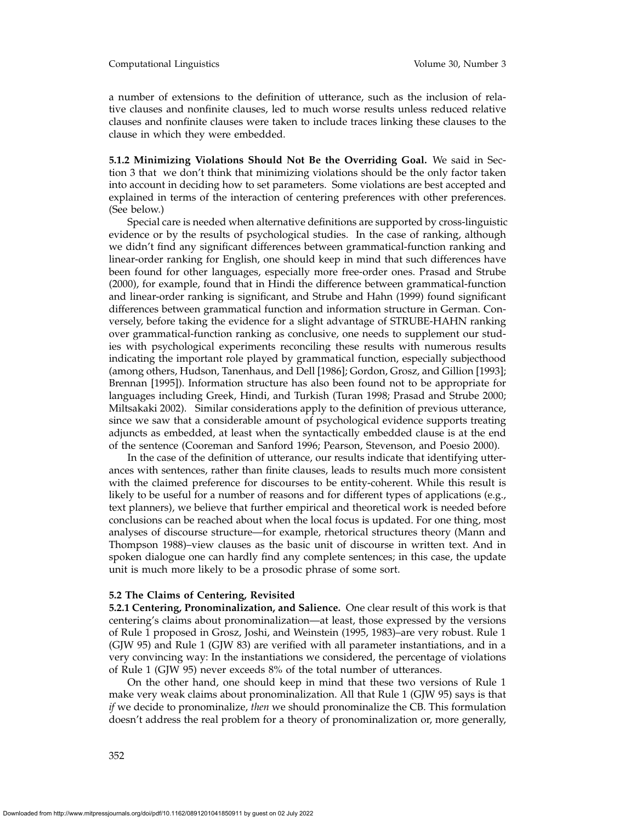a number of extensions to the definition of utterance, such as the inclusion of relative clauses and nonfinite clauses, led to much worse results unless reduced relative clauses and nonfinite clauses were taken to include traces linking these clauses to the clause in which they were embedded.

**5.1.2 Minimizing Violations Should Not Be the Overriding Goal.** We said in Section 3 that we don't think that minimizing violations should be the only factor taken into account in deciding how to set parameters. Some violations are best accepted and explained in terms of the interaction of centering preferences with other preferences. (See below.)

Special care is needed when alternative definitions are supported by cross-linguistic evidence or by the results of psychological studies. In the case of ranking, although we didn't find any significant differences between grammatical-function ranking and linear-order ranking for English, one should keep in mind that such differences have been found for other languages, especially more free-order ones. Prasad and Strube (2000), for example, found that in Hindi the difference between grammatical-function and linear-order ranking is significant, and Strube and Hahn (1999) found significant differences between grammatical function and information structure in German. Conversely, before taking the evidence for a slight advantage of STRUBE-HAHN ranking over grammatical-function ranking as conclusive, one needs to supplement our studies with psychological experiments reconciling these results with numerous results indicating the important role played by grammatical function, especially subjecthood (among others, Hudson, Tanenhaus, and Dell [1986]; Gordon, Grosz, and Gillion [1993]; Brennan [1995]). Information structure has also been found not to be appropriate for languages including Greek, Hindi, and Turkish (Turan 1998; Prasad and Strube 2000; Miltsakaki 2002). Similar considerations apply to the definition of previous utterance, since we saw that a considerable amount of psychological evidence supports treating adjuncts as embedded, at least when the syntactically embedded clause is at the end of the sentence (Cooreman and Sanford 1996; Pearson, Stevenson, and Poesio 2000).

In the case of the definition of utterance, our results indicate that identifying utterances with sentences, rather than finite clauses, leads to results much more consistent with the claimed preference for discourses to be entity-coherent. While this result is likely to be useful for a number of reasons and for different types of applications (e.g., text planners), we believe that further empirical and theoretical work is needed before conclusions can be reached about when the local focus is updated. For one thing, most analyses of discourse structure—for example, rhetorical structures theory (Mann and Thompson 1988)–view clauses as the basic unit of discourse in written text. And in spoken dialogue one can hardly find any complete sentences; in this case, the update unit is much more likely to be a prosodic phrase of some sort.

## **5.2 The Claims of Centering, Revisited**

**5.2.1 Centering, Pronominalization, and Salience.** One clear result of this work is that centering's claims about pronominalization—at least, those expressed by the versions of Rule 1 proposed in Grosz, Joshi, and Weinstein (1995, 1983)–are very robust. Rule 1 (GJW 95) and Rule 1 (GJW 83) are verified with all parameter instantiations, and in a very convincing way: In the instantiations we considered, the percentage of violations of Rule 1 (GJW 95) never exceeds 8% of the total number of utterances.

On the other hand, one should keep in mind that these two versions of Rule 1 make very weak claims about pronominalization. All that Rule 1 (GJW 95) says is that *if* we decide to pronominalize, *then* we should pronominalize the CB. This formulation doesn't address the real problem for a theory of pronominalization or, more generally,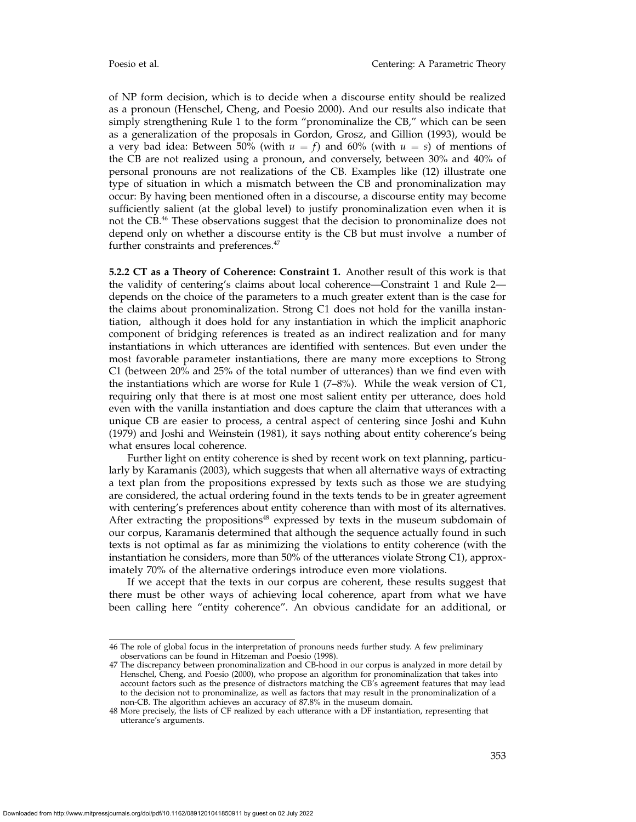of NP form decision, which is to decide when a discourse entity should be realized as a pronoun (Henschel, Cheng, and Poesio 2000). And our results also indicate that simply strengthening Rule 1 to the form "pronominalize the CB," which can be seen as a generalization of the proposals in Gordon, Grosz, and Gillion (1993), would be a very bad idea: Between 50% (with  $u = f$ ) and 60% (with  $u = s$ ) of mentions of the CB are not realized using a pronoun, and conversely, between 30% and 40% of personal pronouns are not realizations of the CB. Examples like (12) illustrate one type of situation in which a mismatch between the CB and pronominalization may occur: By having been mentioned often in a discourse, a discourse entity may become sufficiently salient (at the global level) to justify pronominalization even when it is not the CB.46 These observations suggest that the decision to pronominalize does not depend only on whether a discourse entity is the CB but must involve a number of further constraints and preferences.<sup>47</sup>

**5.2.2 CT as a Theory of Coherence: Constraint 1.** Another result of this work is that the validity of centering's claims about local coherence—Constraint 1 and Rule 2 depends on the choice of the parameters to a much greater extent than is the case for the claims about pronominalization. Strong C1 does not hold for the vanilla instantiation, although it does hold for any instantiation in which the implicit anaphoric component of bridging references is treated as an indirect realization and for many instantiations in which utterances are identified with sentences. But even under the most favorable parameter instantiations, there are many more exceptions to Strong C1 (between 20% and 25% of the total number of utterances) than we find even with the instantiations which are worse for Rule 1 (7–8%). While the weak version of  $C1$ , requiring only that there is at most one most salient entity per utterance, does hold even with the vanilla instantiation and does capture the claim that utterances with a unique CB are easier to process, a central aspect of centering since Joshi and Kuhn (1979) and Joshi and Weinstein (1981), it says nothing about entity coherence's being what ensures local coherence.

Further light on entity coherence is shed by recent work on text planning, particularly by Karamanis (2003), which suggests that when all alternative ways of extracting a text plan from the propositions expressed by texts such as those we are studying are considered, the actual ordering found in the texts tends to be in greater agreement with centering's preferences about entity coherence than with most of its alternatives. After extracting the propositions<sup>48</sup> expressed by texts in the museum subdomain of our corpus, Karamanis determined that although the sequence actually found in such texts is not optimal as far as minimizing the violations to entity coherence (with the instantiation he considers, more than 50% of the utterances violate Strong C1), approximately 70% of the alternative orderings introduce even more violations.

If we accept that the texts in our corpus are coherent, these results suggest that there must be other ways of achieving local coherence, apart from what we have been calling here "entity coherence". An obvious candidate for an additional, or

<sup>46</sup> The role of global focus in the interpretation of pronouns needs further study. A few preliminary observations can be found in Hitzeman and Poesio (1998).

<sup>47</sup> The discrepancy between pronominalization and CB-hood in our corpus is analyzed in more detail by Henschel, Cheng, and Poesio (2000), who propose an algorithm for pronominalization that takes into account factors such as the presence of distractors matching the CB's agreement features that may lead to the decision not to pronominalize, as well as factors that may result in the pronominalization of a non-CB. The algorithm achieves an accuracy of 87.8% in the museum domain.

<sup>48</sup> More precisely, the lists of CF realized by each utterance with a DF instantiation, representing that utterance's arguments.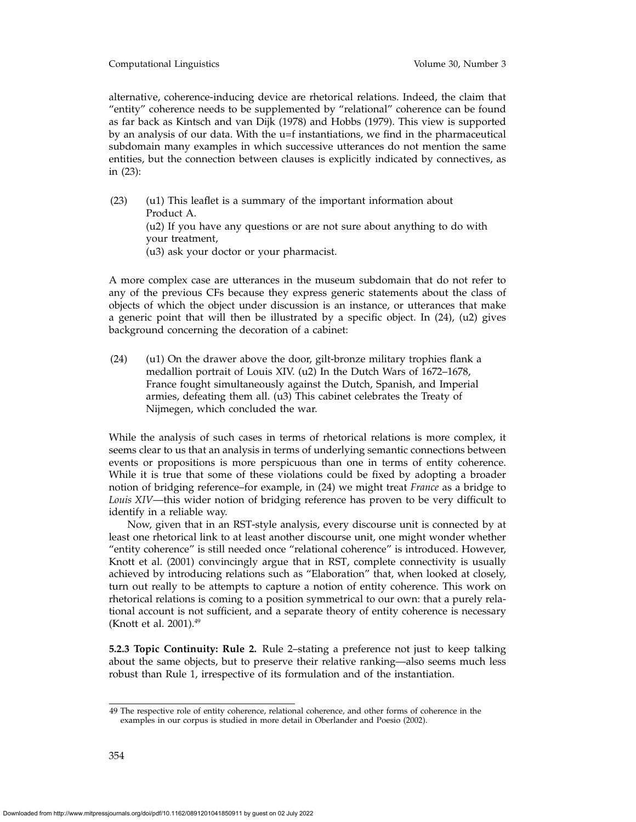Computational Linguistics Volume 30, Number 3

alternative, coherence-inducing device are rhetorical relations. Indeed, the claim that "entity" coherence needs to be supplemented by "relational" coherence can be found as far back as Kintsch and van Dijk (1978) and Hobbs (1979). This view is supported by an analysis of our data. With the u=f instantiations, we find in the pharmaceutical subdomain many examples in which successive utterances do not mention the same entities, but the connection between clauses is explicitly indicated by connectives, as in (23):

(23) (u1) This leaflet is a summary of the important information about Product A. (u2) If you have any questions or are not sure about anything to do with your treatment, (u3) ask your doctor or your pharmacist.

A more complex case are utterances in the museum subdomain that do not refer to any of the previous CFs because they express generic statements about the class of objects of which the object under discussion is an instance, or utterances that make a generic point that will then be illustrated by a specific object. In (24), (u2) gives background concerning the decoration of a cabinet:

(24) (u1) On the drawer above the door, gilt-bronze military trophies flank a medallion portrait of Louis XIV. (u2) In the Dutch Wars of 1672–1678, France fought simultaneously against the Dutch, Spanish, and Imperial armies, defeating them all. (u3) This cabinet celebrates the Treaty of Nijmegen, which concluded the war.

While the analysis of such cases in terms of rhetorical relations is more complex, it seems clear to us that an analysis in terms of underlying semantic connections between events or propositions is more perspicuous than one in terms of entity coherence. While it is true that some of these violations could be fixed by adopting a broader notion of bridging reference–for example, in (24) we might treat *France* as a bridge to *Louis XIV*—this wider notion of bridging reference has proven to be very difficult to identify in a reliable way.

Now, given that in an RST-style analysis, every discourse unit is connected by at least one rhetorical link to at least another discourse unit, one might wonder whether "entity coherence" is still needed once "relational coherence" is introduced. However, Knott et al. (2001) convincingly argue that in RST, complete connectivity is usually achieved by introducing relations such as "Elaboration" that, when looked at closely, turn out really to be attempts to capture a notion of entity coherence. This work on rhetorical relations is coming to a position symmetrical to our own: that a purely relational account is not sufficient, and a separate theory of entity coherence is necessary (Knott et al. 2001). $49$ 

**5.2.3 Topic Continuity: Rule 2.** Rule 2–stating a preference not just to keep talking about the same objects, but to preserve their relative ranking—also seems much less robust than Rule 1, irrespective of its formulation and of the instantiation.

<sup>49</sup> The respective role of entity coherence, relational coherence, and other forms of coherence in the examples in our corpus is studied in more detail in Oberlander and Poesio (2002).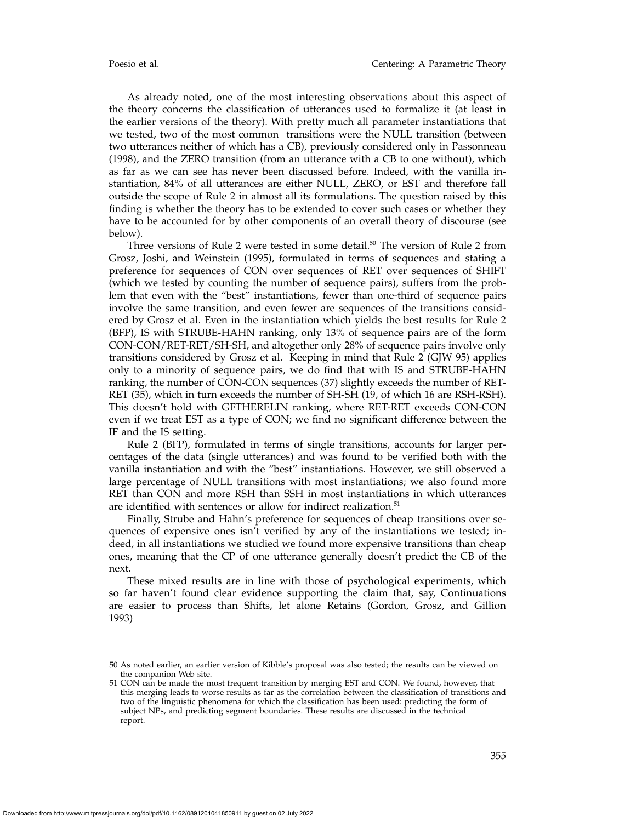As already noted, one of the most interesting observations about this aspect of the theory concerns the classification of utterances used to formalize it (at least in the earlier versions of the theory). With pretty much all parameter instantiations that we tested, two of the most common transitions were the NULL transition (between two utterances neither of which has a CB), previously considered only in Passonneau (1998), and the ZERO transition (from an utterance with a CB to one without), which as far as we can see has never been discussed before. Indeed, with the vanilla instantiation, 84% of all utterances are either NULL, ZERO, or EST and therefore fall outside the scope of Rule 2 in almost all its formulations. The question raised by this finding is whether the theory has to be extended to cover such cases or whether they have to be accounted for by other components of an overall theory of discourse (see below).

Three versions of Rule 2 were tested in some detail.<sup>50</sup> The version of Rule 2 from Grosz, Joshi, and Weinstein (1995), formulated in terms of sequences and stating a preference for sequences of CON over sequences of RET over sequences of SHIFT (which we tested by counting the number of sequence pairs), suffers from the problem that even with the "best" instantiations, fewer than one-third of sequence pairs involve the same transition, and even fewer are sequences of the transitions considered by Grosz et al. Even in the instantiation which yields the best results for Rule 2 (BFP), IS with STRUBE-HAHN ranking, only 13% of sequence pairs are of the form CON-CON/RET-RET/SH-SH, and altogether only 28% of sequence pairs involve only transitions considered by Grosz et al. Keeping in mind that Rule 2 (GJW 95) applies only to a minority of sequence pairs, we do find that with IS and STRUBE-HAHN ranking, the number of CON-CON sequences (37) slightly exceeds the number of RET-RET (35), which in turn exceeds the number of SH-SH (19, of which 16 are RSH-RSH). This doesn't hold with GFTHERELIN ranking, where RET-RET exceeds CON-CON even if we treat EST as a type of CON; we find no significant difference between the IF and the IS setting.

Rule 2 (BFP), formulated in terms of single transitions, accounts for larger percentages of the data (single utterances) and was found to be verified both with the vanilla instantiation and with the "best" instantiations. However, we still observed a large percentage of NULL transitions with most instantiations; we also found more RET than CON and more RSH than SSH in most instantiations in which utterances are identified with sentences or allow for indirect realization.<sup>51</sup>

Finally, Strube and Hahn's preference for sequences of cheap transitions over sequences of expensive ones isn't verified by any of the instantiations we tested; indeed, in all instantiations we studied we found more expensive transitions than cheap ones, meaning that the CP of one utterance generally doesn't predict the CB of the next.

These mixed results are in line with those of psychological experiments, which so far haven't found clear evidence supporting the claim that, say, Continuations are easier to process than Shifts, let alone Retains (Gordon, Grosz, and Gillion 1993)

<sup>50</sup> As noted earlier, an earlier version of Kibble's proposal was also tested; the results can be viewed on the companion Web site.

<sup>51</sup> CON can be made the most frequent transition by merging EST and CON. We found, however, that this merging leads to worse results as far as the correlation between the classification of transitions and two of the linguistic phenomena for which the classification has been used: predicting the form of subject NPs, and predicting segment boundaries. These results are discussed in the technical report.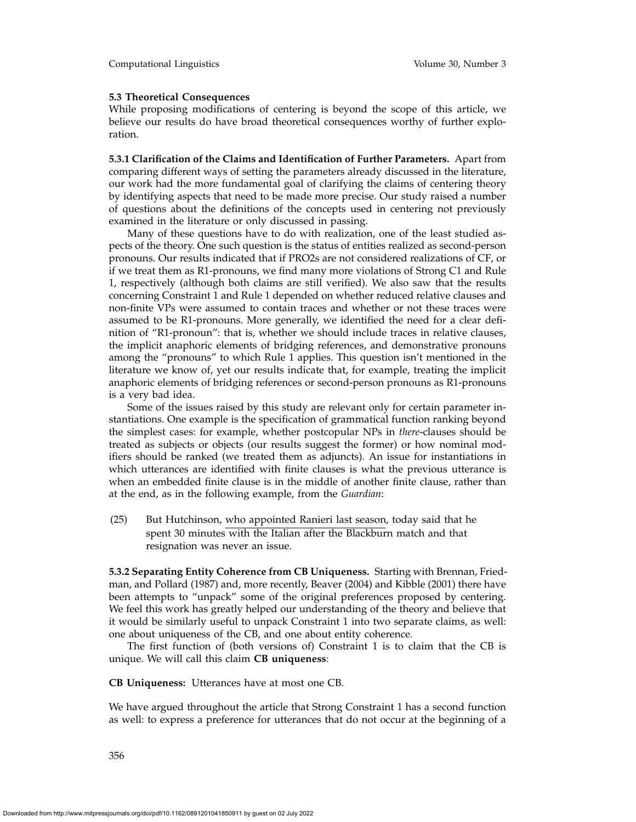# **5.3 Theoretical Consequences**

While proposing modifications of centering is beyond the scope of this article, we believe our results do have broad theoretical consequences worthy of further exploration.

**5.3.1 Clarification of the Claims and Identification of Further Parameters.** Apart from comparing different ways of setting the parameters already discussed in the literature, our work had the more fundamental goal of clarifying the claims of centering theory by identifying aspects that need to be made more precise. Our study raised a number of questions about the definitions of the concepts used in centering not previously examined in the literature or only discussed in passing.

Many of these questions have to do with realization, one of the least studied aspects of the theory. One such question is the status of entities realized as second-person pronouns. Our results indicated that if PRO2s are not considered realizations of CF, or if we treat them as R1-pronouns, we find many more violations of Strong C1 and Rule 1, respectively (although both claims are still verified). We also saw that the results concerning Constraint 1 and Rule 1 depended on whether reduced relative clauses and non-finite VPs were assumed to contain traces and whether or not these traces were assumed to be R1-pronouns. More generally, we identified the need for a clear definition of "R1-pronoun": that is, whether we should include traces in relative clauses, the implicit anaphoric elements of bridging references, and demonstrative pronouns among the "pronouns" to which Rule 1 applies. This question isn't mentioned in the literature we know of, yet our results indicate that, for example, treating the implicit anaphoric elements of bridging references or second-person pronouns as R1-pronouns is a very bad idea.

Some of the issues raised by this study are relevant only for certain parameter instantiations. One example is the specification of grammatical function ranking beyond the simplest cases: for example, whether postcopular NPs in *there*-clauses should be treated as subjects or objects (our results suggest the former) or how nominal modifiers should be ranked (we treated them as adjuncts). An issue for instantiations in which utterances are identified with finite clauses is what the previous utterance is when an embedded finite clause is in the middle of another finite clause, rather than at the end, as in the following example, from the *Guardian*:

(25) But Hutchinson, who appointed Ranieri last season, today said that he spent 30 minutes with the Italian after the Blackburn match and that resignation was never an issue.

**5.3.2 Separating Entity Coherence from CB Uniqueness.** Starting with Brennan, Friedman, and Pollard (1987) and, more recently, Beaver (2004) and Kibble (2001) there have been attempts to "unpack" some of the original preferences proposed by centering. We feel this work has greatly helped our understanding of the theory and believe that it would be similarly useful to unpack Constraint 1 into two separate claims, as well: one about uniqueness of the CB, and one about entity coherence.

The first function of (both versions of) Constraint 1 is to claim that the CB is unique. We will call this claim **CB uniqueness**:

**CB Uniqueness:** Utterances have at most one CB.

We have argued throughout the article that Strong Constraint 1 has a second function as well: to express a preference for utterances that do not occur at the beginning of a

356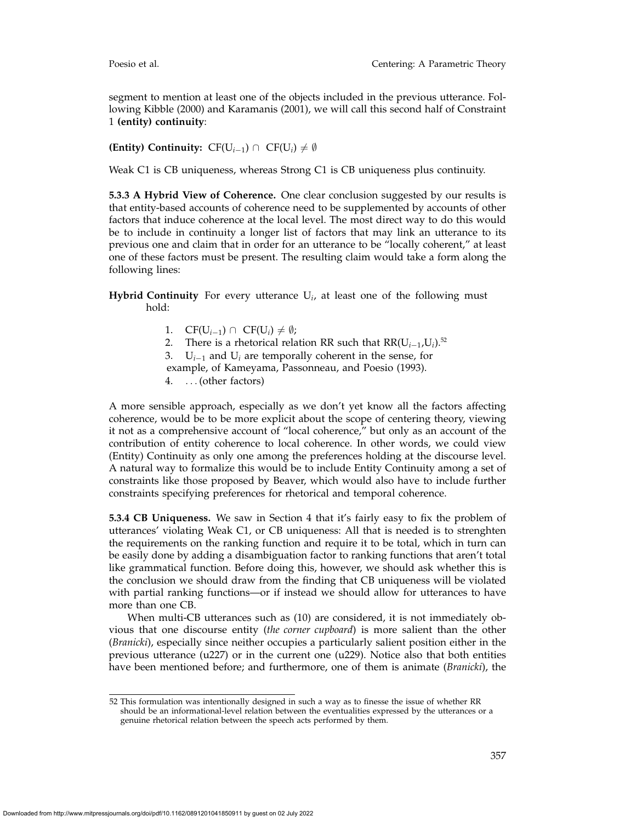segment to mention at least one of the objects included in the previous utterance. Following Kibble (2000) and Karamanis (2001), we will call this second half of Constraint 1 **(entity) continuity**:

**(Entity) Continuity:**  $CF(U_{i-1}) \cap CF(U_i) \neq \emptyset$ 

Weak C1 is CB uniqueness, whereas Strong C1 is CB uniqueness plus continuity.

**5.3.3 A Hybrid View of Coherence.** One clear conclusion suggested by our results is that entity-based accounts of coherence need to be supplemented by accounts of other factors that induce coherence at the local level. The most direct way to do this would be to include in continuity a longer list of factors that may link an utterance to its previous one and claim that in order for an utterance to be "locally coherent," at least one of these factors must be present. The resulting claim would take a form along the following lines:

**Hybrid Continuity** For every utterance U*i*, at least one of the following must hold:

- 1.  $CF(U_{i-1}) \cap CF(U_i) \neq \emptyset;$
- 2. There is a rhetorical relation RR such that RR(U*<sup>i</sup>*−1,U*i*).52
- 3. U*<sup>i</sup>*−<sup>1</sup> and U*<sup>i</sup>* are temporally coherent in the sense, for example, of Kameyama, Passonneau, and Poesio (1993).
- 4. ...(other factors)

A more sensible approach, especially as we don't yet know all the factors affecting coherence, would be to be more explicit about the scope of centering theory, viewing it not as a comprehensive account of "local coherence," but only as an account of the contribution of entity coherence to local coherence. In other words, we could view (Entity) Continuity as only one among the preferences holding at the discourse level. A natural way to formalize this would be to include Entity Continuity among a set of constraints like those proposed by Beaver, which would also have to include further constraints specifying preferences for rhetorical and temporal coherence.

**5.3.4 CB Uniqueness.** We saw in Section 4 that it's fairly easy to fix the problem of utterances' violating Weak C1, or CB uniqueness: All that is needed is to strenghten the requirements on the ranking function and require it to be total, which in turn can be easily done by adding a disambiguation factor to ranking functions that aren't total like grammatical function. Before doing this, however, we should ask whether this is the conclusion we should draw from the finding that CB uniqueness will be violated with partial ranking functions—or if instead we should allow for utterances to have more than one CB.

When multi-CB utterances such as (10) are considered, it is not immediately obvious that one discourse entity (*the corner cupboard*) is more salient than the other (*Branicki*), especially since neither occupies a particularly salient position either in the previous utterance (u227) or in the current one (u229). Notice also that both entities have been mentioned before; and furthermore, one of them is animate (*Branicki*), the

<sup>52</sup> This formulation was intentionally designed in such a way as to finesse the issue of whether RR should be an informational-level relation between the eventualities expressed by the utterances or a genuine rhetorical relation between the speech acts performed by them.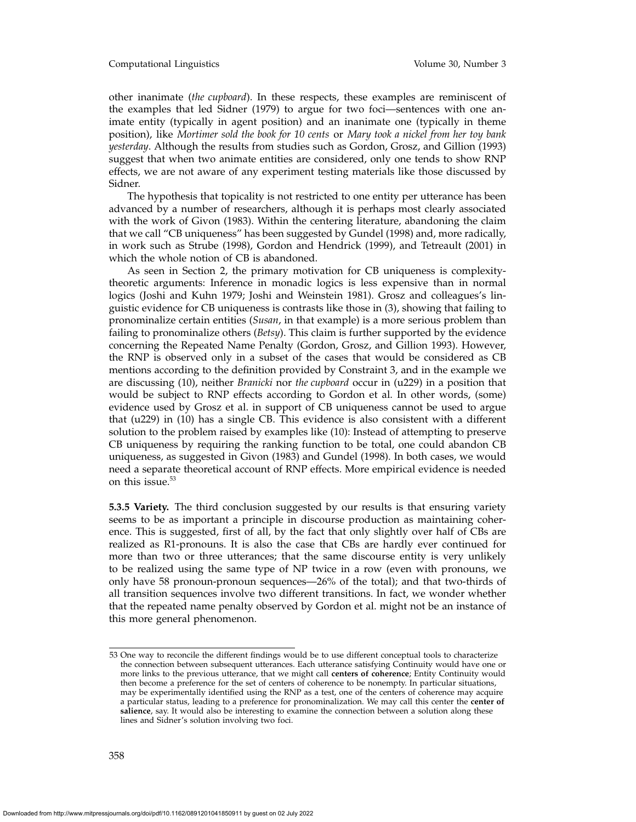#### Computational Linguistics Volume 30, Number 3

other inanimate (*the cupboard*). In these respects, these examples are reminiscent of the examples that led Sidner (1979) to argue for two foci—sentences with one animate entity (typically in agent position) and an inanimate one (typically in theme position), like *Mortimer sold the book for 10 cents* or *Mary took a nickel from her toy bank yesterday*. Although the results from studies such as Gordon, Grosz, and Gillion (1993) suggest that when two animate entities are considered, only one tends to show RNP effects, we are not aware of any experiment testing materials like those discussed by Sidner.

The hypothesis that topicality is not restricted to one entity per utterance has been advanced by a number of researchers, although it is perhaps most clearly associated with the work of Givon (1983). Within the centering literature, abandoning the claim that we call "CB uniqueness" has been suggested by Gundel (1998) and, more radically, in work such as Strube (1998), Gordon and Hendrick (1999), and Tetreault (2001) in which the whole notion of CB is abandoned.

As seen in Section 2, the primary motivation for CB uniqueness is complexitytheoretic arguments: Inference in monadic logics is less expensive than in normal logics (Joshi and Kuhn 1979; Joshi and Weinstein 1981). Grosz and colleagues's linguistic evidence for CB uniqueness is contrasts like those in (3), showing that failing to pronominalize certain entities (*Susan*, in that example) is a more serious problem than failing to pronominalize others (*Betsy*). This claim is further supported by the evidence concerning the Repeated Name Penalty (Gordon, Grosz, and Gillion 1993). However, the RNP is observed only in a subset of the cases that would be considered as CB mentions according to the definition provided by Constraint 3, and in the example we are discussing (10), neither *Branicki* nor *the cupboard* occur in (u229) in a position that would be subject to RNP effects according to Gordon et al. In other words, (some) evidence used by Grosz et al. in support of CB uniqueness cannot be used to argue that (u229) in (10) has a single CB. This evidence is also consistent with a different solution to the problem raised by examples like (10): Instead of attempting to preserve CB uniqueness by requiring the ranking function to be total, one could abandon CB uniqueness, as suggested in Givon (1983) and Gundel (1998). In both cases, we would need a separate theoretical account of RNP effects. More empirical evidence is needed on this issue.<sup>53</sup>

**5.3.5 Variety.** The third conclusion suggested by our results is that ensuring variety seems to be as important a principle in discourse production as maintaining coherence. This is suggested, first of all, by the fact that only slightly over half of CBs are realized as R1-pronouns. It is also the case that CBs are hardly ever continued for more than two or three utterances; that the same discourse entity is very unlikely to be realized using the same type of NP twice in a row (even with pronouns, we only have 58 pronoun-pronoun sequences—26% of the total); and that two-thirds of all transition sequences involve two different transitions. In fact, we wonder whether that the repeated name penalty observed by Gordon et al. might not be an instance of this more general phenomenon.

<sup>53</sup> One way to reconcile the different findings would be to use different conceptual tools to characterize the connection between subsequent utterances. Each utterance satisfying Continuity would have one or more links to the previous utterance, that we might call **centers of coherence**; Entity Continuity would then become a preference for the set of centers of coherence to be nonempty. In particular situations, may be experimentally identified using the RNP as a test, one of the centers of coherence may acquire a particular status, leading to a preference for pronominalization. We may call this center the **center of salience**, say. It would also be interesting to examine the connection between a solution along these lines and Sidner's solution involving two foci.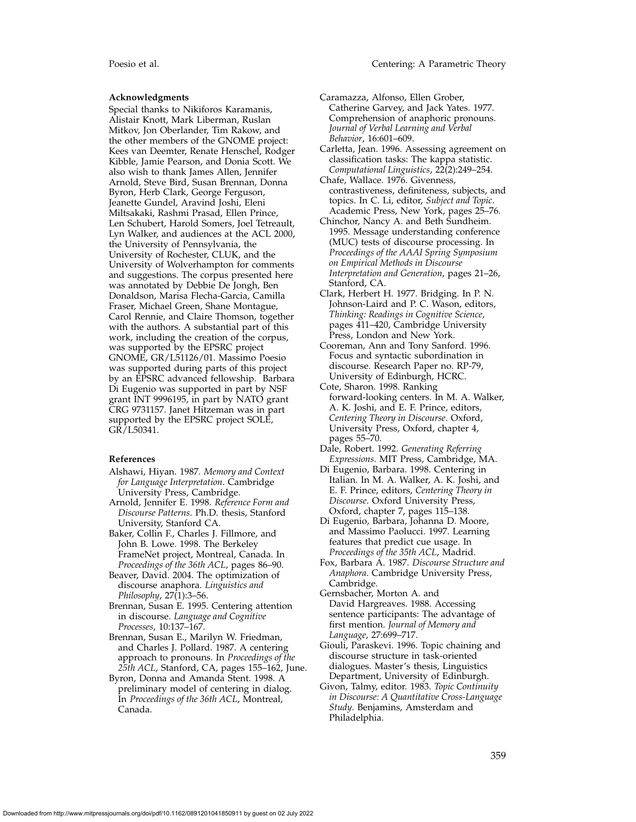#### **Acknowledgments**

Special thanks to Nikiforos Karamanis, Alistair Knott, Mark Liberman, Ruslan Mitkov, Jon Oberlander, Tim Rakow, and the other members of the GNOME project: Kees van Deemter, Renate Henschel, Rodger Kibble, Jamie Pearson, and Donia Scott. We also wish to thank James Allen, Jennifer Arnold, Steve Bird, Susan Brennan, Donna Byron, Herb Clark, George Ferguson, Jeanette Gundel, Aravind Joshi, Eleni Miltsakaki, Rashmi Prasad, Ellen Prince, Len Schubert, Harold Somers, Joel Tetreault, Lyn Walker, and audiences at the ACL 2000, the University of Pennsylvania, the University of Rochester, CLUK, and the University of Wolverhampton for comments and suggestions. The corpus presented here was annotated by Debbie De Jongh, Ben Donaldson, Marisa Flecha-Garcia, Camilla Fraser, Michael Green, Shane Montague, Carol Rennie, and Claire Thomson, together with the authors. A substantial part of this work, including the creation of the corpus, was supported by the EPSRC project GNOME, GR/L51126/01. Massimo Poesio was supported during parts of this project by an EPSRC advanced fellowship. Barbara Di Eugenio was supported in part by NSF grant INT 9996195, in part by NATO grant CRG 9731157. Janet Hitzeman was in part supported by the EPSRC project SOLE, GR/L50341.

#### **References**

- Alshawi, Hiyan. 1987. *Memory and Context for Language Interpretation*. Cambridge University Press, Cambridge.
- Arnold, Jennifer E. 1998. *Reference Form and Discourse Patterns*. Ph.D. thesis, Stanford University, Stanford CA.
- Baker, Collin F., Charles J. Fillmore, and John B. Lowe. 1998. The Berkeley FrameNet project, Montreal, Canada. In *Proceedings of the 36th ACL*, pages 86–90.
- Beaver, David. 2004. The optimization of discourse anaphora. *Linguistics and Philosophy*, 27(1):3–56.
- Brennan, Susan E. 1995. Centering attention in discourse. *Language and Cognitive Processes*, 10:137–167.
- Brennan, Susan E., Marilyn W. Friedman, and Charles J. Pollard. 1987. A centering approach to pronouns. In *Proceedings of the 25th ACL*, Stanford, CA, pages 155–162, June.
- Byron, Donna and Amanda Stent. 1998. A preliminary model of centering in dialog. In *Proceedings of the 36th ACL*, Montreal, Canada.
- Caramazza, Alfonso, Ellen Grober, Catherine Garvey, and Jack Yates. 1977. Comprehension of anaphoric pronouns. *Journal of Verbal Learning and Verbal Behavior*, 16:601–609.
- Carletta, Jean. 1996. Assessing agreement on classification tasks: The kappa statistic. *Computational Linguistics*, 22(2):249–254.
- Chafe, Wallace. 1976. Givenness, contrastiveness, definiteness, subjects, and topics. In C. Li, editor, *Subject and Topic*. Academic Press, New York, pages 25–76.
- Chinchor, Nancy A. and Beth Sundheim. 1995. Message understanding conference (MUC) tests of discourse processing. In *Proceedings of the AAAI Spring Symposium on Empirical Methods in Discourse Interpretation and Generation*, pages 21–26, Stanford, CA.
- Clark, Herbert H. 1977. Bridging. In P. N. Johnson-Laird and P. C. Wason, editors, *Thinking: Readings in Cognitive Science*, pages 411–420, Cambridge University Press, London and New York.
- Cooreman, Ann and Tony Sanford. 1996. Focus and syntactic subordination in discourse. Research Paper no. RP-79, University of Edinburgh, HCRC.
- Cote, Sharon. 1998. Ranking forward-looking centers. In M. A. Walker, A. K. Joshi, and E. F. Prince, editors, *Centering Theory in Discourse*. Oxford, University Press, Oxford, chapter 4, pages 55–70.
- Dale, Robert. 1992. *Generating Referring Expressions*. MIT Press, Cambridge, MA.
- Di Eugenio, Barbara. 1998. Centering in Italian. In M. A. Walker, A. K. Joshi, and E. F. Prince, editors, *Centering Theory in Discourse*. Oxford University Press, Oxford, chapter 7, pages 115–138.
- Di Eugenio, Barbara, Johanna D. Moore, and Massimo Paolucci. 1997. Learning features that predict cue usage. In *Proceedings of the 35th ACL*, Madrid.
- Fox, Barbara A. 1987. *Discourse Structure and Anaphora*. Cambridge University Press, Cambridge.
- Gernsbacher, Morton A. and David Hargreaves. 1988. Accessing sentence participants: The advantage of first mention. *Journal of Memory and Language*, 27:699–717.
- Giouli, Paraskevi. 1996. Topic chaining and discourse structure in task-oriented dialogues. Master's thesis, Linguistics Department, University of Edinburgh.
- Givon, Talmy, editor. 1983. *Topic Continuity in Discourse: A Quantitative Cross-Language Study*. Benjamins, Amsterdam and Philadelphia.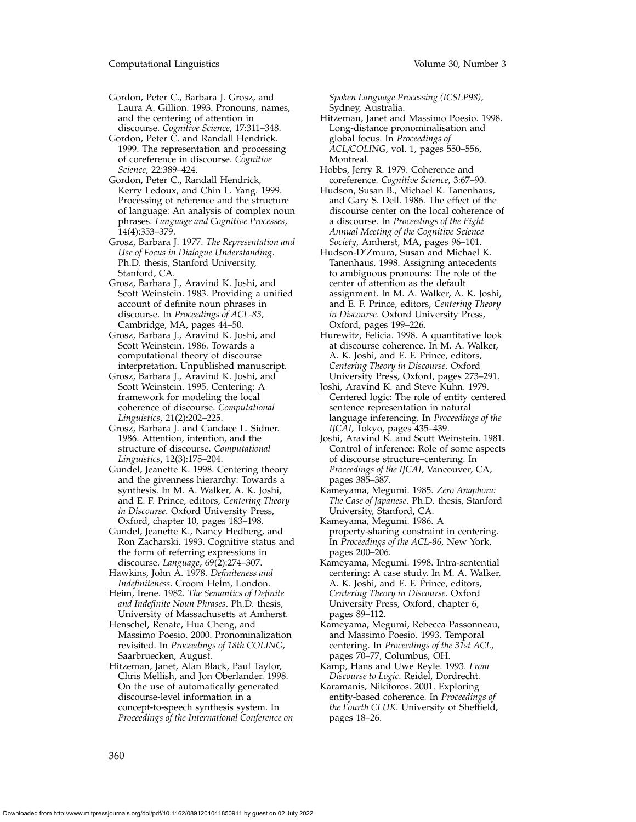- Gordon, Peter C., Barbara J. Grosz, and Laura A. Gillion. 1993. Pronouns, names, and the centering of attention in discourse. *Cognitive Science*, 17:311–348.
- Gordon, Peter C. and Randall Hendrick. 1999. The representation and processing of coreference in discourse. *Cognitive Science*, 22:389–424.
- Gordon, Peter C., Randall Hendrick, Kerry Ledoux, and Chin L. Yang. 1999. Processing of reference and the structure of language: An analysis of complex noun phrases. *Language and Cognitive Processes*, 14(4):353–379.
- Grosz, Barbara J. 1977. *The Representation and Use of Focus in Dialogue Understanding*. Ph.D. thesis, Stanford University, Stanford, CA.
- Grosz, Barbara J., Aravind K. Joshi, and Scott Weinstein. 1983. Providing a unified account of definite noun phrases in discourse. In *Proceedings of ACL-83*, Cambridge, MA, pages 44–50.
- Grosz, Barbara J., Aravind K. Joshi, and Scott Weinstein. 1986. Towards a computational theory of discourse interpretation. Unpublished manuscript.
- Grosz, Barbara J., Aravind K. Joshi, and Scott Weinstein. 1995. Centering: A framework for modeling the local coherence of discourse. *Computational Linguistics*, 21(2):202–225.
- Grosz, Barbara J. and Candace L. Sidner. 1986. Attention, intention, and the structure of discourse. *Computational Linguistics*, 12(3):175–204.
- Gundel, Jeanette K. 1998. Centering theory and the givenness hierarchy: Towards a synthesis. In M. A. Walker, A. K. Joshi, and E. F. Prince, editors, *Centering Theory in Discourse*. Oxford University Press, Oxford, chapter 10, pages 183–198.
- Gundel, Jeanette K., Nancy Hedberg, and Ron Zacharski. 1993. Cognitive status and the form of referring expressions in discourse. *Language*, 69(2):274–307.
- Hawkins, John A. 1978. *Definiteness and Indefiniteness*. Croom Helm, London.
- Heim, Irene. 1982. *The Semantics of Definite and Indefinite Noun Phrases*. Ph.D. thesis, University of Massachusetts at Amherst.
- Henschel, Renate, Hua Cheng, and Massimo Poesio. 2000. Pronominalization revisited. In *Proceedings of 18th COLING*, Saarbruecken, August.
- Hitzeman, Janet, Alan Black, Paul Taylor, Chris Mellish, and Jon Oberlander. 1998. On the use of automatically generated discourse-level information in a concept-to-speech synthesis system. In *Proceedings of the International Conference on*

*Spoken Language Processing (ICSLP98),* Sydney, Australia.

- Hitzeman, Janet and Massimo Poesio. 1998. Long-distance pronominalisation and global focus. In *Proceedings of ACL/COLING*, vol. 1, pages 550–556, Montreal.
- Hobbs, Jerry R. 1979. Coherence and coreference. *Cognitive Science*, 3:67–90.
- Hudson, Susan B., Michael K. Tanenhaus, and Gary S. Dell. 1986. The effect of the discourse center on the local coherence of a discourse. In *Proceedings of the Eight Annual Meeting of the Cognitive Science Society*, Amherst, MA, pages 96–101.
- Hudson-D'Zmura, Susan and Michael K. Tanenhaus. 1998. Assigning antecedents to ambiguous pronouns: The role of the center of attention as the default assignment. In M. A. Walker, A. K. Joshi, and E. F. Prince, editors, *Centering Theory in Discourse*. Oxford University Press, Oxford, pages 199–226.
- Hurewitz, Felicia. 1998. A quantitative look at discourse coherence. In M. A. Walker, A. K. Joshi, and E. F. Prince, editors, *Centering Theory in Discourse*. Oxford University Press, Oxford, pages 273–291.
- Joshi, Aravind K. and Steve Kuhn. 1979. Centered logic: The role of entity centered sentence representation in natural language inferencing. In *Proceedings of the IJCAI*, Tokyo, pages 435–439.
- Joshi, Aravind K. and Scott Weinstein. 1981. Control of inference: Role of some aspects of discourse structure–centering. In *Proceedings of the IJCAI*, Vancouver, CA, pages 385–387.
- Kameyama, Megumi. 1985. *Zero Anaphora: The Case of Japanese*. Ph.D. thesis, Stanford University, Stanford, CA.
- Kameyama, Megumi. 1986. A property-sharing constraint in centering. In *Proceedings of the ACL-86*, New York, pages 200–206.
- Kameyama, Megumi. 1998. Intra-sentential centering: A case study. In M. A. Walker, A. K. Joshi, and E. F. Prince, editors, *Centering Theory in Discourse*. Oxford University Press, Oxford, chapter 6, pages 89–112.
- Kameyama, Megumi, Rebecca Passonneau, and Massimo Poesio. 1993. Temporal centering. In *Proceedings of the 31st ACL*, pages 70–77, Columbus, OH.
- Kamp, Hans and Uwe Reyle. 1993. *From Discourse to Logic*. Reidel, Dordrecht.
- Karamanis, Nikiforos. 2001. Exploring entity-based coherence. In *Proceedings of the Fourth CLUK*. University of Sheffield, pages 18–26.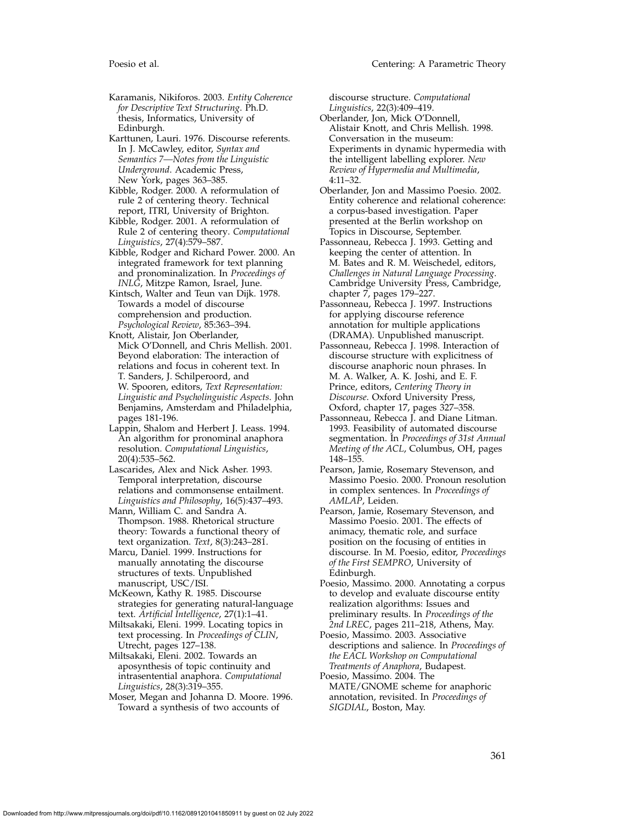Karamanis, Nikiforos. 2003. *Entity Coherence for Descriptive Text Structuring*. Ph.D. thesis, Informatics, University of Edinburgh.

Karttunen, Lauri. 1976. Discourse referents. In J. McCawley, editor, *Syntax and Semantics 7—Notes from the Linguistic Underground*. Academic Press, New York, pages 363–385.

Kibble, Rodger. 2000. A reformulation of rule 2 of centering theory. Technical report, ITRI, University of Brighton.

Kibble, Rodger. 2001. A reformulation of Rule 2 of centering theory. *Computational Linguistics*, 27(4):579–587.

Kibble, Rodger and Richard Power. 2000. An integrated framework for text planning and pronominalization. In *Proceedings of INLG*, Mitzpe Ramon, Israel, June.

Kintsch, Walter and Teun van Dijk. 1978. Towards a model of discourse comprehension and production. *Psychological Review*, 85:363–394.

Knott, Alistair, Jon Oberlander, Mick O'Donnell, and Chris Mellish. 2001. Beyond elaboration: The interaction of relations and focus in coherent text. In T. Sanders, J. Schilperoord, and W. Spooren, editors, *Text Representation: Linguistic and Psycholinguistic Aspects*. John Benjamins, Amsterdam and Philadelphia, pages 181-196.

Lappin, Shalom and Herbert J. Leass. 1994. An algorithm for pronominal anaphora resolution. *Computational Linguistics*, 20(4):535–562.

Lascarides, Alex and Nick Asher. 1993. Temporal interpretation, discourse relations and commonsense entailment. *Linguistics and Philosophy*, 16(5):437–493.

Mann, William C. and Sandra A. Thompson. 1988. Rhetorical structure theory: Towards a functional theory of text organization. *Text*, 8(3):243–281.

Marcu, Daniel. 1999. Instructions for manually annotating the discourse structures of texts. Unpublished manuscript, USC/ISI.

McKeown, Kathy R. 1985. Discourse strategies for generating natural-language text. *Artificial Intelligence*, 27(1):1–41.

Miltsakaki, Eleni. 1999. Locating topics in text processing. In *Proceedings of CLIN*, Utrecht, pages 127–138.

Miltsakaki, Eleni. 2002. Towards an aposynthesis of topic continuity and intrasentential anaphora. *Computational Linguistics*, 28(3):319–355.

Moser, Megan and Johanna D. Moore. 1996. Toward a synthesis of two accounts of

discourse structure. *Computational Linguistics*, 22(3):409–419.

Oberlander, Jon, Mick O'Donnell, Alistair Knott, and Chris Mellish. 1998. Conversation in the museum: Experiments in dynamic hypermedia with the intelligent labelling explorer. *New Review of Hypermedia and Multimedia*, 4:11–32.

Oberlander, Jon and Massimo Poesio. 2002. Entity coherence and relational coherence: a corpus-based investigation. Paper presented at the Berlin workshop on Topics in Discourse, September.

Passonneau, Rebecca J. 1993. Getting and keeping the center of attention. In M. Bates and R. M. Weischedel, editors, *Challenges in Natural Language Processing*. Cambridge University Press, Cambridge, chapter 7, pages 179–227.

Passonneau, Rebecca J. 1997. Instructions for applying discourse reference annotation for multiple applications (DRAMA). Unpublished manuscript.

Passonneau, Rebecca J. 1998. Interaction of discourse structure with explicitness of discourse anaphoric noun phrases. In M. A. Walker, A. K. Joshi, and E. F. Prince, editors, *Centering Theory in Discourse*. Oxford University Press, Oxford, chapter 17, pages 327–358.

Passonneau, Rebecca J. and Diane Litman. 1993. Feasibility of automated discourse segmentation. In *Proceedings of 31st Annual Meeting of the ACL*, Columbus, OH, pages 148–155.

Pearson, Jamie, Rosemary Stevenson, and Massimo Poesio. 2000. Pronoun resolution in complex sentences. In *Proceedings of AMLAP*, Leiden.

Pearson, Jamie, Rosemary Stevenson, and Massimo Poesio. 2001. The effects of animacy, thematic role, and surface position on the focusing of entities in discourse. In M. Poesio, editor, *Proceedings of the First SEMPRO*, University of Edinburgh.

Poesio, Massimo. 2000. Annotating a corpus to develop and evaluate discourse entity realization algorithms: Issues and preliminary results. In *Proceedings of the 2nd LREC*, pages 211–218, Athens, May.

Poesio, Massimo. 2003. Associative descriptions and salience. In *Proceedings of the EACL Workshop on Computational Treatments of Anaphora*, Budapest.

Poesio, Massimo. 2004. The MATE/GNOME scheme for anaphoric annotation, revisited. In *Proceedings of SIGDIAL*, Boston, May.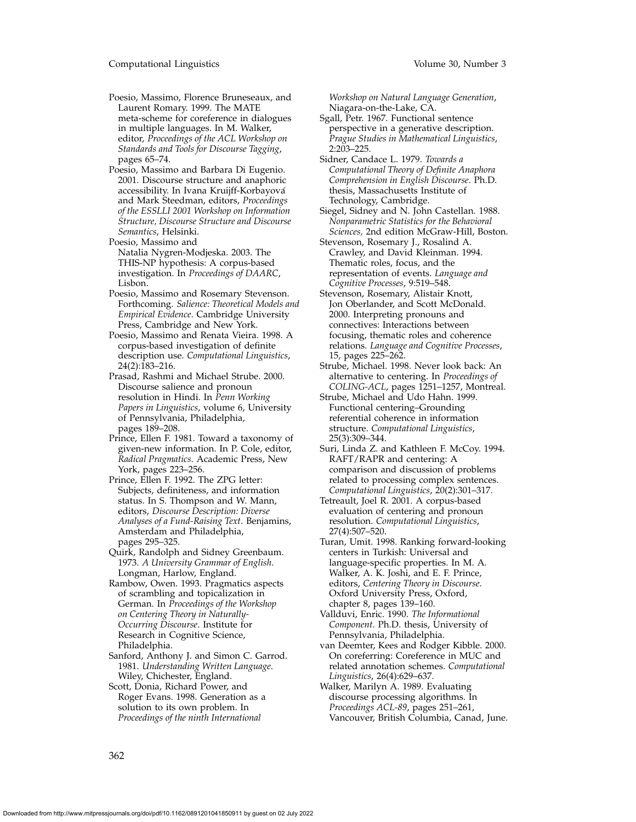Poesio, Massimo, Florence Bruneseaux, and Laurent Romary. 1999. The MATE meta-scheme for coreference in dialogues in multiple languages. In M. Walker, editor, *Proceedings of the ACL Workshop on Standards and Tools for Discourse Tagging*, pages 65–74.

- Poesio, Massimo and Barbara Di Eugenio. 2001. Discourse structure and anaphoric accessibility. In Ivana Kruijff-Korbayová and Mark Steedman, editors, *Proceedings of the ESSLLI 2001 Workshop on Information Structure, Discourse Structure and Discourse Semantics*, Helsinki.
- Poesio, Massimo and Natalia Nygren-Modjeska. 2003. The THIS-NP hypothesis: A corpus-based investigation. In *Proceedings of DAARC*, Lisbon.
- Poesio, Massimo and Rosemary Stevenson. Forthcoming. *Salience: Theoretical Models and Empirical Evidence*. Cambridge University Press, Cambridge and New York.
- Poesio, Massimo and Renata Vieira. 1998. A corpus-based investigation of definite description use. *Computational Linguistics*, 24(2):183–216.
- Prasad, Rashmi and Michael Strube. 2000. Discourse salience and pronoun resolution in Hindi. In *Penn Working Papers in Linguistics*, volume 6, University of Pennsylvania, Philadelphia, pages 189–208.
- Prince, Ellen F. 1981. Toward a taxonomy of given-new information. In P. Cole, editor, *Radical Pragmatics*. Academic Press, New York, pages 223–256.
- Prince, Ellen F. 1992. The ZPG letter: Subjects, definiteness, and information status. In S. Thompson and W. Mann, editors, *Discourse Description: Diverse Analyses of a Fund-Raising Text*. Benjamins, Amsterdam and Philadelphia, pages 295–325.
- Quirk, Randolph and Sidney Greenbaum. 1973. *A University Grammar of English*. Longman, Harlow, England.
- Rambow, Owen. 1993. Pragmatics aspects of scrambling and topicalization in German. In *Proceedings of the Workshop on Centering Theory in Naturally-Occurring Discourse*. Institute for Research in Cognitive Science, Philadelphia.
- Sanford, Anthony J. and Simon C. Garrod. 1981. *Understanding Written Language*. Wiley, Chichester, England.
- Scott, Donia, Richard Power, and Roger Evans. 1998. Generation as a solution to its own problem. In *Proceedings of the ninth International*

*Workshop on Natural Language Generation*, Niagara-on-the-Lake, CA.

- Sgall, Petr. 1967. Functional sentence perspective in a generative description. *Prague Studies in Mathematical Linguistics*, 2:203–225.
- Sidner, Candace L. 1979. *Towards a Computational Theory of Definite Anaphora Comprehension in English Discourse*. Ph.D. thesis, Massachusetts Institute of Technology, Cambridge.
- Siegel, Sidney and N. John Castellan. 1988. *Nonparametric Statistics for the Behavioral Sciences,* 2nd edition McGraw-Hill, Boston.
- Stevenson, Rosemary J., Rosalind A. Crawley, and David Kleinman. 1994. Thematic roles, focus, and the representation of events. *Language and Cognitive Processes*, 9:519–548.
- Stevenson, Rosemary, Alistair Knott, Jon Oberlander, and Scott McDonald. 2000. Interpreting pronouns and connectives: Interactions between focusing, thematic roles and coherence relations. *Language and Cognitive Processes*, 15, pages 225–262.
- Strube, Michael. 1998. Never look back: An alternative to centering. In *Proceedings of COLING-ACL*, pages 1251–1257, Montreal.
- Strube, Michael and Udo Hahn. 1999. Functional centering–Grounding referential coherence in information structure. *Computational Linguistics*, 25(3):309–344.
- Suri, Linda Z. and Kathleen F. McCoy. 1994. RAFT/RAPR and centering: A comparison and discussion of problems related to processing complex sentences. *Computational Linguistics*, 20(2):301–317.
- Tetreault, Joel R. 2001. A corpus-based evaluation of centering and pronoun resolution. *Computational Linguistics*, 27(4):507–520.
- Turan, Umit. 1998. Ranking forward-looking centers in Turkish: Universal and language-specific properties. In M. A. Walker, A. K. Joshi, and E. F. Prince, editors, *Centering Theory in Discourse*. Oxford University Press, Oxford, chapter 8, pages 139–160.
- Vallduvi, Enric. 1990. *The Informational Component*. Ph.D. thesis, University of Pennsylvania, Philadelphia.
- van Deemter, Kees and Rodger Kibble. 2000. On coreferring: Coreference in MUC and related annotation schemes. *Computational Linguistics*, 26(4):629–637.
- Walker, Marilyn A. 1989. Evaluating discourse processing algorithms. In *Proceedings ACL-89*, pages 251–261, Vancouver, British Columbia, Canad, June.